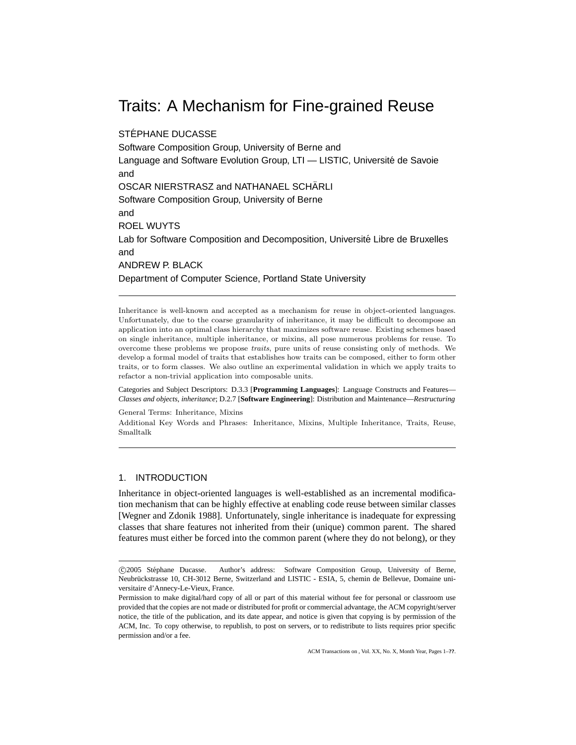# Traits: A Mechanism for Fine-grained Reuse

## STÉPHANE DUCASSE

Software Composition Group, University of Berne and Language and Software Evolution Group, LTI - LISTIC, Université de Savoie and OSCAR NIERSTRASZ and NATHANAEL SCHÄRLI Software Composition Group, University of Berne and ROEL WUYTS Lab for Software Composition and Decomposition, Universite Libre de Bruxelles ´ and ANDREW P. BLACK Department of Computer Science, Portland State University

Inheritance is well-known and accepted as a mechanism for reuse in object-oriented languages. Unfortunately, due to the coarse granularity of inheritance, it may be difficult to decompose an application into an optimal class hierarchy that maximizes software reuse. Existing schemes based on single inheritance, multiple inheritance, or mixins, all pose numerous problems for reuse. To overcome these problems we propose traits, pure units of reuse consisting only of methods. We develop a formal model of traits that establishes how traits can be composed, either to form other traits, or to form classes. We also outline an experimental validation in which we apply traits to refactor a non-trivial application into composable units.

Categories and Subject Descriptors: D.3.3 [**Programming Languages**]: Language Constructs and Features— *Classes and objects, inheritance*; D.2.7 [**Software Engineering**]: Distribution and Maintenance—*Restructuring*

General Terms: Inheritance, Mixins

Additional Key Words and Phrases: Inheritance, Mixins, Multiple Inheritance, Traits, Reuse, Smalltalk

## 1. INTRODUCTION

Inheritance in object-oriented languages is well-established as an incremental modification mechanism that can be highly effective at enabling code reuse between similar classes [Wegner and Zdonik 1988]. Unfortunately, single inheritance is inadequate for expressing classes that share features not inherited from their (unique) common parent. The shared features must either be forced into the common parent (where they do not belong), or they

c 2005 Stephane Ducasse. Author's address: Software Composition Group, University of Berne, ´ Neubrückstrasse 10, CH-3012 Berne, Switzerland and LISTIC - ESIA, 5, chemin de Bellevue, Domaine universitaire d'Annecy-Le-Vieux, France.

Permission to make digital/hard copy of all or part of this material without fee for personal or classroom use provided that the copies are not made or distributed for profit or commercial advantage, the ACM copyright/server notice, the title of the publication, and its date appear, and notice is given that copying is by permission of the ACM, Inc. To copy otherwise, to republish, to post on servers, or to redistribute to lists requires prior specific permission and/or a fee.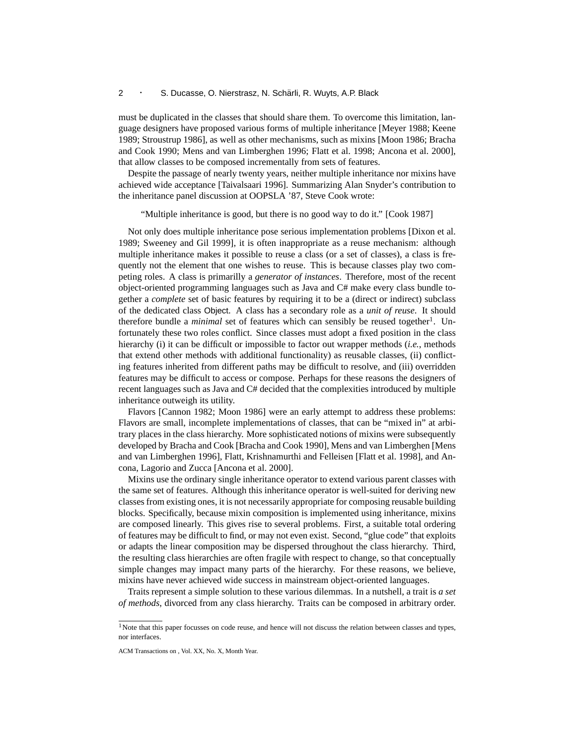## 2 · S. Ducasse, O. Nierstrasz, N. Schärli, R. Wuyts, A.P. Black

must be duplicated in the classes that should share them. To overcome this limitation, language designers have proposed various forms of multiple inheritance [Meyer 1988; Keene 1989; Stroustrup 1986], as well as other mechanisms, such as mixins [Moon 1986; Bracha and Cook 1990; Mens and van Limberghen 1996; Flatt et al. 1998; Ancona et al. 2000], that allow classes to be composed incrementally from sets of features.

Despite the passage of nearly twenty years, neither multiple inheritance nor mixins have achieved wide acceptance [Taivalsaari 1996]. Summarizing Alan Snyder's contribution to the inheritance panel discussion at OOPSLA '87, Steve Cook wrote:

"Multiple inheritance is good, but there is no good way to do it." [Cook 1987]

Not only does multiple inheritance pose serious implementation problems [Dixon et al. 1989; Sweeney and Gil 1999], it is often inappropriate as a reuse mechanism: although multiple inheritance makes it possible to reuse a class (or a set of classes), a class is frequently not the element that one wishes to reuse. This is because classes play two competing roles. A class is primarilly a *generator of instances*. Therefore, most of the recent object-oriented programming languages such as Java and C# make every class bundle together a *complete* set of basic features by requiring it to be a (direct or indirect) subclass of the dedicated class Object. A class has a secondary role as a *unit of reuse*. It should therefore bundle a *minimal* set of features which can sensibly be reused together<sup>1</sup>. Unfortunately these two roles conflict. Since classes must adopt a fixed position in the class hierarchy (i) it can be difficult or impossible to factor out wrapper methods (*i.e.*, methods that extend other methods with additional functionality) as reusable classes, (ii) conflicting features inherited from different paths may be difficult to resolve, and (iii) overridden features may be difficult to access or compose. Perhaps for these reasons the designers of recent languages such as Java and C# decided that the complexities introduced by multiple inheritance outweigh its utility.

Flavors [Cannon 1982; Moon 1986] were an early attempt to address these problems: Flavors are small, incomplete implementations of classes, that can be "mixed in" at arbitrary places in the class hierarchy. More sophisticated notions of mixins were subsequently developed by Bracha and Cook [Bracha and Cook 1990], Mens and van Limberghen [Mens and van Limberghen 1996], Flatt, Krishnamurthi and Felleisen [Flatt et al. 1998], and Ancona, Lagorio and Zucca [Ancona et al. 2000].

Mixins use the ordinary single inheritance operator to extend various parent classes with the same set of features. Although this inheritance operator is well-suited for deriving new classes from existing ones, it is not necessarily appropriate for composing reusable building blocks. Specifically, because mixin composition is implemented using inheritance, mixins are composed linearly. This gives rise to several problems. First, a suitable total ordering of features may be difficult to find, or may not even exist. Second, "glue code" that exploits or adapts the linear composition may be dispersed throughout the class hierarchy. Third, the resulting class hierarchies are often fragile with respect to change, so that conceptually simple changes may impact many parts of the hierarchy. For these reasons, we believe, mixins have never achieved wide success in mainstream object-oriented languages.

Traits represent a simple solution to these various dilemmas. In a nutshell, a trait is *a set of methods*, divorced from any class hierarchy. Traits can be composed in arbitrary order.

<sup>&</sup>lt;sup>1</sup>Note that this paper focusses on code reuse, and hence will not discuss the relation between classes and types, nor interfaces.

ACM Transactions on , Vol. XX, No. X, Month Year.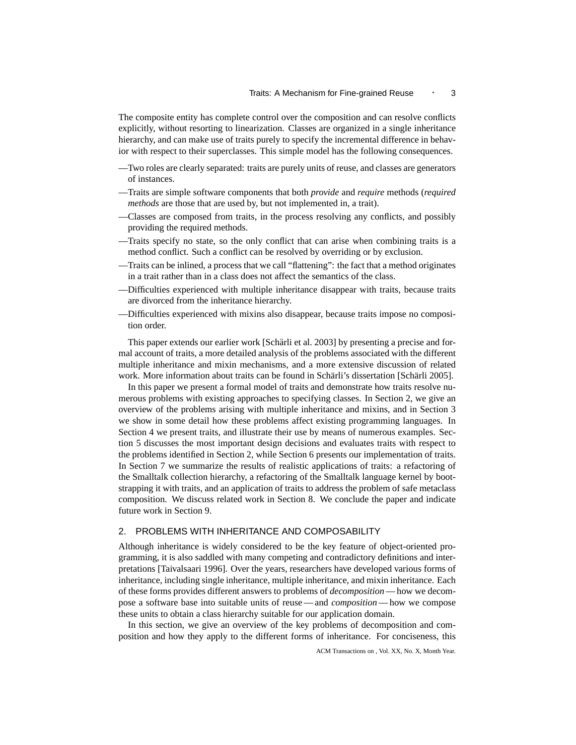The composite entity has complete control over the composition and can resolve conflicts explicitly, without resorting to linearization. Classes are organized in a single inheritance hierarchy, and can make use of traits purely to specify the incremental difference in behavior with respect to their superclasses. This simple model has the following consequences.

- —Two roles are clearly separated: traits are purely units of reuse, and classes are generators of instances.
- —Traits are simple software components that both *provide* and *require* methods (*required methods* are those that are used by, but not implemented in, a trait).
- —Classes are composed from traits, in the process resolving any conflicts, and possibly providing the required methods.
- —Traits specify no state, so the only conflict that can arise when combining traits is a method conflict. Such a conflict can be resolved by overriding or by exclusion.
- —Traits can be inlined, a process that we call "flattening": the fact that a method originates in a trait rather than in a class does not affect the semantics of the class.
- —Difficulties experienced with multiple inheritance disappear with traits, because traits are divorced from the inheritance hierarchy.
- —Difficulties experienced with mixins also disappear, because traits impose no composition order.

This paper extends our earlier work [Schärli et al. 2003] by presenting a precise and formal account of traits, a more detailed analysis of the problems associated with the different multiple inheritance and mixin mechanisms, and a more extensive discussion of related work. More information about traits can be found in Schärli's dissertation [Schärli 2005].

In this paper we present a formal model of traits and demonstrate how traits resolve numerous problems with existing approaches to specifying classes. In Section 2, we give an overview of the problems arising with multiple inheritance and mixins, and in Section 3 we show in some detail how these problems affect existing programming languages. In Section 4 we present traits, and illustrate their use by means of numerous examples. Section 5 discusses the most important design decisions and evaluates traits with respect to the problems identified in Section 2, while Section 6 presents our implementation of traits. In Section 7 we summarize the results of realistic applications of traits: a refactoring of the Smalltalk collection hierarchy, a refactoring of the Smalltalk language kernel by bootstrapping it with traits, and an application of traits to address the problem of safe metaclass composition. We discuss related work in Section 8. We conclude the paper and indicate future work in Section 9.

## 2. PROBLEMS WITH INHERITANCE AND COMPOSABILITY

Although inheritance is widely considered to be the key feature of object-oriented programming, it is also saddled with many competing and contradictory definitions and interpretations [Taivalsaari 1996]. Over the years, researchers have developed various forms of inheritance, including single inheritance, multiple inheritance, and mixin inheritance. Each of these forms provides different answers to problems of *decomposition*— how we decompose a software base into suitable units of reuse — and *composition*— how we compose these units to obtain a class hierarchy suitable for our application domain.

In this section, we give an overview of the key problems of decomposition and composition and how they apply to the different forms of inheritance. For conciseness, this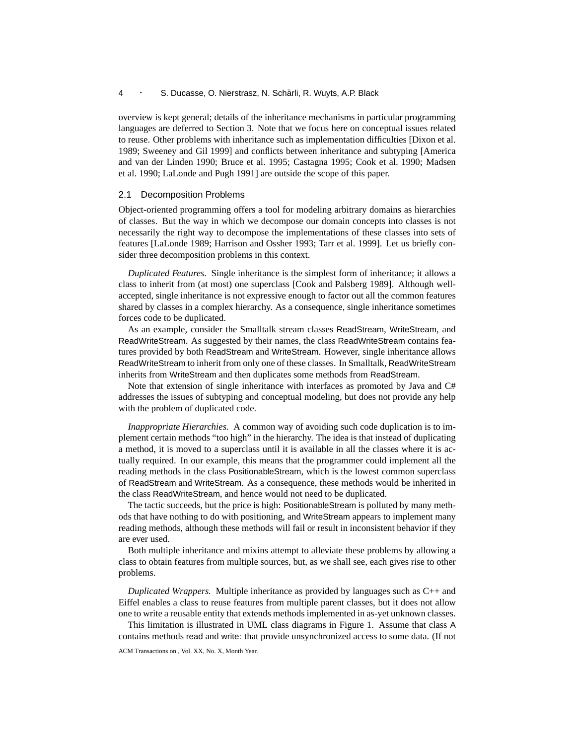## <sup>4</sup> · S. Ducasse, O. Nierstrasz, N. Scharli, R. Wuyts, A.P. Black ¨

overview is kept general; details of the inheritance mechanisms in particular programming languages are deferred to Section 3. Note that we focus here on conceptual issues related to reuse. Other problems with inheritance such as implementation difficulties [Dixon et al. 1989; Sweeney and Gil 1999] and conflicts between inheritance and subtyping [America and van der Linden 1990; Bruce et al. 1995; Castagna 1995; Cook et al. 1990; Madsen et al. 1990; LaLonde and Pugh 1991] are outside the scope of this paper.

## 2.1 Decomposition Problems

Object-oriented programming offers a tool for modeling arbitrary domains as hierarchies of classes. But the way in which we decompose our domain concepts into classes is not necessarily the right way to decompose the implementations of these classes into sets of features [LaLonde 1989; Harrison and Ossher 1993; Tarr et al. 1999]. Let us briefly consider three decomposition problems in this context.

*Duplicated Features.* Single inheritance is the simplest form of inheritance; it allows a class to inherit from (at most) one superclass [Cook and Palsberg 1989]. Although wellaccepted, single inheritance is not expressive enough to factor out all the common features shared by classes in a complex hierarchy. As a consequence, single inheritance sometimes forces code to be duplicated.

As an example, consider the Smalltalk stream classes ReadStream, WriteStream, and ReadWriteStream. As suggested by their names, the class ReadWriteStream contains features provided by both ReadStream and WriteStream. However, single inheritance allows ReadWriteStream to inherit from only one of these classes. In Smalltalk, ReadWriteStream inherits from WriteStream and then duplicates some methods from ReadStream.

Note that extension of single inheritance with interfaces as promoted by Java and C# addresses the issues of subtyping and conceptual modeling, but does not provide any help with the problem of duplicated code.

*Inappropriate Hierarchies.* A common way of avoiding such code duplication is to implement certain methods "too high" in the hierarchy. The idea is that instead of duplicating a method, it is moved to a superclass until it is available in all the classes where it is actually required. In our example, this means that the programmer could implement all the reading methods in the class PositionableStream, which is the lowest common superclass of ReadStream and WriteStream. As a consequence, these methods would be inherited in the class ReadWriteStream, and hence would not need to be duplicated.

The tactic succeeds, but the price is high: PositionableStream is polluted by many methods that have nothing to do with positioning, and WriteStream appears to implement many reading methods, although these methods will fail or result in inconsistent behavior if they are ever used.

Both multiple inheritance and mixins attempt to alleviate these problems by allowing a class to obtain features from multiple sources, but, as we shall see, each gives rise to other problems.

*Duplicated Wrappers.* Multiple inheritance as provided by languages such as C++ and Eiffel enables a class to reuse features from multiple parent classes, but it does not allow one to write a reusable entity that extends methods implemented in as-yet unknown classes.

This limitation is illustrated in UML class diagrams in Figure 1. Assume that class A contains methods read and write: that provide unsynchronized access to some data. (If not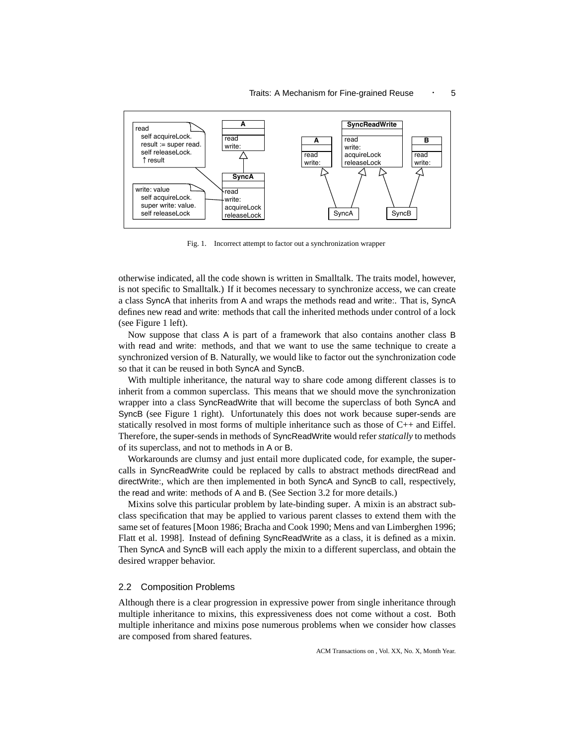

Fig. 1. Incorrect attempt to factor out a synchronization wrapper

otherwise indicated, all the code shown is written in Smalltalk. The traits model, however, is not specific to Smalltalk.) If it becomes necessary to synchronize access, we can create a class SyncA that inherits from A and wraps the methods read and write:. That is, SyncA defines new read and write: methods that call the inherited methods under control of a lock (see Figure 1 left).

Now suppose that class A is part of a framework that also contains another class B with read and write: methods, and that we want to use the same technique to create a synchronized version of B. Naturally, we would like to factor out the synchronization code so that it can be reused in both SyncA and SyncB.

With multiple inheritance, the natural way to share code among different classes is to inherit from a common superclass. This means that we should move the synchronization wrapper into a class SyncReadWrite that will become the superclass of both SyncA and SyncB (see Figure 1 right). Unfortunately this does not work because super-sends are statically resolved in most forms of multiple inheritance such as those of C++ and Eiffel. Therefore, the super-sends in methods of SyncReadWrite would refer *statically* to methods of its superclass, and not to methods in A or B.

Workarounds are clumsy and just entail more duplicated code, for example, the supercalls in SyncReadWrite could be replaced by calls to abstract methods directRead and directWrite:, which are then implemented in both SyncA and SyncB to call, respectively, the read and write: methods of A and B. (See Section 3.2 for more details.)

Mixins solve this particular problem by late-binding super. A mixin is an abstract subclass specification that may be applied to various parent classes to extend them with the same set of features [Moon 1986; Bracha and Cook 1990; Mens and van Limberghen 1996; Flatt et al. 1998]. Instead of defining SyncReadWrite as a class, it is defined as a mixin. Then SyncA and SyncB will each apply the mixin to a different superclass, and obtain the desired wrapper behavior.

#### 2.2 Composition Problems

Although there is a clear progression in expressive power from single inheritance through multiple inheritance to mixins, this expressiveness does not come without a cost. Both multiple inheritance and mixins pose numerous problems when we consider how classes are composed from shared features.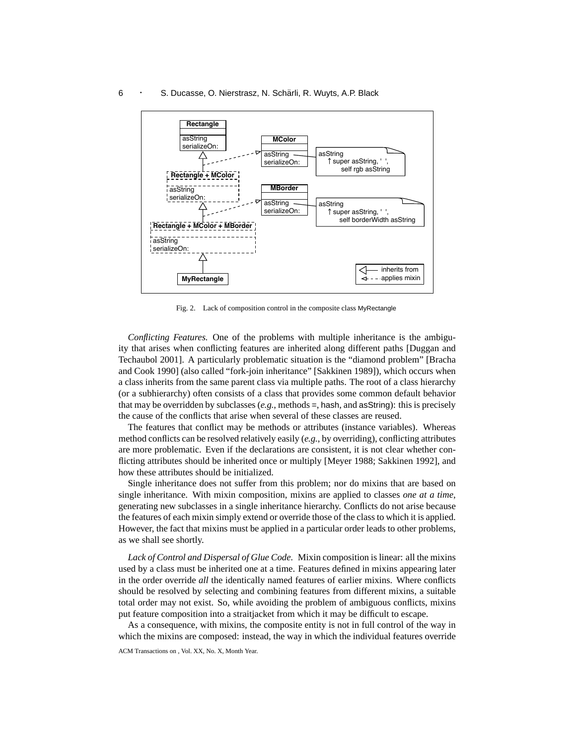

Fig. 2. Lack of composition control in the composite class MyRectangle

*Conflicting Features.* One of the problems with multiple inheritance is the ambiguity that arises when conflicting features are inherited along different paths [Duggan and Techaubol 2001]. A particularly problematic situation is the "diamond problem" [Bracha and Cook 1990] (also called "fork-join inheritance" [Sakkinen 1989]), which occurs when a class inherits from the same parent class via multiple paths. The root of a class hierarchy (or a subhierarchy) often consists of a class that provides some common default behavior that may be overridden by subclasses (*e.g.*, methods =, hash, and asString): this is precisely the cause of the conflicts that arise when several of these classes are reused.

The features that conflict may be methods or attributes (instance variables). Whereas method conflicts can be resolved relatively easily (*e.g.*, by overriding), conflicting attributes are more problematic. Even if the declarations are consistent, it is not clear whether conflicting attributes should be inherited once or multiply [Meyer 1988; Sakkinen 1992], and how these attributes should be initialized.

Single inheritance does not suffer from this problem; nor do mixins that are based on single inheritance. With mixin composition, mixins are applied to classes *one at a time*, generating new subclasses in a single inheritance hierarchy. Conflicts do not arise because the features of each mixin simply extend or override those of the class to which it is applied. However, the fact that mixins must be applied in a particular order leads to other problems, as we shall see shortly.

*Lack of Control and Dispersal of Glue Code.* Mixin composition is linear: all the mixins used by a class must be inherited one at a time. Features defined in mixins appearing later in the order override *all* the identically named features of earlier mixins. Where conflicts should be resolved by selecting and combining features from different mixins, a suitable total order may not exist. So, while avoiding the problem of ambiguous conflicts, mixins put feature composition into a straitjacket from which it may be difficult to escape.

As a consequence, with mixins, the composite entity is not in full control of the way in which the mixins are composed: instead, the way in which the individual features override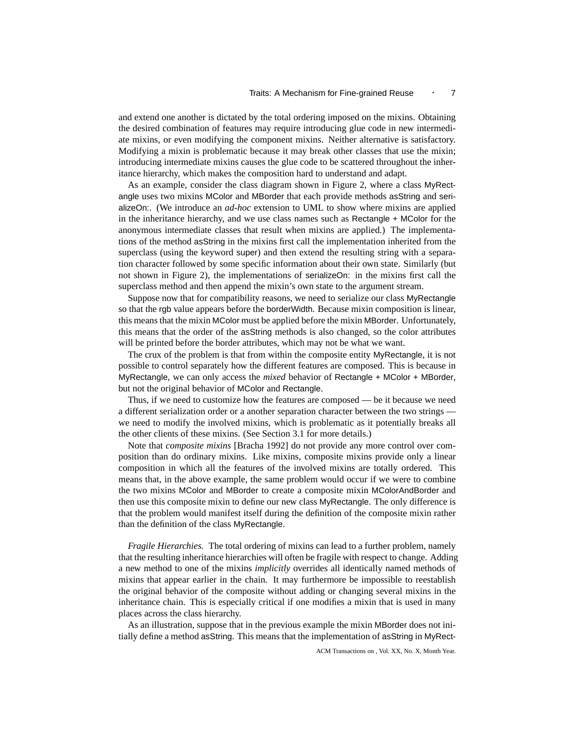and extend one another is dictated by the total ordering imposed on the mixins. Obtaining the desired combination of features may require introducing glue code in new intermediate mixins, or even modifying the component mixins. Neither alternative is satisfactory. Modifying a mixin is problematic because it may break other classes that use the mixin; introducing intermediate mixins causes the glue code to be scattered throughout the inheritance hierarchy, which makes the composition hard to understand and adapt.

As an example, consider the class diagram shown in Figure 2, where a class MyRectangle uses two mixins MColor and MBorder that each provide methods asString and serializeOn:. (We introduce an *ad-hoc* extension to UML to show where mixins are applied in the inheritance hierarchy, and we use class names such as Rectangle + MColor for the anonymous intermediate classes that result when mixins are applied.) The implementations of the method asString in the mixins first call the implementation inherited from the superclass (using the keyword super) and then extend the resulting string with a separation character followed by some specific information about their own state. Similarly (but not shown in Figure 2), the implementations of serializeOn: in the mixins first call the superclass method and then append the mixin's own state to the argument stream.

Suppose now that for compatibility reasons, we need to serialize our class MyRectangle so that the rgb value appears before the borderWidth. Because mixin composition is linear, this means that the mixin MColor must be applied before the mixin MBorder. Unfortunately, this means that the order of the asString methods is also changed, so the color attributes will be printed before the border attributes, which may not be what we want.

The crux of the problem is that from within the composite entity MyRectangle, it is not possible to control separately how the different features are composed. This is because in MyRectangle, we can only access the *mixed* behavior of Rectangle + MColor + MBorder, but not the original behavior of MColor and Rectangle.

Thus, if we need to customize how the features are composed — be it because we need a different serialization order or a another separation character between the two strings we need to modify the involved mixins, which is problematic as it potentially breaks all the other clients of these mixins. (See Section 3.1 for more details.)

Note that *composite mixins* [Bracha 1992] do not provide any more control over composition than do ordinary mixins. Like mixins, composite mixins provide only a linear composition in which all the features of the involved mixins are totally ordered. This means that, in the above example, the same problem would occur if we were to combine the two mixins MColor and MBorder to create a composite mixin MColorAndBorder and then use this composite mixin to define our new class MyRectangle. The only difference is that the problem would manifest itself during the definition of the composite mixin rather than the definition of the class MyRectangle.

*Fragile Hierarchies.* The total ordering of mixins can lead to a further problem, namely that the resulting inheritance hierarchies will often be fragile with respect to change. Adding a new method to one of the mixins *implicitly* overrides all identically named methods of mixins that appear earlier in the chain. It may furthermore be impossible to reestablish the original behavior of the composite without adding or changing several mixins in the inheritance chain. This is especially critical if one modifies a mixin that is used in many places across the class hierarchy.

As an illustration, suppose that in the previous example the mixin MBorder does not initially define a method asString. This means that the implementation of asString in MyRect-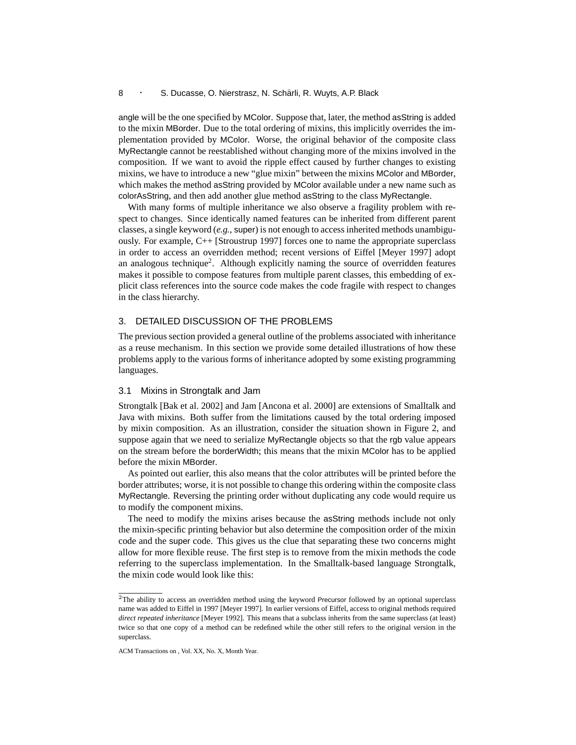## 8 · S. Ducasse, O. Nierstrasz, N. Schärli, R. Wuyts, A.P. Black

angle will be the one specified by MColor. Suppose that, later, the method asString is added to the mixin MBorder. Due to the total ordering of mixins, this implicitly overrides the implementation provided by MColor. Worse, the original behavior of the composite class MyRectangle cannot be reestablished without changing more of the mixins involved in the composition. If we want to avoid the ripple effect caused by further changes to existing mixins, we have to introduce a new "glue mixin" between the mixins MColor and MBorder, which makes the method asString provided by MColor available under a new name such as colorAsString, and then add another glue method asString to the class MyRectangle.

With many forms of multiple inheritance we also observe a fragility problem with respect to changes. Since identically named features can be inherited from different parent classes, a single keyword (*e.g.*, super) is not enough to access inherited methods unambiguously. For example, C++ [Stroustrup 1997] forces one to name the appropriate superclass in order to access an overridden method; recent versions of Eiffel [Meyer 1997] adopt an analogous technique<sup>2</sup>. Although explicitly naming the source of overridden features makes it possible to compose features from multiple parent classes, this embedding of explicit class references into the source code makes the code fragile with respect to changes in the class hierarchy.

## 3. DETAILED DISCUSSION OF THE PROBLEMS

The previous section provided a general outline of the problems associated with inheritance as a reuse mechanism. In this section we provide some detailed illustrations of how these problems apply to the various forms of inheritance adopted by some existing programming languages.

## 3.1 Mixins in Strongtalk and Jam

Strongtalk [Bak et al. 2002] and Jam [Ancona et al. 2000] are extensions of Smalltalk and Java with mixins. Both suffer from the limitations caused by the total ordering imposed by mixin composition. As an illustration, consider the situation shown in Figure 2, and suppose again that we need to serialize MyRectangle objects so that the rgb value appears on the stream before the borderWidth; this means that the mixin MColor has to be applied before the mixin MBorder.

As pointed out earlier, this also means that the color attributes will be printed before the border attributes; worse, it is not possible to change this ordering within the composite class MyRectangle. Reversing the printing order without duplicating any code would require us to modify the component mixins.

The need to modify the mixins arises because the asString methods include not only the mixin-specific printing behavior but also determine the composition order of the mixin code and the super code. This gives us the clue that separating these two concerns might allow for more flexible reuse. The first step is to remove from the mixin methods the code referring to the superclass implementation. In the Smalltalk-based language Strongtalk, the mixin code would look like this:

<sup>&</sup>lt;sup>2</sup>The ability to access an overridden method using the keyword Precursor followed by an optional superclass name was added to Eiffel in 1997 [Meyer 1997]. In earlier versions of Eiffel, access to original methods required *direct repeated inheritance* [Meyer 1992]. This means that a subclass inherits from the same superclass (at least) twice so that one copy of a method can be redefined while the other still refers to the original version in the superclass.

ACM Transactions on , Vol. XX, No. X, Month Year.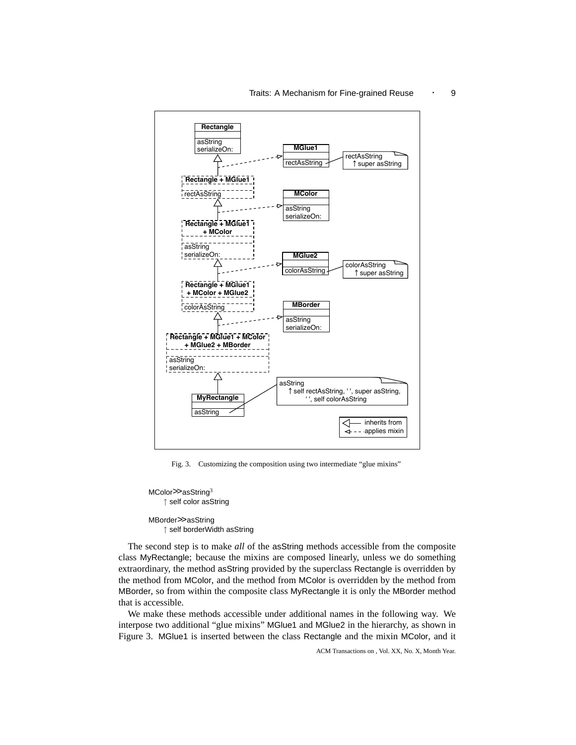

Fig. 3. Customizing the composition using two intermediate "glue mixins"

MColor>>asString3 ↑ self color asString MBorder>>asString

↑ self borderWidth asString

The second step is to make *all* of the asString methods accessible from the composite class MyRectangle; because the mixins are composed linearly, unless we do something extraordinary, the method asString provided by the superclass Rectangle is overridden by the method from MColor, and the method from MColor is overridden by the method from MBorder, so from within the composite class MyRectangle it is only the MBorder method that is accessible.

We make these methods accessible under additional names in the following way. We interpose two additional "glue mixins" MGlue1 and MGlue2 in the hierarchy, as shown in Figure 3. MGlue1 is inserted between the class Rectangle and the mixin MColor, and it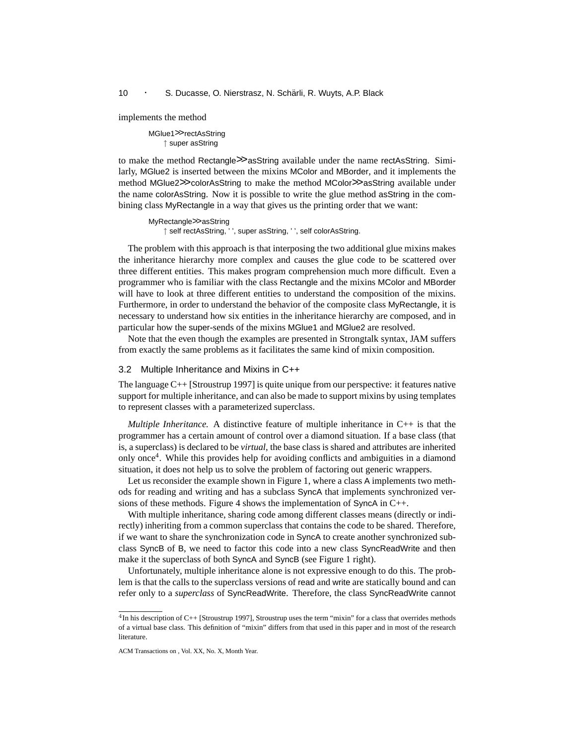#### implements the method

MGlue1>>rectAsString ↑ super asString

to make the method Rectangle>>asString available under the name rectAsString. Similarly, MGlue2 is inserted between the mixins MColor and MBorder, and it implements the method MGlue2>>colorAsString to make the method MColor>>asString available under the name colorAsString. Now it is possible to write the glue method asString in the combining class MyRectangle in a way that gives us the printing order that we want:

MyRectangle>>asString ↑ self rectAsString, ' ', super asString, ' ', self colorAsString.

The problem with this approach is that interposing the two additional glue mixins makes the inheritance hierarchy more complex and causes the glue code to be scattered over three different entities. This makes program comprehension much more difficult. Even a programmer who is familiar with the class Rectangle and the mixins MColor and MBorder will have to look at three different entities to understand the composition of the mixins. Furthermore, in order to understand the behavior of the composite class MyRectangle, it is necessary to understand how six entities in the inheritance hierarchy are composed, and in particular how the super-sends of the mixins MGlue1 and MGlue2 are resolved.

Note that the even though the examples are presented in Strongtalk syntax, JAM suffers from exactly the same problems as it facilitates the same kind of mixin composition.

## 3.2 Multiple Inheritance and Mixins in C++

The language C++ [Stroustrup 1997] is quite unique from our perspective: it features native support for multiple inheritance, and can also be made to support mixins by using templates to represent classes with a parameterized superclass.

*Multiple Inheritance.* A distinctive feature of multiple inheritance in C++ is that the programmer has a certain amount of control over a diamond situation. If a base class (that is, a superclass) is declared to be *virtual*, the base class is shared and attributes are inherited only once<sup>4</sup>. While this provides help for avoiding conflicts and ambiguities in a diamond situation, it does not help us to solve the problem of factoring out generic wrappers.

Let us reconsider the example shown in Figure 1, where a class A implements two methods for reading and writing and has a subclass SyncA that implements synchronized versions of these methods. Figure 4 shows the implementation of SyncA in  $C_{++}$ .

With multiple inheritance, sharing code among different classes means (directly or indirectly) inheriting from a common superclass that contains the code to be shared. Therefore, if we want to share the synchronization code in SyncA to create another synchronized subclass SyncB of B, we need to factor this code into a new class SyncReadWrite and then make it the superclass of both SyncA and SyncB (see Figure 1 right).

Unfortunately, multiple inheritance alone is not expressive enough to do this. The problem is that the calls to the superclass versions of read and write are statically bound and can refer only to a *superclass* of SyncReadWrite. Therefore, the class SyncReadWrite cannot

 ${}^{4}$ In his description of C++ [Stroustrup 1997], Stroustrup uses the term "mixin" for a class that overrides methods of a virtual base class. This definition of "mixin" differs from that used in this paper and in most of the research literature.

ACM Transactions on , Vol. XX, No. X, Month Year.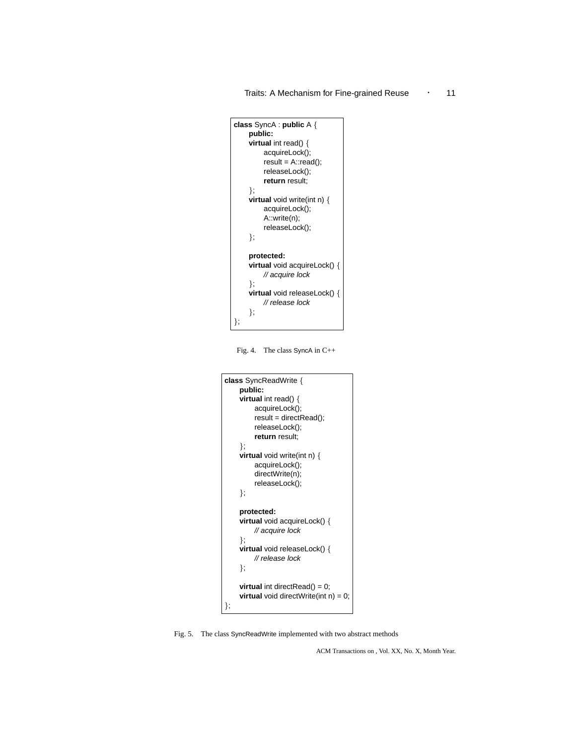Traits: A Mechanism for Fine-grained Reuse • 11



Fig. 4. The class SyncA in C++



Fig. 5. The class SyncReadWrite implemented with two abstract methods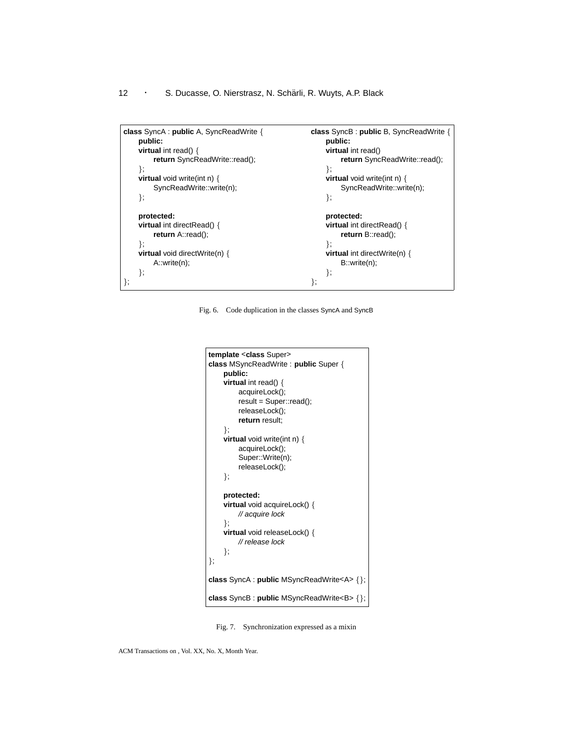```
class SyncA : public A, SyncReadWrite { class SyncB : public B, SyncReadWrite {
    public: public: public: public: public: public: public: public: public: public: public: public: public: public: public: public: public: public: public: public: public: public: public: public: public: public: public: public
    virtual int read() { virtual int read() virtual int read() virtual int read() virtual int read() virtual int read() virtual int read() virtual int read() virtual int read() virtual int read() virtual 
                                                           return SyncReadWrite::read(); return SyncReadWrite::read();
    }; \};
    virtual void write(int n) { virtual void write(int n) {
        SyncReadWrite::write(n); SyncReadWrite:write(n);}; {}protected: protected:
    virtual int directRead() { virtual int directRead() { virtual int directRead() { virtual int directRead(); find return B::read();
                                                           return B::read();
    \};virtual void directWrite(n) { virtual int directWrite(n) {
        A::write(n); B::write(n);
    }; \};
}; {}
```
Fig. 6. Code duplication in the classes SyncA and SyncB

```
template <class Super>
class MSyncReadWrite : public Super {
    public:
    virtual int read() {
        acquireLock();
        result = Super::read();
        releaseLock();
        return result;
    };
    virtual void write(int n) {
        acquireLock();
        Super::Write(n);
        releaseLock();
    };
    protected:
    virtual void acquireLock() {
        // acquire lock
    };
    virtual void releaseLock() {
        // release lock
    };
};
class SyncA : public MSyncReadWrite<A> {};
class SyncB : public MSyncReadWrite<B> {};
```
Fig. 7. Synchronization expressed as a mixin

ACM Transactions on , Vol. XX, No. X, Month Year.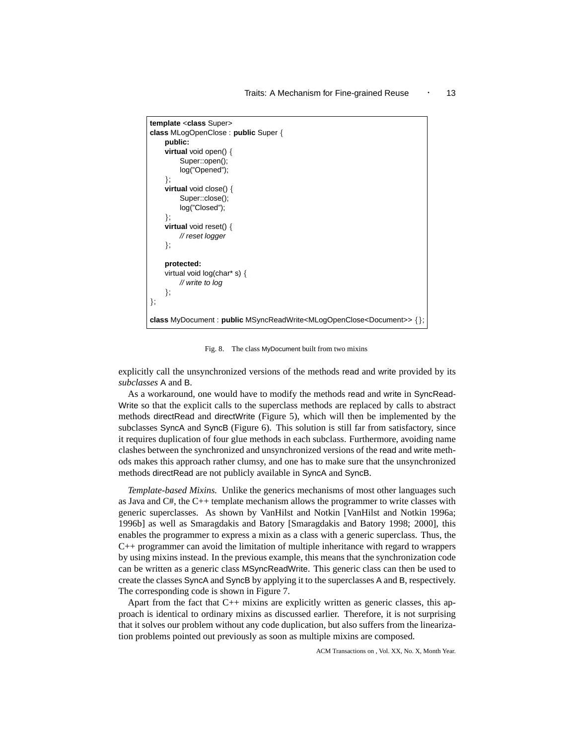```
template <class Super>
class MLogOpenClose : public Super {
    public:
    virtual void open() {
        Super::open();
        log("Opened");
    };
    virtual void close() {
        Super::close();
        log("Closed");
    };
    virtual void reset() {
        // reset logger
    };
    protected:
    virtual void log(char* s) {
        // write to log
    };
};
class MyDocument : public MSyncReadWrite<MLogOpenClose<Document>> {};
```
Fig. 8. The class MyDocument built from two mixins

explicitly call the unsynchronized versions of the methods read and write provided by its *subclasses* A and B.

As a workaround, one would have to modify the methods read and write in SyncRead-Write so that the explicit calls to the superclass methods are replaced by calls to abstract methods directRead and directWrite (Figure 5), which will then be implemented by the subclasses SyncA and SyncB (Figure 6). This solution is still far from satisfactory, since it requires duplication of four glue methods in each subclass. Furthermore, avoiding name clashes between the synchronized and unsynchronized versions of the read and write methods makes this approach rather clumsy, and one has to make sure that the unsynchronized methods directRead are not publicly available in SyncA and SyncB.

*Template-based Mixins.* Unlike the generics mechanisms of most other languages such as Java and  $C#$ , the  $C++$  template mechanism allows the programmer to write classes with generic superclasses. As shown by VanHilst and Notkin [VanHilst and Notkin 1996a; 1996b] as well as Smaragdakis and Batory [Smaragdakis and Batory 1998; 2000], this enables the programmer to express a mixin as a class with a generic superclass. Thus, the C++ programmer can avoid the limitation of multiple inheritance with regard to wrappers by using mixins instead. In the previous example, this means that the synchronization code can be written as a generic class MSyncReadWrite. This generic class can then be used to create the classes SyncA and SyncB by applying it to the superclasses A and B, respectively. The corresponding code is shown in Figure 7.

Apart from the fact that  $C_{++}$  mixins are explicitly written as generic classes, this approach is identical to ordinary mixins as discussed earlier. Therefore, it is not surprising that it solves our problem without any code duplication, but also suffers from the linearization problems pointed out previously as soon as multiple mixins are composed.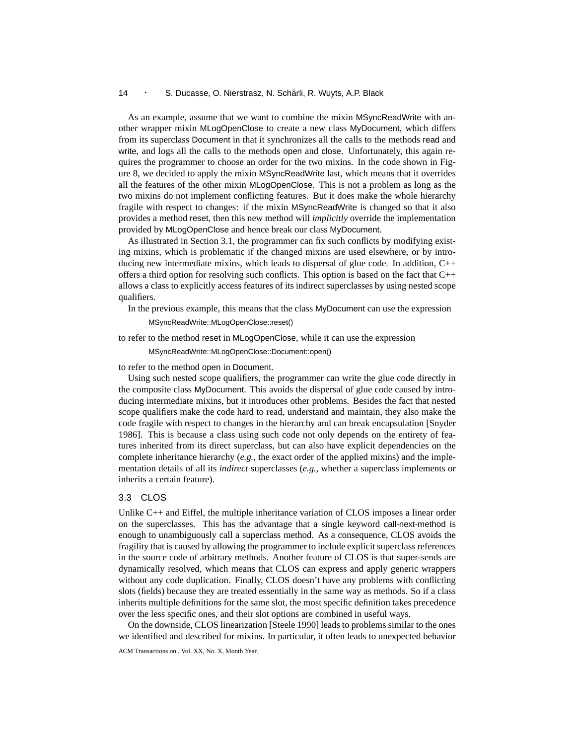## 14 · S. Ducasse, O. Nierstrasz, N. Schärli, R. Wuyts, A.P. Black

As an example, assume that we want to combine the mixin MSyncReadWrite with another wrapper mixin MLogOpenClose to create a new class MyDocument, which differs from its superclass Document in that it synchronizes all the calls to the methods read and write, and logs all the calls to the methods open and close. Unfortunately, this again requires the programmer to choose an order for the two mixins. In the code shown in Figure 8, we decided to apply the mixin MSyncReadWrite last, which means that it overrides all the features of the other mixin MLogOpenClose. This is not a problem as long as the two mixins do not implement conflicting features. But it does make the whole hierarchy fragile with respect to changes: if the mixin MSyncReadWrite is changed so that it also provides a method reset, then this new method will *implicitly* override the implementation provided by MLogOpenClose and hence break our class MyDocument.

As illustrated in Section 3.1, the programmer can fix such conflicts by modifying existing mixins, which is problematic if the changed mixins are used elsewhere, or by introducing new intermediate mixins, which leads to dispersal of glue code. In addition, C++ offers a third option for resolving such conflicts. This option is based on the fact that C++ allows a class to explicitly access features of its indirect superclasses by using nested scope qualifiers.

In the previous example, this means that the class MyDocument can use the expression

MSyncReadWrite::MLogOpenClose::reset()

to refer to the method reset in MLogOpenClose, while it can use the expression

MSyncReadWrite::MLogOpenClose::Document::open()

## to refer to the method open in Document.

Using such nested scope qualifiers, the programmer can write the glue code directly in the composite class MyDocument. This avoids the dispersal of glue code caused by introducing intermediate mixins, but it introduces other problems. Besides the fact that nested scope qualifiers make the code hard to read, understand and maintain, they also make the code fragile with respect to changes in the hierarchy and can break encapsulation [Snyder 1986]. This is because a class using such code not only depends on the entirety of features inherited from its direct superclass, but can also have explicit dependencies on the complete inheritance hierarchy (*e.g.*, the exact order of the applied mixins) and the implementation details of all its *indirect* superclasses (*e.g.*, whether a superclass implements or inherits a certain feature).

## 3.3 CLOS

Unlike C++ and Eiffel, the multiple inheritance variation of CLOS imposes a linear order on the superclasses. This has the advantage that a single keyword call-next-method is enough to unambiguously call a superclass method. As a consequence, CLOS avoids the fragility that is caused by allowing the programmer to include explicit superclass references in the source code of arbitrary methods. Another feature of CLOS is that super-sends are dynamically resolved, which means that CLOS can express and apply generic wrappers without any code duplication. Finally, CLOS doesn't have any problems with conflicting slots (fields) because they are treated essentially in the same way as methods. So if a class inherits multiple definitions for the same slot, the most specific definition takes precedence over the less specific ones, and their slot options are combined in useful ways.

On the downside, CLOS linearization [Steele 1990] leads to problems similar to the ones we identified and described for mixins. In particular, it often leads to unexpected behavior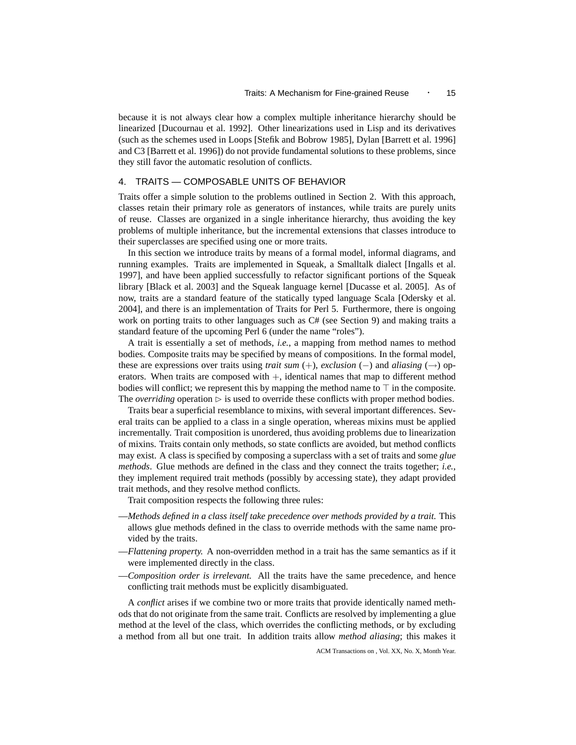because it is not always clear how a complex multiple inheritance hierarchy should be linearized [Ducournau et al. 1992]. Other linearizations used in Lisp and its derivatives (such as the schemes used in Loops [Stefik and Bobrow 1985], Dylan [Barrett et al. 1996] and C3 [Barrett et al. 1996]) do not provide fundamental solutions to these problems, since they still favor the automatic resolution of conflicts.

## 4. TRAITS — COMPOSABLE UNITS OF BEHAVIOR

Traits offer a simple solution to the problems outlined in Section 2. With this approach, classes retain their primary role as generators of instances, while traits are purely units of reuse. Classes are organized in a single inheritance hierarchy, thus avoiding the key problems of multiple inheritance, but the incremental extensions that classes introduce to their superclasses are specified using one or more traits.

In this section we introduce traits by means of a formal model, informal diagrams, and running examples. Traits are implemented in Squeak, a Smalltalk dialect [Ingalls et al. 1997], and have been applied successfully to refactor significant portions of the Squeak library [Black et al. 2003] and the Squeak language kernel [Ducasse et al. 2005]. As of now, traits are a standard feature of the statically typed language Scala [Odersky et al. 2004], and there is an implementation of Traits for Perl 5. Furthermore, there is ongoing work on porting traits to other languages such as C# (see Section 9) and making traits a standard feature of the upcoming Perl 6 (under the name "roles").

A trait is essentially a set of methods, *i.e.*, a mapping from method names to method bodies. Composite traits may be specified by means of compositions. In the formal model, these are expressions over traits using *trait sum* (+), *exclusion* (−) and *aliasing* (→) operators. When traits are composed with  $+$ , identical names that map to different method bodies will conflict; we represent this by mapping the method name to  $\top$  in the composite. The *overriding* operation  $\triangleright$  is used to override these conflicts with proper method bodies.

Traits bear a superficial resemblance to mixins, with several important differences. Several traits can be applied to a class in a single operation, whereas mixins must be applied incrementally. Trait composition is unordered, thus avoiding problems due to linearization of mixins. Traits contain only methods, so state conflicts are avoided, but method conflicts may exist. A class is specified by composing a superclass with a set of traits and some *glue methods*. Glue methods are defined in the class and they connect the traits together; *i.e.*, they implement required trait methods (possibly by accessing state), they adapt provided trait methods, and they resolve method conflicts.

Trait composition respects the following three rules:

- —*Methods defined in a class itself take precedence over methods provided by a trait.* This allows glue methods defined in the class to override methods with the same name provided by the traits.
- —*Flattening property.* A non-overridden method in a trait has the same semantics as if it were implemented directly in the class.
- —*Composition order is irrelevant.* All the traits have the same precedence, and hence conflicting trait methods must be explicitly disambiguated.

A *conflict* arises if we combine two or more traits that provide identically named methods that do not originate from the same trait. Conflicts are resolved by implementing a glue method at the level of the class, which overrides the conflicting methods, or by excluding a method from all but one trait. In addition traits allow *method aliasing*; this makes it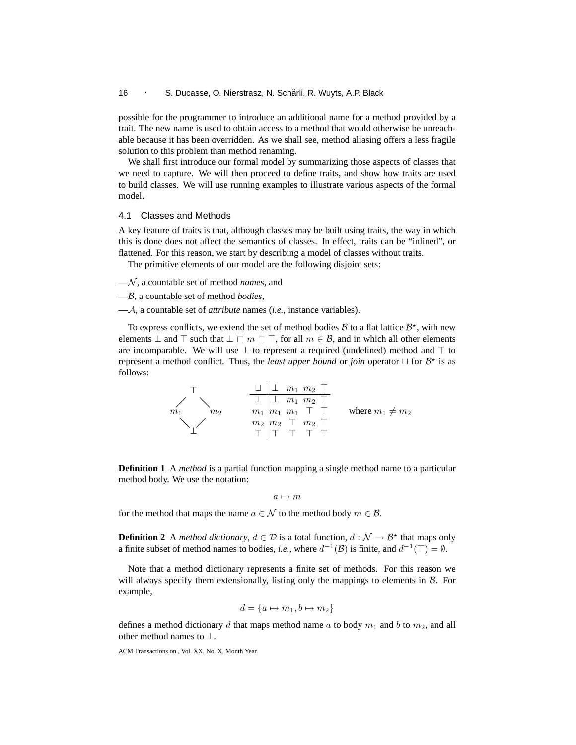possible for the programmer to introduce an additional name for a method provided by a trait. The new name is used to obtain access to a method that would otherwise be unreachable because it has been overridden. As we shall see, method aliasing offers a less fragile solution to this problem than method renaming.

We shall first introduce our formal model by summarizing those aspects of classes that we need to capture. We will then proceed to define traits, and show how traits are used to build classes. We will use running examples to illustrate various aspects of the formal model.

#### 4.1 Classes and Methods

A key feature of traits is that, although classes may be built using traits, the way in which this is done does not affect the semantics of classes. In effect, traits can be "inlined", or flattened. For this reason, we start by describing a model of classes without traits.

The primitive elements of our model are the following disjoint sets:

- —N , a countable set of method *names*, and
- —B, a countable set of method *bodies*,
- —A, a countable set of *attribute* names (*i.e.*, instance variables).

To express conflicts, we extend the set of method bodies  $\beta$  to a flat lattice  $\beta^*$ , with new elements  $\perp$  and  $\perp$  such that  $\perp \sqsubset m \sqsubset \perp$ , for all  $m \in \mathcal{B}$ , and in which all other elements are incomparable. We will use  $\perp$  to represent a required (undefined) method and  $\top$  to represent a method conflict. Thus, the *least upper bound* or *join* operator  $\sqcup$  for  $\mathcal{B}^*$  is as follows:

$$
m_1 \qquad m_2 \qquad \frac{\square \qquad \bot \qquad m_1 \qquad m_2 \qquad \top}{m_1 \qquad m_1 \qquad m_1 \qquad \top \qquad \text{where } m_1 \neq m_2}
$$
\n
$$
\qquad \qquad \frac{m_2 \qquad m_1 \qquad m_1 \qquad m_1 \qquad \top \qquad \text{where } m_1 \neq m_2}{\top \qquad \top \qquad \top \qquad \top \qquad \top}
$$

**Definition 1** A *method* is a partial function mapping a single method name to a particular method body. We use the notation:

$$
a\mapsto m
$$

for the method that maps the name  $a \in \mathcal{N}$  to the method body  $m \in \mathcal{B}$ .

**Definition 2** A *method dictionary*,  $d \in \mathcal{D}$  is a total function,  $d : \mathcal{N} \to \mathcal{B}^*$  that maps only a finite subset of method names to bodies, *i.e.*, where  $d^{-1}(\mathcal{B})$  is finite, and  $d^{-1}(\top) = \emptyset$ .

Note that a method dictionary represents a finite set of methods. For this reason we will always specify them extensionally, listing only the mappings to elements in  $\beta$ . For example,

$$
d = \{a \mapsto m_1, b \mapsto m_2\}
$$

defines a method dictionary d that maps method name a to body  $m_1$  and b to  $m_2$ , and all other method names to ⊥.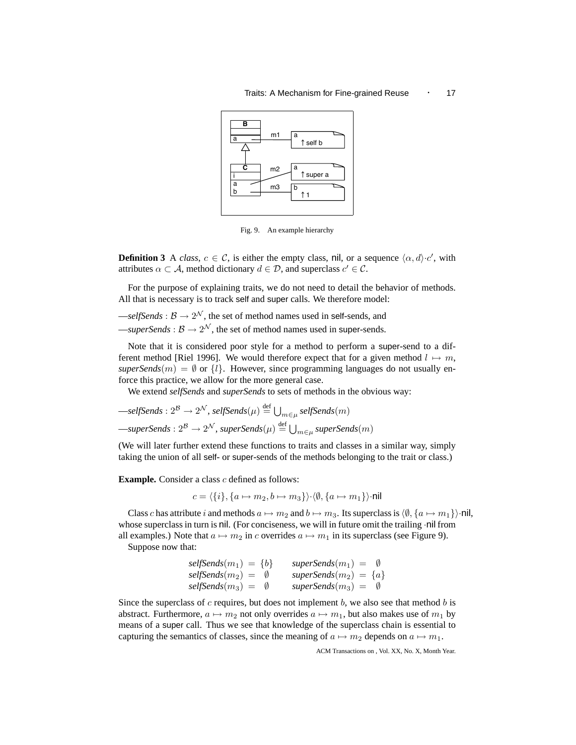

Fig. 9. An example hierarchy

**Definition 3** A *class*,  $c \in \mathcal{C}$ , is either the empty class, nil, or a sequence  $\langle \alpha, d \rangle \cdot c'$ , with attributes  $\alpha \subset A$ , method dictionary  $d \in \mathcal{D}$ , and superclass  $c' \in \mathcal{C}$ .

For the purpose of explaining traits, we do not need to detail the behavior of methods. All that is necessary is to track self and super calls. We therefore model:

 $—selfSends: \mathcal{B} \rightarrow 2^{\mathcal{N}}$ , the set of method names used in self-sends, and  $\rightarrow$ *superSends* :  $\mathcal{B} \rightarrow 2^{\mathcal{N}}$ , the set of method names used in super-sends.

Note that it is considered poor style for a method to perform a super-send to a different method [Riel 1996]. We would therefore expect that for a given method  $l \mapsto m$ , *superSends*( $m$ ) =  $\emptyset$  or  $\{l\}$ . However, since programming languages do not usually enforce this practice, we allow for the more general case.

We extend *selfSends* and *superSends* to sets of methods in the obvious way:

—selfSends: 
$$
2^B \rightarrow 2^N
$$
, selfSends( $\mu$ )  $\stackrel{\text{def}}{=} \bigcup_{m \in \mu}$  selfSends( $m$ )  
—superSends:  $2^B \rightarrow 2^N$ , superSends( $\mu$ )  $\stackrel{\text{def}}{=} \bigcup_{m \in \mu}$  superSends( $m$ )

(We will later further extend these functions to traits and classes in a similar way, simply taking the union of all self- or super-sends of the methods belonging to the trait or class.)

**Example.** Consider a class c defined as follows:

$$
c = \langle \{i\}, \{a \mapsto m_2, b \mapsto m_3\} \rangle \cdot \langle \emptyset, \{a \mapsto m_1\} \rangle \cdot \text{nil}
$$

Class c has attribute i and methods  $a \mapsto m_2$  and  $b \mapsto m_3$ . Its superclass is  $\langle \emptyset, \{a \mapsto m_1\} \rangle$ ·nil, whose superclass in turn is nil. (For conciseness, we will in future omit the trailing ·nil from all examples.) Note that  $a \mapsto m_2$  in c overrides  $a \mapsto m_1$  in its superclass (see Figure 9).

Suppose now that:

| $selfSends(m_1) = \{b\}$     | $superSends(m_1) = \emptyset$ |
|------------------------------|-------------------------------|
| $selfSends(m_2) = \emptyset$ | $superSends(m_2) = \{a\}$     |
| $selfSends(m_3) = \emptyset$ | $superSends(m_3) = \emptyset$ |

Since the superclass of c requires, but does not implement b, we also see that method b is abstract. Furthermore,  $a \mapsto m_2$  not only overrides  $a \mapsto m_1$ , but also makes use of  $m_1$  by means of a super call. Thus we see that knowledge of the superclass chain is essential to capturing the semantics of classes, since the meaning of  $a \mapsto m_2$  depends on  $a \mapsto m_1$ .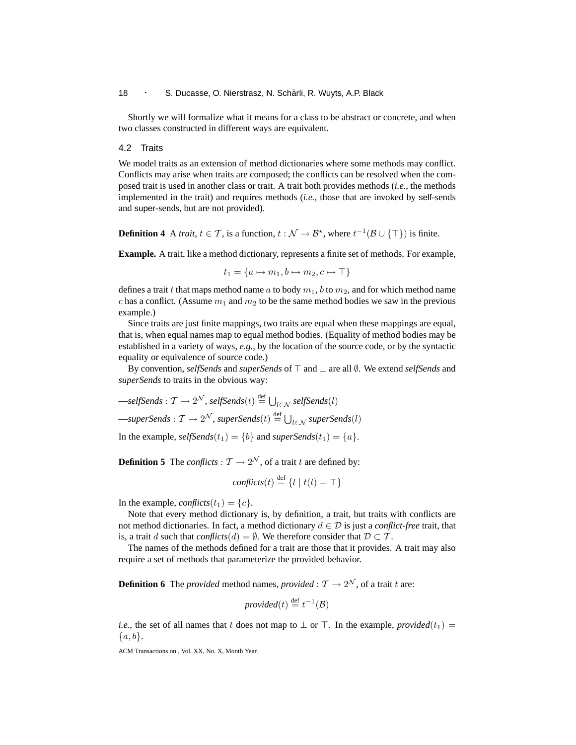Shortly we will formalize what it means for a class to be abstract or concrete, and when two classes constructed in different ways are equivalent.

## 4.2 Traits

We model traits as an extension of method dictionaries where some methods may conflict. Conflicts may arise when traits are composed; the conflicts can be resolved when the composed trait is used in another class or trait. A trait both provides methods (*i.e.*, the methods implemented in the trait) and requires methods (*i.e.*, those that are invoked by self-sends and super-sends, but are not provided).

**Definition 4** A *trait*,  $t \in \mathcal{T}$ , is a function,  $t : \mathcal{N} \to \mathcal{B}^*$ , where  $t^{-1}(\mathcal{B} \cup {\top})$  is finite.

**Example.** A trait, like a method dictionary, represents a finite set of methods. For example,

$$
t_1 = \{a \mapsto m_1, b \mapsto m_2, c \mapsto \top\}
$$

defines a trait t that maps method name a to body  $m_1$ , b to  $m_2$ , and for which method name c has a conflict. (Assume  $m_1$  and  $m_2$  to be the same method bodies we saw in the previous example.)

Since traits are just finite mappings, two traits are equal when these mappings are equal, that is, when equal names map to equal method bodies. (Equality of method bodies may be established in a variety of ways, *e.g.*, by the location of the source code, or by the syntactic equality or equivalence of source code.)

By convention, *selfSends* and *superSends* of > and ⊥ are all ∅. We extend *selfSends* and *superSends* to traits in the obvious way:

—selfSends: 
$$
T \to 2^{\mathcal{N}}
$$
, selfSends $(t) \stackrel{\text{def}}{=} \bigcup_{l \in \mathcal{N}} selfSends(l)$   
—superSends:  $T \to 2^{\mathcal{N}}$ , superSends $(t) \stackrel{\text{def}}{=} \bigcup_{l \in \mathcal{N}} superSends(l)$   
In the example, selfSends $(t_1) = \{b\}$  and superSends $(t_1) = \{a\}$ .

**Definition 5** The *conflicts* :  $\mathcal{T} \to 2^{\mathcal{N}}$ , of a trait t are defined by:

$$
conflicts(t) \stackrel{\text{def}}{=} \{l \mid t(l) = \top\}
$$

In the example, *conflicts* $(t_1) = \{c\}$ .

Note that every method dictionary is, by definition, a trait, but traits with conflicts are not method dictionaries. In fact, a method dictionary  $d \in \mathcal{D}$  is just a *conflict-free* trait, that is, a trait d such that  $conflicts(d) = \emptyset$ . We therefore consider that  $D \subset T$ .

The names of the methods defined for a trait are those that it provides. A trait may also require a set of methods that parameterize the provided behavior.

**Definition 6** The *provided* method names, *provided* :  $T \rightarrow 2^{\mathcal{N}}$ , of a trait t are:

$$
provided(t) \stackrel{\text{def}}{=} t^{-1}(\mathcal{B})
$$

*i.e.*, the set of all names that t does not map to  $\perp$  or  $\top$ . In the example, *provided*(t<sub>1</sub>) =  $\{a, b\}.$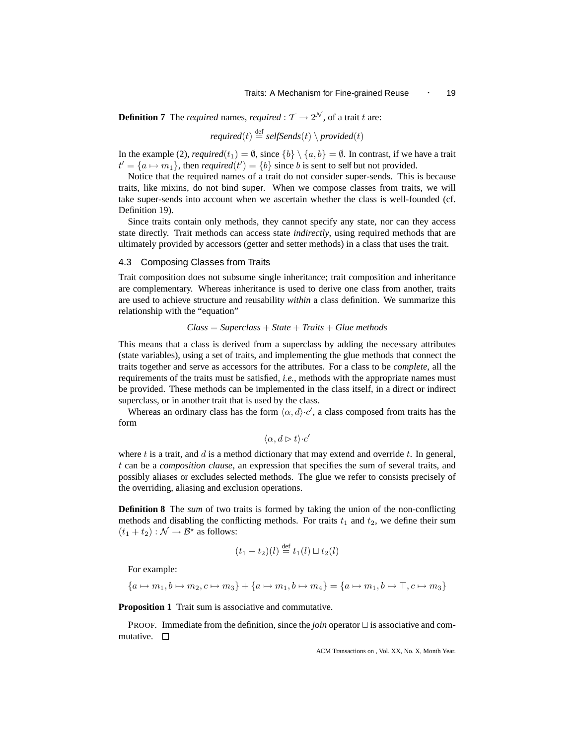**Definition 7** The *required* names, *required* :  $\mathcal{T} \rightarrow 2^{\mathcal{N}}$ , of a trait t are:

$$
required(t) \stackrel{\text{def}}{=} selfSends(t) \setminus provided(t)
$$

In the example (2), *required*( $t_1$ ) =  $\emptyset$ , since  $\{b\} \setminus \{a, b\} = \emptyset$ . In contrast, if we have a trait  $t' = \{a \mapsto m_1\}$ , then *required*( $t'$ ) = {b} since *b* is sent to self but not provided.

Notice that the required names of a trait do not consider super-sends. This is because traits, like mixins, do not bind super. When we compose classes from traits, we will take super-sends into account when we ascertain whether the class is well-founded (cf. Definition 19).

Since traits contain only methods, they cannot specify any state, nor can they access state directly. Trait methods can access state *indirectly*, using required methods that are ultimately provided by accessors (getter and setter methods) in a class that uses the trait.

## 4.3 Composing Classes from Traits

Trait composition does not subsume single inheritance; trait composition and inheritance are complementary. Whereas inheritance is used to derive one class from another, traits are used to achieve structure and reusability *within* a class definition. We summarize this relationship with the "equation"

## *Class* = *Superclass* + *State* + *Traits* + *Glue methods*

This means that a class is derived from a superclass by adding the necessary attributes (state variables), using a set of traits, and implementing the glue methods that connect the traits together and serve as accessors for the attributes. For a class to be *complete*, all the requirements of the traits must be satisfied, *i.e.*, methods with the appropriate names must be provided. These methods can be implemented in the class itself, in a direct or indirect superclass, or in another trait that is used by the class.

Whereas an ordinary class has the form  $\langle \alpha, d \rangle \cdot c'$ , a class composed from traits has the form

$$
\langle \alpha, d \rhd t \rangle \cdot c'
$$

where t is a trait, and  $d$  is a method dictionary that may extend and override t. In general, t can be a *composition clause*, an expression that specifies the sum of several traits, and possibly aliases or excludes selected methods. The glue we refer to consists precisely of the overriding, aliasing and exclusion operations.

**Definition 8** The *sum* of two traits is formed by taking the union of the non-conflicting methods and disabling the conflicting methods. For traits  $t_1$  and  $t_2$ , we define their sum  $(t_1 + t_2) : \mathcal{N} \to \mathcal{B}^*$  as follows:

$$
(t_1 + t_2)(l) \stackrel{\text{def}}{=} t_1(l) \sqcup t_2(l)
$$

For example:

$$
\{a \mapsto m_1, b \mapsto m_2, c \mapsto m_3\} + \{a \mapsto m_1, b \mapsto m_4\} = \{a \mapsto m_1, b \mapsto \top, c \mapsto m_3\}
$$

**Proposition 1** Trait sum is associative and commutative.

PROOF. Immediate from the definition, since the *join* operator  $\sqcup$  is associative and commutative.  $\Box$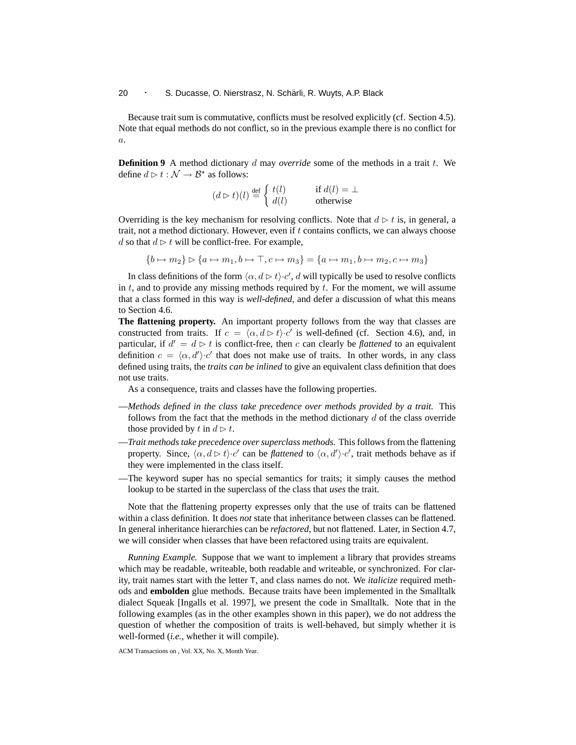Because trait sum is commutative, conflicts must be resolved explicitly (cf. Section 4.5). Note that equal methods do not conflict, so in the previous example there is no conflict for  $\overline{a}$ .

**Definition 9** A method dictionary d may *override* some of the methods in a trait t. We define  $d \triangleright t : \mathcal{N} \to \mathcal{B}^{\star}$  as follows:

$$
(d \rhd t)(l) \stackrel{\text{def}}{=} \begin{cases} t(l) & \text{if } d(l) = \bot \\ d(l) & \text{otherwise} \end{cases}
$$

Overriding is the key mechanism for resolving conflicts. Note that  $d \triangleright t$  is, in general, a trait, not a method dictionary. However, even if  $t$  contains conflicts, we can always choose d so that  $d \triangleright t$  will be conflict-free. For example,

 ${b \mapsto m_2} \triangleright {a \mapsto m_1, b \mapsto \top, c \mapsto m_3} = {a \mapsto m_1, b \mapsto m_2, c \mapsto m_3}$ 

In class definitions of the form  $\langle \alpha, d \rangle \rightarrow t$ . *d* will typically be used to resolve conflicts in t, and to provide any missing methods required by t. For the moment, we will assume that a class formed in this way is *well-defined*, and defer a discussion of what this means to Section 4.6.

**The flattening property.** An important property follows from the way that classes are constructed from traits. If  $c = \langle \alpha, d \rangle t \cdot c'$  is well-defined (cf. Section 4.6), and, in particular, if  $d' = d \triangleright t$  is conflict-free, then c can clearly be *flattened* to an equivalent definition  $c = \langle \alpha, d' \rangle \cdot c'$  that does not make use of traits. In other words, in any class defined using traits, the *traits can be inlined* to give an equivalent class definition that does not use traits.

As a consequence, traits and classes have the following properties.

- —*Methods defined in the class take precedence over methods provided by a trait.* This follows from the fact that the methods in the method dictionary  $d$  of the class override those provided by t in  $d \geq t$ .
- —*Trait methods take precedence over superclass methods.* This follows from the flattening property. Since,  $\langle \alpha, d \rangle t$  c' can be *flattened* to  $\langle \alpha, d' \rangle c'$ , trait methods behave as if they were implemented in the class itself.
- —The keyword super has no special semantics for traits; it simply causes the method lookup to be started in the superclass of the class that *uses* the trait.

Note that the flattening property expresses only that the use of traits can be flattened within a class definition. It does *not* state that inheritance between classes can be flattened. In general inheritance hierarchies can be *refactored*, but not flattened. Later, in Section 4.7, we will consider when classes that have been refactored using traits are equivalent.

*Running Example.* Suppose that we want to implement a library that provides streams which may be readable, writeable, both readable and writeable, or synchronized. For clarity, trait names start with the letter T, and class names do not. We *italicize* required methods and **embolden** glue methods. Because traits have been implemented in the Smalltalk dialect Squeak [Ingalls et al. 1997], we present the code in Smalltalk. Note that in the following examples (as in the other examples shown in this paper), we do not address the question of whether the composition of traits is well-behaved, but simply whether it is well-formed (*i.e.*, whether it will compile).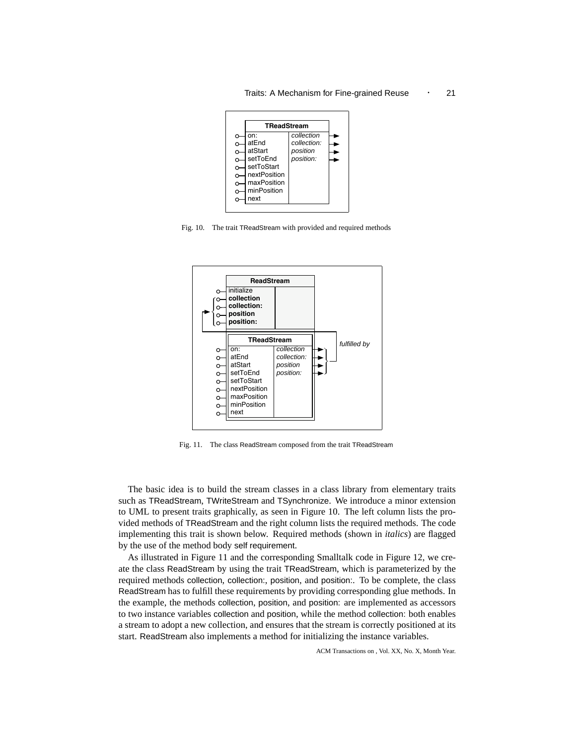

Fig. 10. The trait TReadStream with provided and required methods



Fig. 11. The class ReadStream composed from the trait TReadStream

The basic idea is to build the stream classes in a class library from elementary traits such as TReadStream, TWriteStream and TSynchronize. We introduce a minor extension to UML to present traits graphically, as seen in Figure 10. The left column lists the provided methods of TReadStream and the right column lists the required methods. The code implementing this trait is shown below. Required methods (shown in *italics*) are flagged by the use of the method body self requirement.

As illustrated in Figure 11 and the corresponding Smalltalk code in Figure 12, we create the class ReadStream by using the trait TReadStream, which is parameterized by the required methods collection, collection:, position, and position:. To be complete, the class ReadStream has to fulfill these requirements by providing corresponding glue methods. In the example, the methods collection, position, and position: are implemented as accessors to two instance variables collection and position, while the method collection: both enables a stream to adopt a new collection, and ensures that the stream is correctly positioned at its start. ReadStream also implements a method for initializing the instance variables.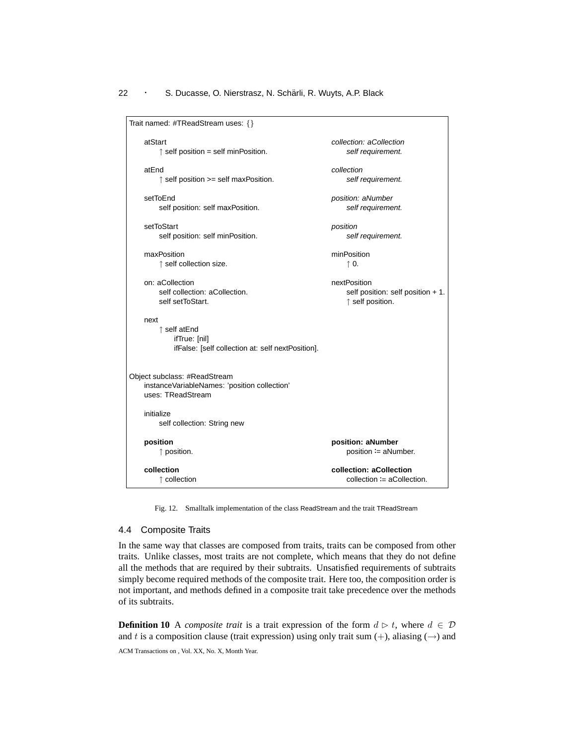| Trait named: #TReadStream uses: {}                                                                |                                   |
|---------------------------------------------------------------------------------------------------|-----------------------------------|
| atStart                                                                                           | collection: aCollection           |
| $\uparrow$ self position = self minPosition.                                                      | self requirement.                 |
| atEnd                                                                                             | collection                        |
| $\uparrow$ self position >= self maxPosition.                                                     | self requirement.                 |
| setToEnd                                                                                          | position: aNumber                 |
| self position: self maxPosition.                                                                  | self requirement.                 |
| setToStart                                                                                        | position                          |
| self position: self minPosition.                                                                  | self requirement.                 |
| maxPosition                                                                                       | minPosition                       |
| ↑ self collection size.                                                                           | $\uparrow$ 0.                     |
| on: aCollection                                                                                   | nextPosition                      |
| self collection: aCollection.                                                                     | self position: self position + 1. |
| self setToStart.                                                                                  | ↑ self position.                  |
| next<br>↑ self atEnd<br>ifTrue: [nil]<br>ifFalse: [self collection at: self nextPosition].        |                                   |
| Object subclass: #ReadStream<br>instanceVariableNames: 'position collection'<br>uses: TReadStream |                                   |
| initialize<br>self collection: String new                                                         |                                   |
| position                                                                                          | position: aNumber                 |
| ↑ position.                                                                                       | position == aNumber.              |
| collection                                                                                        | collection: aCollection           |
| ↑ collection                                                                                      | collection $=$ aCollection.       |
|                                                                                                   |                                   |

Fig. 12. Smalltalk implementation of the class ReadStream and the trait TReadStream

## 4.4 Composite Traits

In the same way that classes are composed from traits, traits can be composed from other traits. Unlike classes, most traits are not complete, which means that they do not define all the methods that are required by their subtraits. Unsatisfied requirements of subtraits simply become required methods of the composite trait. Here too, the composition order is not important, and methods defined in a composite trait take precedence over the methods of its subtraits.

**Definition 10** A *composite trait* is a trait expression of the form  $d \triangleright t$ , where  $d \in \mathcal{D}$ and t is a composition clause (trait expression) using only trait sum (+), aliasing  $(\rightarrow)$  and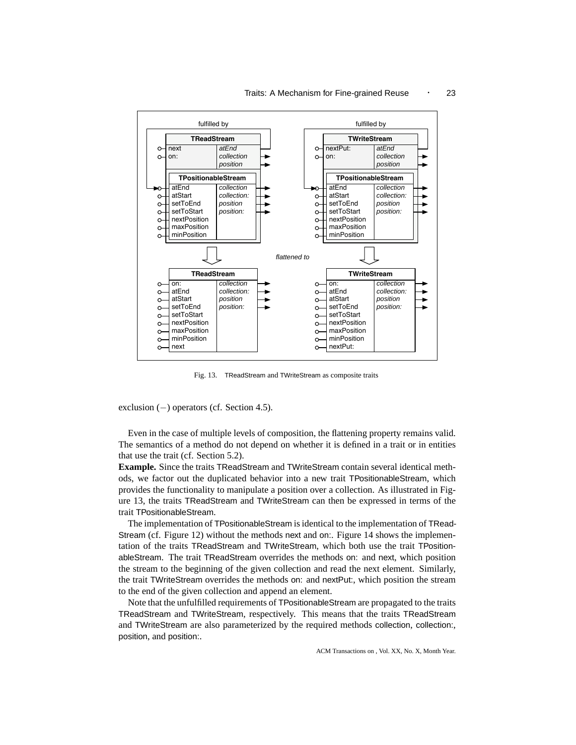

Fig. 13. TReadStream and TWriteStream as composite traits

exclusion (−) operators (cf. Section 4.5).

Even in the case of multiple levels of composition, the flattening property remains valid. The semantics of a method do not depend on whether it is defined in a trait or in entities that use the trait (cf. Section 5.2).

**Example.** Since the traits TReadStream and TWriteStream contain several identical methods, we factor out the duplicated behavior into a new trait TPositionableStream, which provides the functionality to manipulate a position over a collection. As illustrated in Figure 13, the traits TReadStream and TWriteStream can then be expressed in terms of the trait TPositionableStream.

The implementation of TPositionableStream is identical to the implementation of TRead-Stream (cf. Figure 12) without the methods next and on:. Figure 14 shows the implementation of the traits TReadStream and TWriteStream, which both use the trait TPositionableStream. The trait TReadStream overrides the methods on: and next, which position the stream to the beginning of the given collection and read the next element. Similarly, the trait TWriteStream overrides the methods on: and nextPut:, which position the stream to the end of the given collection and append an element.

Note that the unfulfilled requirements of TPositionableStream are propagated to the traits TReadStream and TWriteStream, respectively. This means that the traits TReadStream and TWriteStream are also parameterized by the required methods collection, collection:, position, and position:.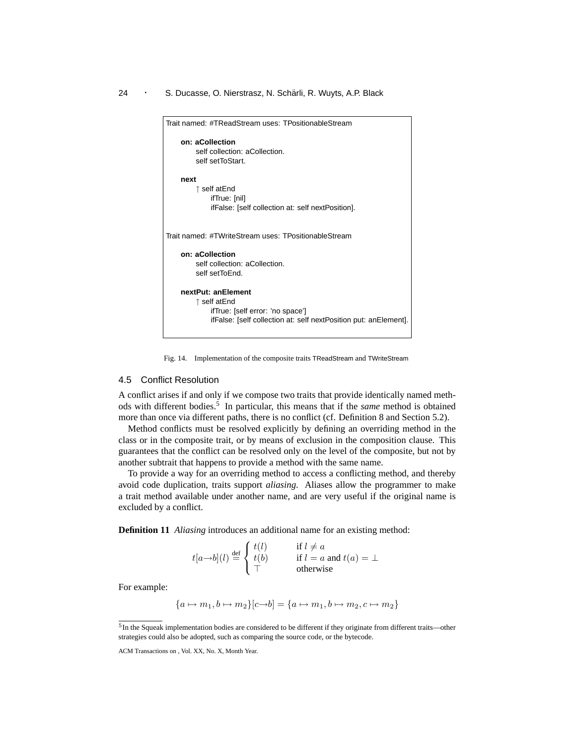```
Trait named: #TReadStream uses: TPositionableStream
    on: aCollection
         self collection: aCollection.
         self setToStart.
    next
         ↑ self atEnd
              ifTrue: [nil]
              ifFalse: [self collection at: self nextPosition].
Trait named: #TWriteStream uses: TPositionableStream
    on: aCollection
         self collection: aCollection.
         self setToEnd.
    nextPut: anElement
         ↑ self atEnd
              ifTrue: [self error: 'no space']
              ifFalse: [self collection at: self nextPosition put: anElement].
```
Fig. 14. Implementation of the composite traits TReadStream and TWriteStream

## 4.5 Conflict Resolution

A conflict arises if and only if we compose two traits that provide identically named methods with different bodies.<sup>5</sup> In particular, this means that if the *same* method is obtained more than once via different paths, there is no conflict (cf. Definition 8 and Section 5.2).

Method conflicts must be resolved explicitly by defining an overriding method in the class or in the composite trait, or by means of exclusion in the composition clause. This guarantees that the conflict can be resolved only on the level of the composite, but not by another subtrait that happens to provide a method with the same name.

To provide a way for an overriding method to access a conflicting method, and thereby avoid code duplication, traits support *aliasing*. Aliases allow the programmer to make a trait method available under another name, and are very useful if the original name is excluded by a conflict.

**Definition 11** *Aliasing* introduces an additional name for an existing method:

$$
t[a \rightarrow b](l) \stackrel{\text{def}}{=} \begin{cases} t(l) & \text{if } l \neq a \\ t(b) & \text{if } l = a \text{ and } t(a) = \bot \\ \top & \text{otherwise} \end{cases}
$$

For example:

$$
\{a \mapsto m_1, b \mapsto m_2\}[c \rightarrow b] = \{a \mapsto m_1, b \mapsto m_2, c \mapsto m_2\}
$$

<sup>&</sup>lt;sup>5</sup>In the Squeak implementation bodies are considered to be different if they originate from different traits—other strategies could also be adopted, such as comparing the source code, or the bytecode.

ACM Transactions on , Vol. XX, No. X, Month Year.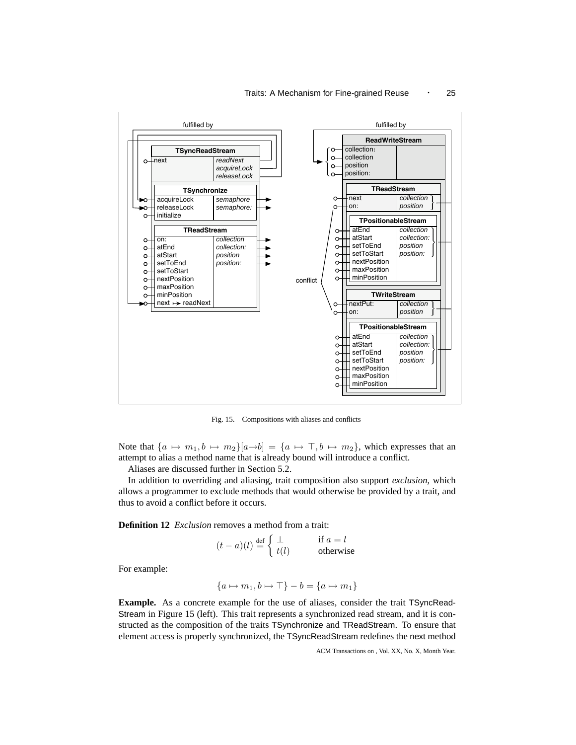

Fig. 15. Compositions with aliases and conflicts

Note that  ${a \mapsto m_1, b \mapsto m_2}[a \rightarrow b] = {a \mapsto \top, b \mapsto m_2}$ , which expresses that an attempt to alias a method name that is already bound will introduce a conflict.

Aliases are discussed further in Section 5.2.

In addition to overriding and aliasing, trait composition also support *exclusion*, which allows a programmer to exclude methods that would otherwise be provided by a trait, and thus to avoid a conflict before it occurs.

**Definition 12** *Exclusion* removes a method from a trait:

$$
(t-a)(l) \stackrel{\text{def}}{=} \begin{cases} \perp & \text{if } a=l\\ t(l) & \text{otherwise} \end{cases}
$$

For example:

$$
\{a \mapsto m_1, b \mapsto \top\} - b = \{a \mapsto m_1\}
$$

**Example.** As a concrete example for the use of aliases, consider the trait TSyncRead-Stream in Figure 15 (left). This trait represents a synchronized read stream, and it is constructed as the composition of the traits TSynchronize and TReadStream. To ensure that element access is properly synchronized, the TSyncReadStream redefines the next method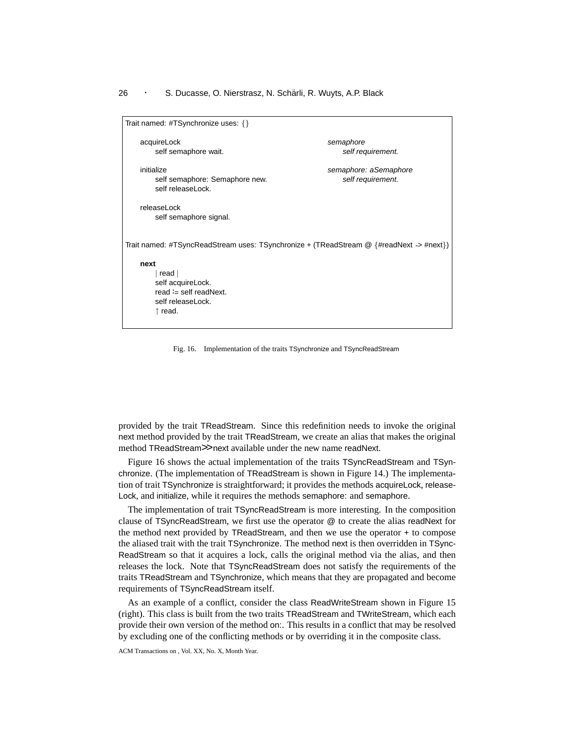## 26 · S. Ducasse, O. Nierstrasz, N. Schärli, R. Wuyts, A.P. Black

| Trait named: #TSynchronize uses: $\{\}$                                                         |                                            |
|-------------------------------------------------------------------------------------------------|--------------------------------------------|
| acquireLock<br>self semaphore wait.                                                             | semaphore<br>self requirement.             |
| initialize<br>self semaphore: Semaphore new.<br>self releaseLock.                               | semaphore: aSemaphore<br>self requirement. |
| releaseLock<br>self semaphore signal.                                                           |                                            |
| Trait named: #TSyncReadStream uses: TSynchronize + (TReadStream @ {#readNext -> #next})         |                                            |
| next<br>read  <br>self acquireLock.<br>read $:=$ self readNext.<br>self releaseLock.<br>↑ read. |                                            |

Fig. 16. Implementation of the traits TSynchronize and TSyncReadStream

provided by the trait TReadStream. Since this redefinition needs to invoke the original next method provided by the trait TReadStream, we create an alias that makes the original method TReadStream>>next available under the new name readNext.

Figure 16 shows the actual implementation of the traits TSyncReadStream and TSynchronize. (The implementation of TReadStream is shown in Figure 14.) The implementation of trait TSynchronize is straightforward; it provides the methods acquireLock, release-Lock, and initialize, while it requires the methods semaphore: and semaphore.

The implementation of trait TSyncReadStream is more interesting. In the composition clause of TSyncReadStream, we first use the operator @ to create the alias readNext for the method next provided by TReadStream, and then we use the operator + to compose the aliased trait with the trait TSynchronize. The method next is then overridden in TSync-ReadStream so that it acquires a lock, calls the original method via the alias, and then releases the lock. Note that TSyncReadStream does not satisfy the requirements of the traits TReadStream and TSynchronize, which means that they are propagated and become requirements of TSyncReadStream itself.

As an example of a conflict, consider the class ReadWriteStream shown in Figure 15 (right). This class is built from the two traits TReadStream and TWriteStream, which each provide their own version of the method on:. This results in a conflict that may be resolved by excluding one of the conflicting methods or by overriding it in the composite class.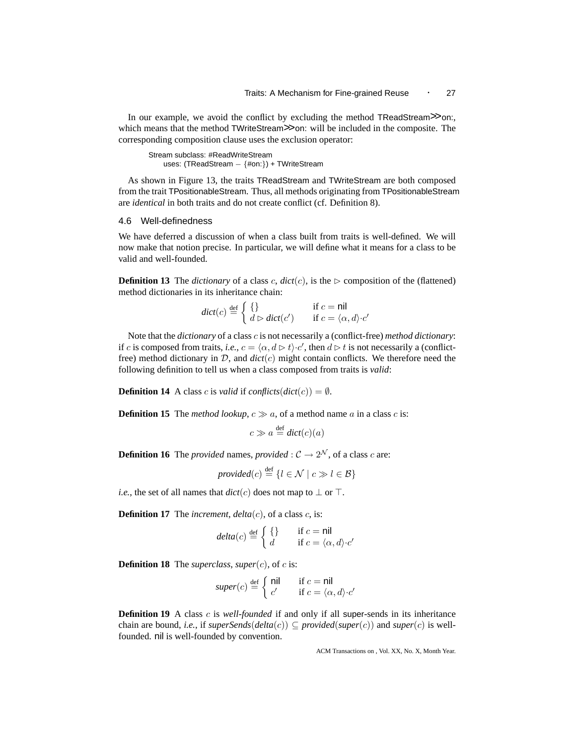In our example, we avoid the conflict by excluding the method TReadStream>>on:, which means that the method TWriteStream>>on: will be included in the composite. The corresponding composition clause uses the exclusion operator:

Stream subclass: #ReadWriteStream uses: (TReadStream – {#on:}) + TWriteStream

As shown in Figure 13, the traits TReadStream and TWriteStream are both composed from the trait TPositionableStream. Thus, all methods originating from TPositionableStream are *identical* in both traits and do not create conflict (cf. Definition 8).

## 4.6 Well-definedness

We have deferred a discussion of when a class built from traits is well-defined. We will now make that notion precise. In particular, we will define what it means for a class to be valid and well-founded.

**Definition 13** The *dictionary* of a class c,  $dict(c)$ , is the  $\triangleright$  composition of the (flattened) method dictionaries in its inheritance chain:

$$
dict(c) \stackrel{\text{def}}{=} \begin{cases} \{\} & \text{if } c = \text{nil} \\ d \rhd dict(c') & \text{if } c = \langle \alpha, d \rangle \cdot c' \end{cases}
$$

Note that the *dictionary* of a class c is not necessarily a (conflict-free) *method dictionary*: if c is composed from traits, *i.e.*,  $c = \langle \alpha, d \rangle t \cdot c'$ , then  $d \rangle t$  is not necessarily a (conflictfree) method dictionary in  $\mathcal{D}$ , and  $dict(c)$  might contain conflicts. We therefore need the following definition to tell us when a class composed from traits is *valid*:

**Definition 14** A class c is *valid* if *conflicts*( $dict(c)$ ) =  $\emptyset$ .

**Definition 15** The *method lookup*,  $c \gg a$ , of a method name a in a class c is:

$$
c \gg a \stackrel{\text{def}}{=} dict(c)(a)
$$

**Definition 16** The *provided* names, *provided* :  $C \rightarrow 2^N$ , of a class c are:

$$
provided(c) \stackrel{\text{def}}{=} \{l \in \mathcal{N} \mid c \gg l \in \mathcal{B}\}
$$

*i.e.*, the set of all names that  $dict(c)$  does not map to  $\perp$  or  $\top$ .

**Definition 17** The *increment*,  $delta(c)$ , of a class c, is:

$$
delta(c) \stackrel{\text{def}}{=} \begin{cases} \{\} & \text{if } c = \text{nil} \\ d & \text{if } c = \langle \alpha, d \rangle \cdot c' \end{cases}
$$

**Definition 18** The *superclass*, *super* $(c)$ , of *c* is:

$$
super(c) \stackrel{\text{def}}{=} \begin{cases} \text{nil} & \text{if } c = \text{nil} \\ c' & \text{if } c = \langle \alpha, d \rangle \cdot c' \end{cases}
$$

**Definition 19** A class c is *well-founded* if and only if all super-sends in its inheritance chain are bound, *i.e.*, if *superSends*( $delta(c)$ )  $\subseteq$  *provided*( $super(c)$ ) and  $super(c)$  is wellfounded. nil is well-founded by convention.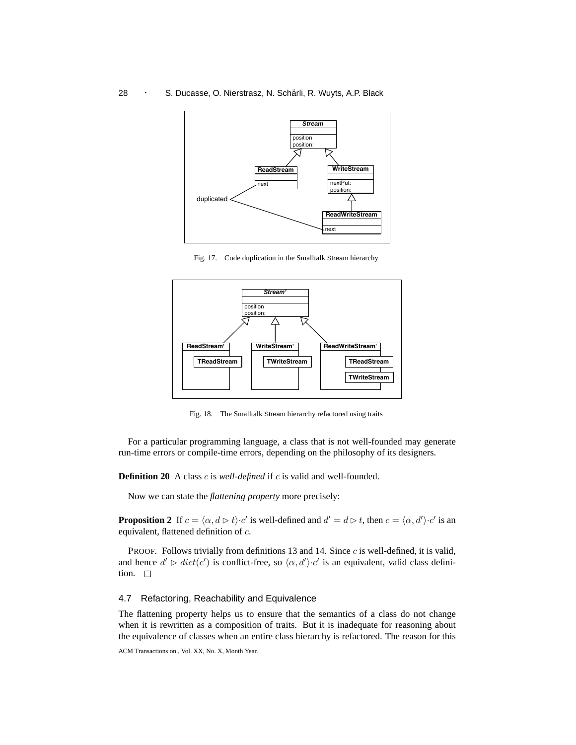

Fig. 17. Code duplication in the Smalltalk Stream hierarchy



Fig. 18. The Smalltalk Stream hierarchy refactored using traits

For a particular programming language, a class that is not well-founded may generate run-time errors or compile-time errors, depending on the philosophy of its designers.

**Definition 20** A class c is *well-defined* if c is valid and well-founded.

Now we can state the *flattening property* more precisely:

**Proposition 2** If  $c = \langle \alpha, d \rhd t \rangle \cdot c'$  is well-defined and  $d' = d \rhd t$ , then  $c = \langle \alpha, d' \rangle \cdot c'$  is an equivalent, flattened definition of c.

PROOF. Follows trivially from definitions 13 and 14. Since  $c$  is well-defined, it is valid, and hence  $d' \triangleright \text{dict}(c')$  is conflict-free, so  $\langle \alpha, d' \rangle \cdot c'$  is an equivalent, valid class definition.  $\square$ 

### 4.7 Refactoring, Reachability and Equivalence

The flattening property helps us to ensure that the semantics of a class do not change when it is rewritten as a composition of traits. But it is inadequate for reasoning about the equivalence of classes when an entire class hierarchy is refactored. The reason for this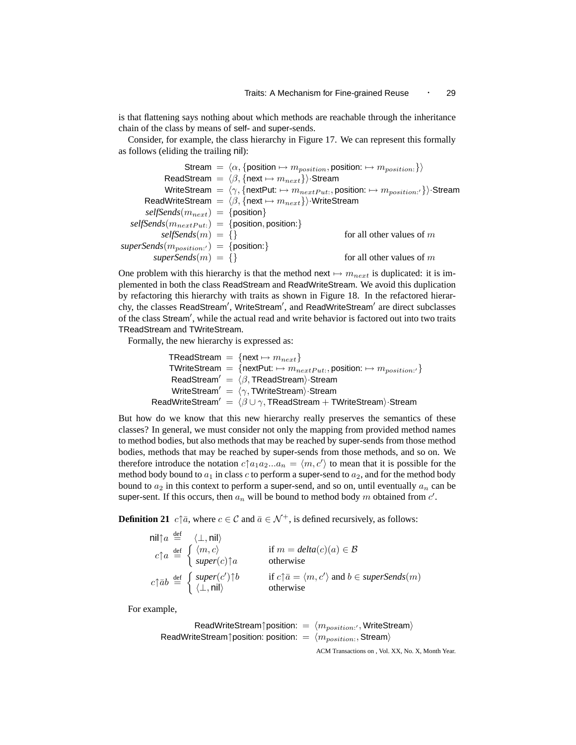is that flattening says nothing about which methods are reachable through the inheritance chain of the class by means of self- and super-sends.

Consider, for example, the class hierarchy in Figure 17. We can represent this formally as follows (eliding the trailing nil):

| Stream = $\langle \alpha, \{\text{position} \mapsto m_{position}, \text{position:} \mapsto m_{position:} \}\rangle$              |
|----------------------------------------------------------------------------------------------------------------------------------|
| ReadStream = $\langle \beta, \{\text{next} \mapsto m_{next}\}\rangle$ . Stream                                                   |
| WriteStream = $\langle \gamma, \{\text{nextPut:} \mapsto m_{nextPut:}, \text{position:} \mapsto m_{position:'}\}\rangle$ -Stream |
| ReadWriteStream = $\langle \beta, \{\text{next} \mapsto m_{next}\}\rangle \cdot \text{WriteStream}$                              |
| $selfSends(m_{next}) = \{position\}$                                                                                             |
| $selfSends(m_{nextPut:}) = \{position, position: \}$                                                                             |
| $selfSends(m) = \{\}$<br>for all other values of $m$                                                                             |
| $superSends(m_{position:}) = \{position: \}$                                                                                     |
| $superSends(m) = \{\}$<br>for all other values of $m$                                                                            |
|                                                                                                                                  |

One problem with this hierarchy is that the method next  $\mapsto m_{next}$  is duplicated: it is implemented in both the class ReadStream and ReadWriteStream. We avoid this duplication by refactoring this hierarchy with traits as shown in Figure 18. In the refactored hierarchy, the classes ReadStream', WriteStream', and ReadWriteStream' are direct subclasses of the class Stream', while the actual read and write behavior is factored out into two traits TReadStream and TWriteStream.

Formally, the new hierarchy is expressed as:

|  | TReadStream = { $next \rightarrow m_{next}$ }                                                 |
|--|-----------------------------------------------------------------------------------------------|
|  | TWriteStream = {nextPut: $\mapsto m_{nextPut:}$ , position: $\mapsto m_{position:'}$ }        |
|  | ReadStream' = $\langle \beta$ , TReadStream > Stream                                          |
|  | WriteStream' = $\langle \gamma$ , TWriteStream > Stream                                       |
|  | ReadWriteStream' = $\langle \beta \cup \gamma$ , TReadStream + TWriteStream $\rangle$ ·Stream |

But how do we know that this new hierarchy really preserves the semantics of these classes? In general, we must consider not only the mapping from provided method names to method bodies, but also methods that may be reached by super-sends from those method bodies, methods that may be reached by super-sends from those methods, and so on. We therefore introduce the notation  $c \uparrow a_1 a_2 ... a_n = \langle m, c' \rangle$  to mean that it is possible for the method body bound to  $a_1$  in class c to perform a super-send to  $a_2$ , and for the method body bound to  $a_2$  in this context to perform a super-send, and so on, until eventually  $a_n$  can be super-sent. If this occurs, then  $a_n$  will be bound to method body m obtained from  $c'$ .

**Definition 21**  $c \uparrow \bar{a}$ , where  $c \in \mathcal{C}$  and  $\bar{a} \in \mathcal{N}^+$ , is defined recursively, as follows:

|  | $\mathsf{nil} \mathord{\uparrow} a \stackrel{\rm def}{=} \langle \bot, \mathsf{nil} \rangle$                                              |                                                                                        |
|--|-------------------------------------------------------------------------------------------------------------------------------------------|----------------------------------------------------------------------------------------|
|  | $c \uparrow a \stackrel{\text{def}}{=} \begin{cases} \langle m, c \rangle \\ \text{super}(c) \uparrow a \end{cases}$                      | if $m = delta(c)(a) \in \mathcal{B}$<br>otherwise                                      |
|  | $c \uparrow \bar{a}b \stackrel{\text{def}}{=} \begin{cases} \text{super}(c') \uparrow b \\ \langle \perp, \text{nil} \rangle \end{cases}$ | if $c \uparrow \bar{a} = \langle m, c' \rangle$ and $b \in supersends(m)$<br>otherwise |

For example,

$$
\textsf{ReadWriteStream} \textup{position:}\ =\ \langle m_{position:}', \textsf{WriteStream}\rangle\\ \textsf{ReadWriteStream} \textup{position: position:}\ =\ \langle m_{position:}, \textsf{Stream}\rangle\\ \textsf{ACM Transactions on, Vol. XX, No. X, Mont Year.}\\ \textsf{ACM Transactions on, Vol. XX, No. X, Mont. Year.}\\ \textsf{ACM Transactions on, Vol. XX, No. X, Mont. Year.}\\ \textsf{ACM Transactions on, Vol. XX, No. X, Mont. Year.}\\ \textsf{ACM Transactions on, Vol. XX, No. X, Mont. Year.}\\ \textsf{ACM Transactions on, Vol. XX, No. X, Mont. Year.}\\ \textsf{ACM Transactions on, Vol. XX, No. X, Mont. Year.}\\ \textsf{ACM Transactions on, Vol. XX, No. X, Mont. Year.}\\ \textsf{ACM Transaction on, Vol. XX, No. X, Mont. }\\ \textsf{ACM Transaction on, Vol. XX, No. X, Mont. }\\ \textsf{ACM Transaction on, Vol. XX, No. X, Mont. }\\ \textsf{ACM Transaction on, Vol. XX, No. X, Mont. }\\ \textsf{ACMTransaction, O. }\\ \textsf{ACM Transaction on, Vol. XX, No. X, Mont. }\\ \textsf{ACM Transaction on, Vol. XX, No. X, Mont. }\\ \textsf{ACM Transaction on, Vol. XX, No. X, Mont. }\\ \textsf{ACM Transaction on, Vol. XX, No. X, Mont. }\\ \textsf{ACM Transaction on, Vol. XX, No. X, Mont. }\\ \textsf{ACM Transaction on, Vol. X, No. X, Mont. }\\ \textsf{ACM Transaction on, Vol. X, No. X, Mont. }\\ \textsf{ACMTransaction, O. }\\ \textsf{ACMTransaction, O. }\\ \textsf{ACMTransaction, O. }\\ \textsf{ACMTransaction, O. }\\ \textsf{ACMTransaction, O. }\\ \textsf{ACMTransaction, O. }\\ \textsf{ACMTransaction, O. }\\ \textsf{ACMTransaction, O. }\\ \textsf{ACMTransaction, O. }\\ \textsf{ACMTransaction, O. }\\ \textsf{ACM只要你能提供一个HTML表示,我将帮助你。
$$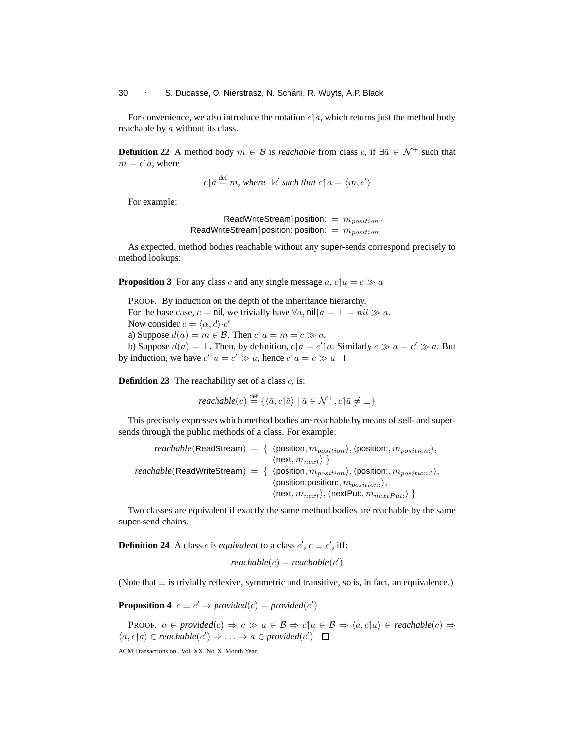For convenience, we also introduce the notation  $c\bar{a}$ , which returns just the method body reachable by  $\bar{a}$  without its class.

**Definition 22** A method body  $m \in \mathcal{B}$  is *reachable* from class c, if  $\exists \bar{a} \in \mathcal{N}^+$  such that  $m = c \overline{a}$ , where

$$
c|\bar{a} \stackrel{\text{def}}{=} m
$$
, where  $\exists c'$  such that  $c|\bar{a} = \langle m, c' \rangle$ 

For example:

ReadWriteStream<sup>1</sup> position:  $= m_{position}$ . ReadWriteStream | position: position:  $= m_{position}$ :

As expected, method bodies reachable without any super-sends correspond precisely to method lookups:

**Proposition 3** For any class c and any single message  $a, c \mid a = c \gg a$ 

PROOF. By induction on the depth of the inheritance hierarchy. For the base case,  $c = \text{nil}$ , we trivially have  $\forall a, \text{nil} \land a = \bot = nil \gg a$ . Now consider  $c = \langle \alpha, d \rangle \cdot c'$ a) Suppose  $d(a) = m \in \mathcal{B}$ . Then  $c \mid a = m = c \gg a$ . b) Suppose  $d(a) = \bot$ . Then, by definition,  $c \upharpoonright a = c' \upharpoonright a$ . Similarly  $c \gg a = c' \gg a$ . But by induction, we have  $c'|a = c' \gg a$ , hence  $c|a = c \gg a$ 

**Definition 23** The reachability set of a class  $c$ , is:

 $\textit{reachable}(c) \stackrel{\text{def}}{=} \{ \langle \bar{a}, c | \bar{a} \rangle \mid \bar{a} \in \mathcal{N}^+, c | \bar{a} \neq \bot \}$ 

This precisely expresses which method bodies are reachable by means of self- and supersends through the public methods of a class. For example:

| <i>reachable</i> (ReadStream) = { $\langle$ position, $m_{position} \rangle$ , $\langle$ position:, $m_{position} \rangle$ ,  |
|-------------------------------------------------------------------------------------------------------------------------------|
| $\langle$ next, $m_{next}$ } }                                                                                                |
| <i>reachable</i> (ReadWriteStream) = { $\langle$ position, $m_{position}$ , $\langle$ position:, $m_{position}$ ; $\rangle$ , |
| $\langle$ position: position: $\langle m_{position} \rangle$ ,                                                                |
| $\langle$ next, $m_{next} \rangle$ , $\langle$ nextPut:, $m_{nextPut}$ : $\rangle$ }                                          |

Two classes are equivalent if exactly the same method bodies are reachable by the same super-send chains.

**Definition 24** A class c is *equivalent* to a class  $c'$ ,  $c \equiv c'$ , iff:

$$
reachable(c) = reachable(c')
$$

(Note that  $\equiv$  is trivially reflexive, symmetric and transitive, so is, in fact, an equivalence.)

**Proposition 4**  $c \equiv c' \Rightarrow provided(c) = provided(c')$ 

PROOF.  $a \in provided(c) \Rightarrow c \gg a \in \mathcal{B} \Rightarrow c \mid a \in \mathcal{B} \Rightarrow \langle a, c \mid a \rangle \in reachable(c) \Rightarrow$  $\langle a, c | a \rangle \in reachable(c') \Rightarrow \ldots \Rightarrow a \in provided(c')$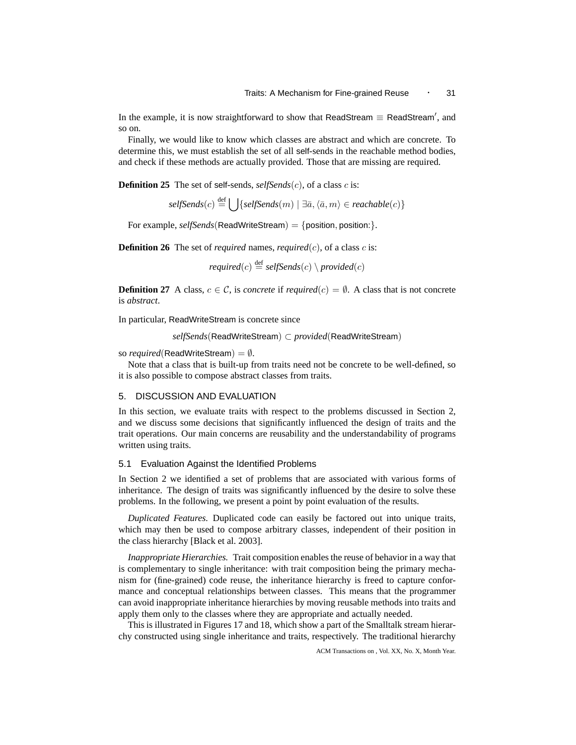In the example, it is now straightforward to show that ReadStream  $\equiv$  ReadStream', and so on.

Finally, we would like to know which classes are abstract and which are concrete. To determine this, we must establish the set of all self-sends in the reachable method bodies, and check if these methods are actually provided. Those that are missing are required.

**Definition 25** The set of self-sends,  $selfSends(c)$ , of a class c is:

 $selfSends(c) \triangleq \left[ \begin{array}{c} \text{def} \\ \text{selfSends}(m) \end{array} \right] \exists \bar{a}, \langle \bar{a}, m \rangle \in reachable(c) \}$ 

For example,  $selfSends(ReadWriteStream) = {position, position:}.$ 

**Definition 26** The set of *required* names, *required*(*c*), of a class *c* is:

 $required(c) \stackrel{\text{def}}{=} \textit{selfSends}(c) \setminus \textit{provided}(c)$ 

**Definition 27** A class,  $c \in \mathcal{C}$ , is *concrete* if *required*( $c$ ) =  $\emptyset$ . A class that is not concrete is *abstract*.

In particular, ReadWriteStream is concrete since

*selfSends*(ReadWriteStream) ⊂ *provided*(ReadWriteStream)

so *required*(ReadWriteStream) = ∅.

Note that a class that is built-up from traits need not be concrete to be well-defined, so it is also possible to compose abstract classes from traits.

## 5. DISCUSSION AND EVALUATION

In this section, we evaluate traits with respect to the problems discussed in Section 2, and we discuss some decisions that significantly influenced the design of traits and the trait operations. Our main concerns are reusability and the understandability of programs written using traits.

## 5.1 Evaluation Against the Identified Problems

In Section 2 we identified a set of problems that are associated with various forms of inheritance. The design of traits was significantly influenced by the desire to solve these problems. In the following, we present a point by point evaluation of the results.

*Duplicated Features.* Duplicated code can easily be factored out into unique traits, which may then be used to compose arbitrary classes, independent of their position in the class hierarchy [Black et al. 2003].

*Inappropriate Hierarchies.* Trait composition enables the reuse of behavior in a way that is complementary to single inheritance: with trait composition being the primary mechanism for (fine-grained) code reuse, the inheritance hierarchy is freed to capture conformance and conceptual relationships between classes. This means that the programmer can avoid inappropriate inheritance hierarchies by moving reusable methods into traits and apply them only to the classes where they are appropriate and actually needed.

This is illustrated in Figures 17 and 18, which show a part of the Smalltalk stream hierarchy constructed using single inheritance and traits, respectively. The traditional hierarchy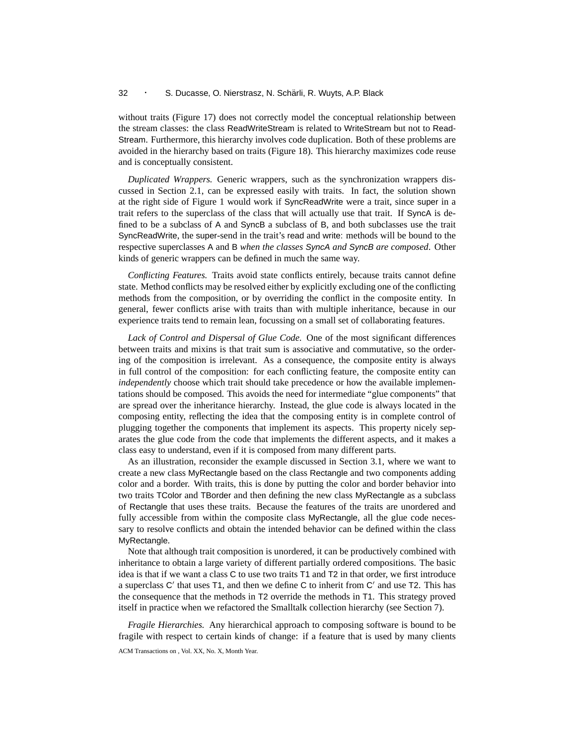without traits (Figure 17) does not correctly model the conceptual relationship between the stream classes: the class ReadWriteStream is related to WriteStream but not to Read-Stream. Furthermore, this hierarchy involves code duplication. Both of these problems are avoided in the hierarchy based on traits (Figure 18). This hierarchy maximizes code reuse and is conceptually consistent.

*Duplicated Wrappers.* Generic wrappers, such as the synchronization wrappers discussed in Section 2.1, can be expressed easily with traits. In fact, the solution shown at the right side of Figure 1 would work if SyncReadWrite were a trait, since super in a trait refers to the superclass of the class that will actually use that trait. If SyncA is defined to be a subclass of A and SyncB a subclass of B, and both subclasses use the trait SyncReadWrite, the super-send in the trait's read and write: methods will be bound to the respective superclasses A and B *when the classes* SyncA *and* SyncB *are composed*. Other kinds of generic wrappers can be defined in much the same way.

*Conflicting Features.* Traits avoid state conflicts entirely, because traits cannot define state. Method conflicts may be resolved either by explicitly excluding one of the conflicting methods from the composition, or by overriding the conflict in the composite entity. In general, fewer conflicts arise with traits than with multiple inheritance, because in our experience traits tend to remain lean, focussing on a small set of collaborating features.

*Lack of Control and Dispersal of Glue Code.* One of the most significant differences between traits and mixins is that trait sum is associative and commutative, so the ordering of the composition is irrelevant. As a consequence, the composite entity is always in full control of the composition: for each conflicting feature, the composite entity can *independently* choose which trait should take precedence or how the available implementations should be composed. This avoids the need for intermediate "glue components" that are spread over the inheritance hierarchy. Instead, the glue code is always located in the composing entity, reflecting the idea that the composing entity is in complete control of plugging together the components that implement its aspects. This property nicely separates the glue code from the code that implements the different aspects, and it makes a class easy to understand, even if it is composed from many different parts.

As an illustration, reconsider the example discussed in Section 3.1, where we want to create a new class MyRectangle based on the class Rectangle and two components adding color and a border. With traits, this is done by putting the color and border behavior into two traits TColor and TBorder and then defining the new class MyRectangle as a subclass of Rectangle that uses these traits. Because the features of the traits are unordered and fully accessible from within the composite class MyRectangle, all the glue code necessary to resolve conflicts and obtain the intended behavior can be defined within the class MyRectangle.

Note that although trait composition is unordered, it can be productively combined with inheritance to obtain a large variety of different partially ordered compositions. The basic idea is that if we want a class C to use two traits T1 and T2 in that order, we first introduce a superclass  $C'$  that uses T1, and then we define C to inherit from  $C'$  and use T2. This has the consequence that the methods in T2 override the methods in T1. This strategy proved itself in practice when we refactored the Smalltalk collection hierarchy (see Section 7).

*Fragile Hierarchies.* Any hierarchical approach to composing software is bound to be fragile with respect to certain kinds of change: if a feature that is used by many clients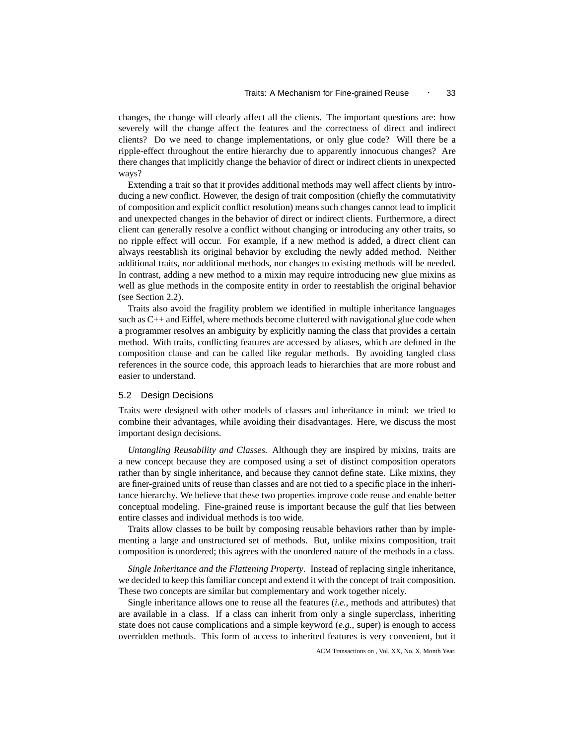changes, the change will clearly affect all the clients. The important questions are: how severely will the change affect the features and the correctness of direct and indirect clients? Do we need to change implementations, or only glue code? Will there be a ripple-effect throughout the entire hierarchy due to apparently innocuous changes? Are there changes that implicitly change the behavior of direct or indirect clients in unexpected ways?

Extending a trait so that it provides additional methods may well affect clients by introducing a new conflict. However, the design of trait composition (chiefly the commutativity of composition and explicit conflict resolution) means such changes cannot lead to implicit and unexpected changes in the behavior of direct or indirect clients. Furthermore, a direct client can generally resolve a conflict without changing or introducing any other traits, so no ripple effect will occur. For example, if a new method is added, a direct client can always reestablish its original behavior by excluding the newly added method. Neither additional traits, nor additional methods, nor changes to existing methods will be needed. In contrast, adding a new method to a mixin may require introducing new glue mixins as well as glue methods in the composite entity in order to reestablish the original behavior (see Section 2.2).

Traits also avoid the fragility problem we identified in multiple inheritance languages such as  $C_{++}$  and Eiffel, where methods become cluttered with navigational glue code when a programmer resolves an ambiguity by explicitly naming the class that provides a certain method. With traits, conflicting features are accessed by aliases, which are defined in the composition clause and can be called like regular methods. By avoiding tangled class references in the source code, this approach leads to hierarchies that are more robust and easier to understand.

## 5.2 Design Decisions

Traits were designed with other models of classes and inheritance in mind: we tried to combine their advantages, while avoiding their disadvantages. Here, we discuss the most important design decisions.

*Untangling Reusability and Classes.* Although they are inspired by mixins, traits are a new concept because they are composed using a set of distinct composition operators rather than by single inheritance, and because they cannot define state. Like mixins, they are finer-grained units of reuse than classes and are not tied to a specific place in the inheritance hierarchy. We believe that these two properties improve code reuse and enable better conceptual modeling. Fine-grained reuse is important because the gulf that lies between entire classes and individual methods is too wide.

Traits allow classes to be built by composing reusable behaviors rather than by implementing a large and unstructured set of methods. But, unlike mixins composition, trait composition is unordered; this agrees with the unordered nature of the methods in a class.

*Single Inheritance and the Flattening Property.* Instead of replacing single inheritance, we decided to keep this familiar concept and extend it with the concept of trait composition. These two concepts are similar but complementary and work together nicely.

Single inheritance allows one to reuse all the features (*i.e.*, methods and attributes) that are available in a class. If a class can inherit from only a single superclass, inheriting state does not cause complications and a simple keyword (*e.g.*, super) is enough to access overridden methods. This form of access to inherited features is very convenient, but it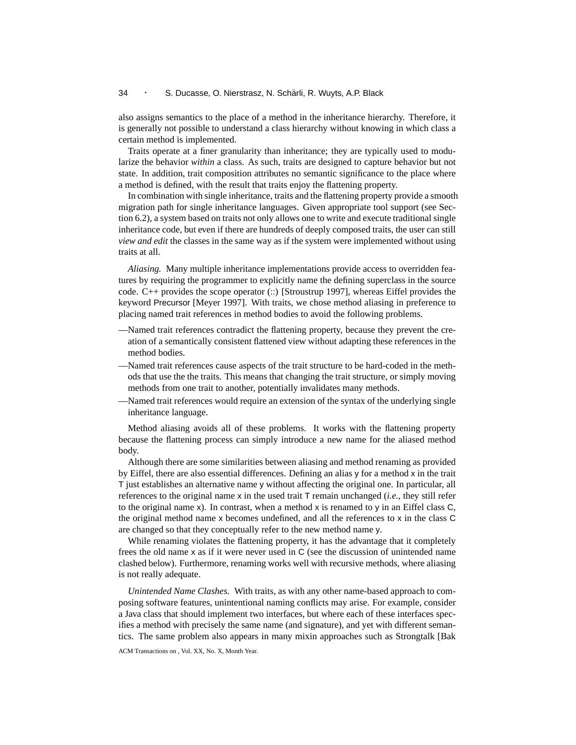also assigns semantics to the place of a method in the inheritance hierarchy. Therefore, it is generally not possible to understand a class hierarchy without knowing in which class a certain method is implemented.

Traits operate at a finer granularity than inheritance; they are typically used to modularize the behavior *within* a class. As such, traits are designed to capture behavior but not state. In addition, trait composition attributes no semantic significance to the place where a method is defined, with the result that traits enjoy the flattening property.

In combination with single inheritance, traits and the flattening property provide a smooth migration path for single inheritance languages. Given appropriate tool support (see Section 6.2), a system based on traits not only allows one to write and execute traditional single inheritance code, but even if there are hundreds of deeply composed traits, the user can still *view and edit* the classes in the same way as if the system were implemented without using traits at all.

*Aliasing.* Many multiple inheritance implementations provide access to overridden features by requiring the programmer to explicitly name the defining superclass in the source code. C++ provides the scope operator (::) [Stroustrup 1997], whereas Eiffel provides the keyword Precursor [Meyer 1997]. With traits, we chose method aliasing in preference to placing named trait references in method bodies to avoid the following problems.

- —Named trait references contradict the flattening property, because they prevent the creation of a semantically consistent flattened view without adapting these references in the method bodies.
- —Named trait references cause aspects of the trait structure to be hard-coded in the methods that use the the traits. This means that changing the trait structure, or simply moving methods from one trait to another, potentially invalidates many methods.
- —Named trait references would require an extension of the syntax of the underlying single inheritance language.

Method aliasing avoids all of these problems. It works with the flattening property because the flattening process can simply introduce a new name for the aliased method body.

Although there are some similarities between aliasing and method renaming as provided by Eiffel, there are also essential differences. Defining an alias y for a method x in the trait T just establishes an alternative name y without affecting the original one. In particular, all references to the original name x in the used trait T remain unchanged (*i.e.*, they still refer to the original name  $x$ ). In contrast, when a method  $x$  is renamed to  $y$  in an Eiffel class  $C$ , the original method name x becomes undefined, and all the references to x in the class C are changed so that they conceptually refer to the new method name y.

While renaming violates the flattening property, it has the advantage that it completely frees the old name x as if it were never used in C (see the discussion of unintended name clashed below). Furthermore, renaming works well with recursive methods, where aliasing is not really adequate.

*Unintended Name Clashes.* With traits, as with any other name-based approach to composing software features, unintentional naming conflicts may arise. For example, consider a Java class that should implement two interfaces, but where each of these interfaces specifies a method with precisely the same name (and signature), and yet with different semantics. The same problem also appears in many mixin approaches such as Strongtalk [Bak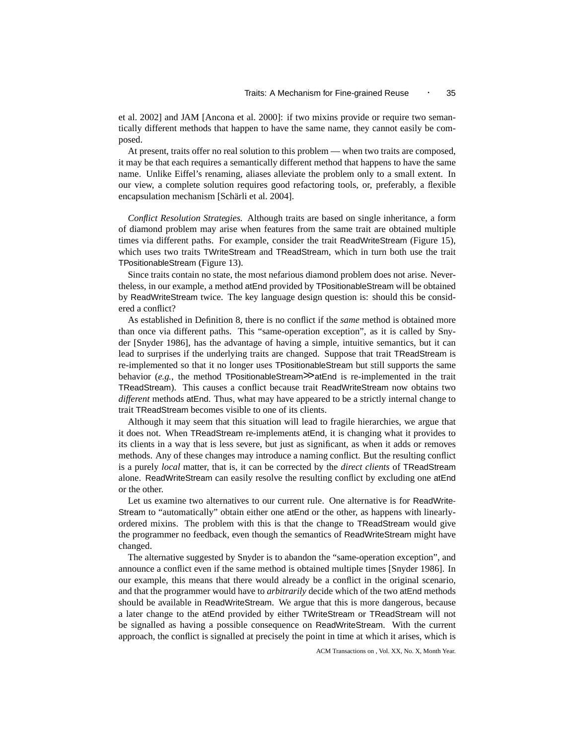et al. 2002] and JAM [Ancona et al. 2000]: if two mixins provide or require two semantically different methods that happen to have the same name, they cannot easily be composed.

At present, traits offer no real solution to this problem — when two traits are composed, it may be that each requires a semantically different method that happens to have the same name. Unlike Eiffel's renaming, aliases alleviate the problem only to a small extent. In our view, a complete solution requires good refactoring tools, or, preferably, a flexible encapsulation mechanism [Schärli et al. 2004].

*Conflict Resolution Strategies.* Although traits are based on single inheritance, a form of diamond problem may arise when features from the same trait are obtained multiple times via different paths. For example, consider the trait ReadWriteStream (Figure 15), which uses two traits TWriteStream and TReadStream, which in turn both use the trait TPositionableStream (Figure 13).

Since traits contain no state, the most nefarious diamond problem does not arise. Nevertheless, in our example, a method atEnd provided by TPositionableStream will be obtained by ReadWriteStream twice. The key language design question is: should this be considered a conflict?

As established in Definition 8, there is no conflict if the *same* method is obtained more than once via different paths. This "same-operation exception", as it is called by Snyder [Snyder 1986], has the advantage of having a simple, intuitive semantics, but it can lead to surprises if the underlying traits are changed. Suppose that trait TReadStream is re-implemented so that it no longer uses TPositionableStream but still supports the same behavior (*e.g.*, the method TPositionableStream>>atEnd is re-implemented in the trait TReadStream). This causes a conflict because trait ReadWriteStream now obtains two *different* methods atEnd. Thus, what may have appeared to be a strictly internal change to trait TReadStream becomes visible to one of its clients.

Although it may seem that this situation will lead to fragile hierarchies, we argue that it does not. When TReadStream re-implements atEnd, it is changing what it provides to its clients in a way that is less severe, but just as significant, as when it adds or removes methods. Any of these changes may introduce a naming conflict. But the resulting conflict is a purely *local* matter, that is, it can be corrected by the *direct clients* of TReadStream alone. ReadWriteStream can easily resolve the resulting conflict by excluding one atEnd or the other.

Let us examine two alternatives to our current rule. One alternative is for ReadWrite-Stream to "automatically" obtain either one atEnd or the other, as happens with linearlyordered mixins. The problem with this is that the change to TReadStream would give the programmer no feedback, even though the semantics of ReadWriteStream might have changed.

The alternative suggested by Snyder is to abandon the "same-operation exception", and announce a conflict even if the same method is obtained multiple times [Snyder 1986]. In our example, this means that there would already be a conflict in the original scenario, and that the programmer would have to *arbitrarily* decide which of the two atEnd methods should be available in ReadWriteStream. We argue that this is more dangerous, because a later change to the atEnd provided by either TWriteStream or TReadStream will not be signalled as having a possible consequence on ReadWriteStream. With the current approach, the conflict is signalled at precisely the point in time at which it arises, which is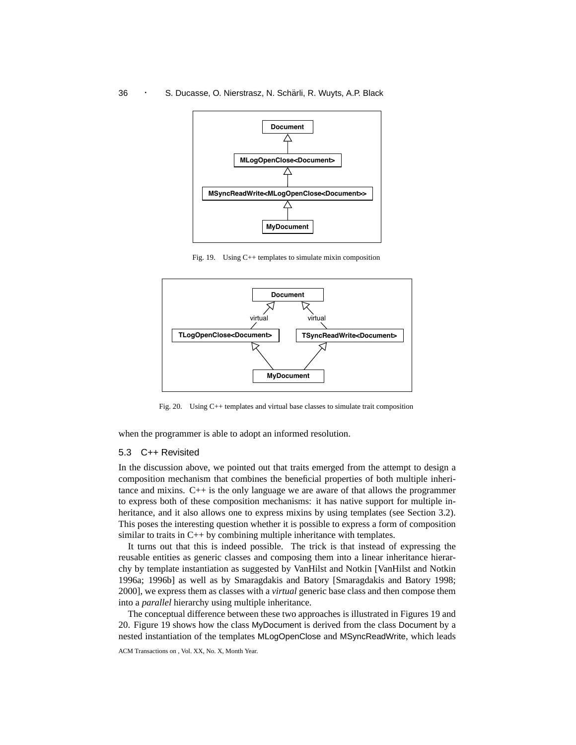

Fig. 19. Using C++ templates to simulate mixin composition



Fig. 20. Using C++ templates and virtual base classes to simulate trait composition

when the programmer is able to adopt an informed resolution.

## 5.3 C++ Revisited

In the discussion above, we pointed out that traits emerged from the attempt to design a composition mechanism that combines the beneficial properties of both multiple inheritance and mixins. C++ is the only language we are aware of that allows the programmer to express both of these composition mechanisms: it has native support for multiple inheritance, and it also allows one to express mixins by using templates (see Section 3.2). This poses the interesting question whether it is possible to express a form of composition similar to traits in  $C^{++}$  by combining multiple inheritance with templates.

It turns out that this is indeed possible. The trick is that instead of expressing the reusable entities as generic classes and composing them into a linear inheritance hierarchy by template instantiation as suggested by VanHilst and Notkin [VanHilst and Notkin 1996a; 1996b] as well as by Smaragdakis and Batory [Smaragdakis and Batory 1998; 2000], we express them as classes with a *virtual* generic base class and then compose them into a *parallel* hierarchy using multiple inheritance.

The conceptual difference between these two approaches is illustrated in Figures 19 and 20. Figure 19 shows how the class MyDocument is derived from the class Document by a nested instantiation of the templates MLogOpenClose and MSyncReadWrite, which leads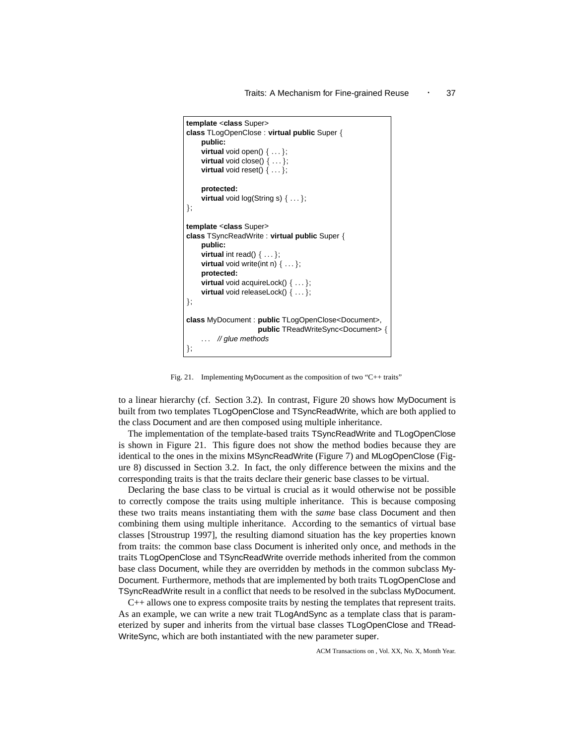```
template <class Super>
class TLogOpenClose : virtual public Super {
    public:
    virtual void open() \{ \ldots \};
    virtual void close() \{ \ldots \};
    virtual void reset() \{ \ldots \};
    protected:
    virtual void log(String s) { . . . };
};
template <class Super>
class TSyncReadWrite : virtual public Super {
    public:
    virtual int read() \{ \ldots \};
    virtual void write(int n) { ... };
    protected:
    virtual void acquireLock() { ... };
    virtual void releaseLock() { ... };
};
class MyDocument : public TLogOpenClose<Document>,
                      public TReadWriteSync<Document> {
     .. // glue methods
};
```
Fig. 21. Implementing MyDocument as the composition of two "C++ traits"

to a linear hierarchy (cf. Section 3.2). In contrast, Figure 20 shows how MyDocument is built from two templates TLogOpenClose and TSyncReadWrite, which are both applied to the class Document and are then composed using multiple inheritance.

The implementation of the template-based traits TSyncReadWrite and TLogOpenClose is shown in Figure 21. This figure does not show the method bodies because they are identical to the ones in the mixins MSyncReadWrite (Figure 7) and MLogOpenClose (Figure 8) discussed in Section 3.2. In fact, the only difference between the mixins and the corresponding traits is that the traits declare their generic base classes to be virtual.

Declaring the base class to be virtual is crucial as it would otherwise not be possible to correctly compose the traits using multiple inheritance. This is because composing these two traits means instantiating them with the *same* base class Document and then combining them using multiple inheritance. According to the semantics of virtual base classes [Stroustrup 1997], the resulting diamond situation has the key properties known from traits: the common base class Document is inherited only once, and methods in the traits TLogOpenClose and TSyncReadWrite override methods inherited from the common base class Document, while they are overridden by methods in the common subclass My-Document. Furthermore, methods that are implemented by both traits TLogOpenClose and TSyncReadWrite result in a conflict that needs to be resolved in the subclass MyDocument.

C++ allows one to express composite traits by nesting the templates that represent traits. As an example, we can write a new trait TLogAndSync as a template class that is parameterized by super and inherits from the virtual base classes TLogOpenClose and TRead-WriteSync, which are both instantiated with the new parameter super.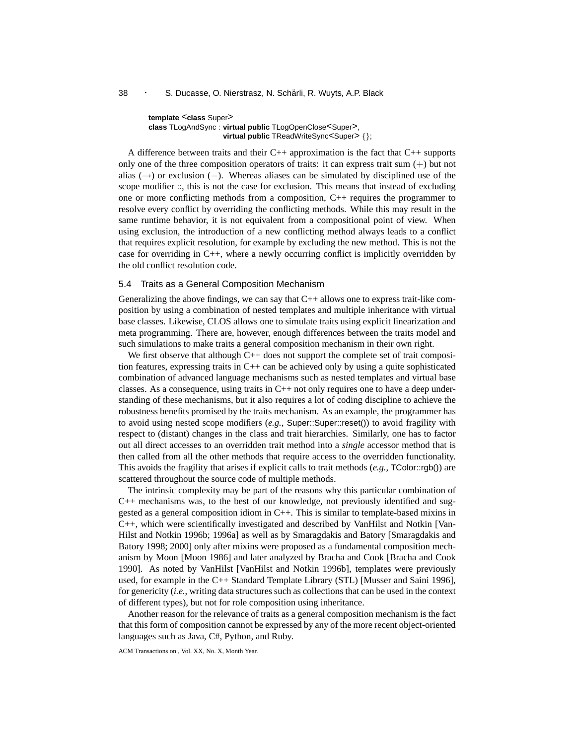**template** <**class** Super> **class** TLogAndSync : **virtual public** TLogOpenClose<Super>, **virtual public** TReadWriteSync<Super> {};

A difference between traits and their  $C_{++}$  approximation is the fact that  $C_{++}$  supports only one of the three composition operators of traits: it can express trait sum  $(+)$  but not alias  $(\rightarrow)$  or exclusion  $(-)$ . Whereas aliases can be simulated by disciplined use of the scope modifier ::, this is not the case for exclusion. This means that instead of excluding one or more conflicting methods from a composition, C++ requires the programmer to resolve every conflict by overriding the conflicting methods. While this may result in the same runtime behavior, it is not equivalent from a compositional point of view. When using exclusion, the introduction of a new conflicting method always leads to a conflict that requires explicit resolution, for example by excluding the new method. This is not the case for overriding in C++, where a newly occurring conflict is implicitly overridden by the old conflict resolution code.

## 5.4 Traits as a General Composition Mechanism

Generalizing the above findings, we can say that C++ allows one to express trait-like composition by using a combination of nested templates and multiple inheritance with virtual base classes. Likewise, CLOS allows one to simulate traits using explicit linearization and meta programming. There are, however, enough differences between the traits model and such simulations to make traits a general composition mechanism in their own right.

We first observe that although C++ does not support the complete set of trait composition features, expressing traits in C++ can be achieved only by using a quite sophisticated combination of advanced language mechanisms such as nested templates and virtual base classes. As a consequence, using traits in  $C_{++}$  not only requires one to have a deep understanding of these mechanisms, but it also requires a lot of coding discipline to achieve the robustness benefits promised by the traits mechanism. As an example, the programmer has to avoid using nested scope modifiers (*e.g.*, Super::Super::reset()) to avoid fragility with respect to (distant) changes in the class and trait hierarchies. Similarly, one has to factor out all direct accesses to an overridden trait method into a *single* accessor method that is then called from all the other methods that require access to the overridden functionality. This avoids the fragility that arises if explicit calls to trait methods (*e.g.*, TColor::rgb()) are scattered throughout the source code of multiple methods.

The intrinsic complexity may be part of the reasons why this particular combination of C++ mechanisms was, to the best of our knowledge, not previously identified and suggested as a general composition idiom in C++. This is similar to template-based mixins in C++, which were scientifically investigated and described by VanHilst and Notkin [Van-Hilst and Notkin 1996b; 1996a] as well as by Smaragdakis and Batory [Smaragdakis and Batory 1998; 2000] only after mixins were proposed as a fundamental composition mechanism by Moon [Moon 1986] and later analyzed by Bracha and Cook [Bracha and Cook 1990]. As noted by VanHilst [VanHilst and Notkin 1996b], templates were previously used, for example in the C++ Standard Template Library (STL) [Musser and Saini 1996], for genericity (*i.e.*, writing data structures such as collections that can be used in the context of different types), but not for role composition using inheritance.

Another reason for the relevance of traits as a general composition mechanism is the fact that this form of composition cannot be expressed by any of the more recent object-oriented languages such as Java, C#, Python, and Ruby.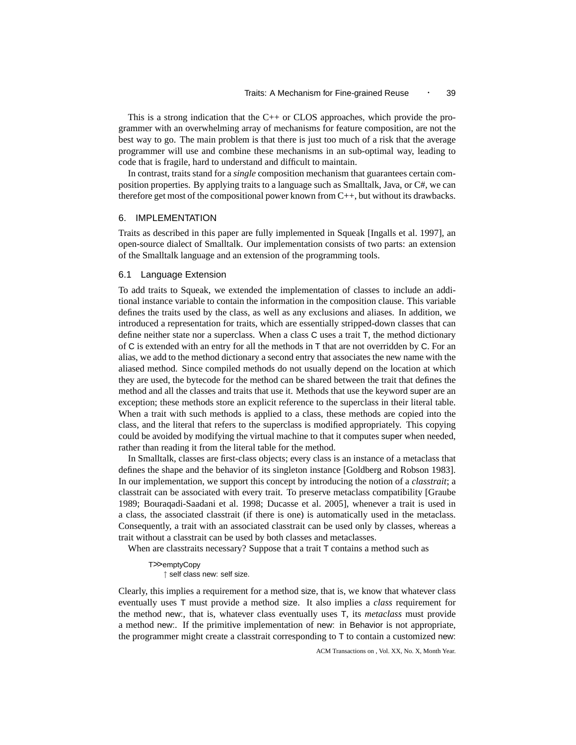This is a strong indication that the  $C++$  or CLOS approaches, which provide the programmer with an overwhelming array of mechanisms for feature composition, are not the best way to go. The main problem is that there is just too much of a risk that the average programmer will use and combine these mechanisms in an sub-optimal way, leading to code that is fragile, hard to understand and difficult to maintain.

In contrast, traits stand for a *single* composition mechanism that guarantees certain composition properties. By applying traits to a language such as Smalltalk, Java, or C#, we can therefore get most of the compositional power known from C++, but without its drawbacks.

### 6. IMPLEMENTATION

Traits as described in this paper are fully implemented in Squeak [Ingalls et al. 1997], an open-source dialect of Smalltalk. Our implementation consists of two parts: an extension of the Smalltalk language and an extension of the programming tools.

## 6.1 Language Extension

To add traits to Squeak, we extended the implementation of classes to include an additional instance variable to contain the information in the composition clause. This variable defines the traits used by the class, as well as any exclusions and aliases. In addition, we introduced a representation for traits, which are essentially stripped-down classes that can define neither state nor a superclass. When a class C uses a trait T, the method dictionary of C is extended with an entry for all the methods in T that are not overridden by C. For an alias, we add to the method dictionary a second entry that associates the new name with the aliased method. Since compiled methods do not usually depend on the location at which they are used, the bytecode for the method can be shared between the trait that defines the method and all the classes and traits that use it. Methods that use the keyword super are an exception; these methods store an explicit reference to the superclass in their literal table. When a trait with such methods is applied to a class, these methods are copied into the class, and the literal that refers to the superclass is modified appropriately. This copying could be avoided by modifying the virtual machine to that it computes super when needed, rather than reading it from the literal table for the method.

In Smalltalk, classes are first-class objects; every class is an instance of a metaclass that defines the shape and the behavior of its singleton instance [Goldberg and Robson 1983]. In our implementation, we support this concept by introducing the notion of a *classtrait*; a classtrait can be associated with every trait. To preserve metaclass compatibility [Graube 1989; Bouraqadi-Saadani et al. 1998; Ducasse et al. 2005], whenever a trait is used in a class, the associated classtrait (if there is one) is automatically used in the metaclass. Consequently, a trait with an associated classtrait can be used only by classes, whereas a trait without a classtrait can be used by both classes and metaclasses.

When are classtraits necessary? Suppose that a trait T contains a method such as

T>>emptyCopy ↑ self class new: self size.

Clearly, this implies a requirement for a method size, that is, we know that whatever class eventually uses T must provide a method size. It also implies a *class* requirement for the method new:, that is, whatever class eventually uses T, its *metaclass* must provide a method new:. If the primitive implementation of new: in Behavior is not appropriate, the programmer might create a classtrait corresponding to T to contain a customized new: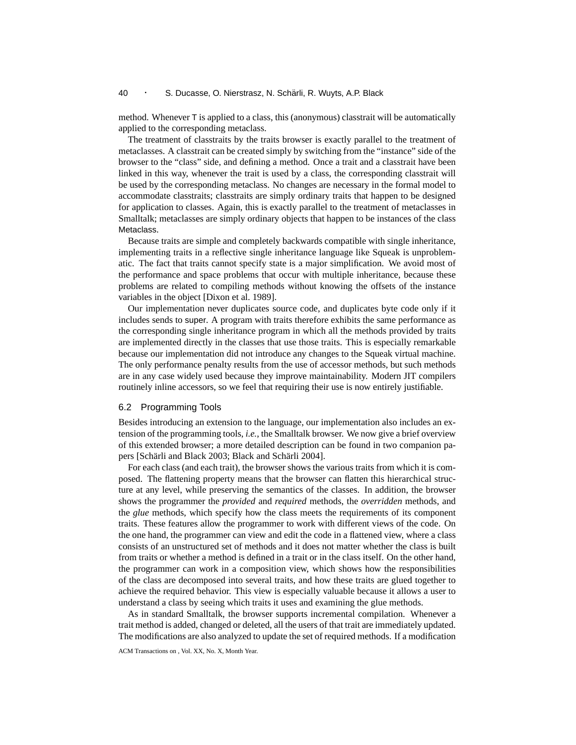method. Whenever T is applied to a class, this (anonymous) classtrait will be automatically applied to the corresponding metaclass.

The treatment of classtraits by the traits browser is exactly parallel to the treatment of metaclasses. A classtrait can be created simply by switching from the "instance" side of the browser to the "class" side, and defining a method. Once a trait and a classtrait have been linked in this way, whenever the trait is used by a class, the corresponding classtrait will be used by the corresponding metaclass. No changes are necessary in the formal model to accommodate classtraits; classtraits are simply ordinary traits that happen to be designed for application to classes. Again, this is exactly parallel to the treatment of metaclasses in Smalltalk; metaclasses are simply ordinary objects that happen to be instances of the class Metaclass.

Because traits are simple and completely backwards compatible with single inheritance, implementing traits in a reflective single inheritance language like Squeak is unproblematic. The fact that traits cannot specify state is a major simplification. We avoid most of the performance and space problems that occur with multiple inheritance, because these problems are related to compiling methods without knowing the offsets of the instance variables in the object [Dixon et al. 1989].

Our implementation never duplicates source code, and duplicates byte code only if it includes sends to super. A program with traits therefore exhibits the same performance as the corresponding single inheritance program in which all the methods provided by traits are implemented directly in the classes that use those traits. This is especially remarkable because our implementation did not introduce any changes to the Squeak virtual machine. The only performance penalty results from the use of accessor methods, but such methods are in any case widely used because they improve maintainability. Modern JIT compilers routinely inline accessors, so we feel that requiring their use is now entirely justifiable.

## 6.2 Programming Tools

Besides introducing an extension to the language, our implementation also includes an extension of the programming tools, *i.e.*, the Smalltalk browser. We now give a brief overview of this extended browser; a more detailed description can be found in two companion papers [Schärli and Black 2003; Black and Schärli 2004].

For each class (and each trait), the browser shows the various traits from which it is composed. The flattening property means that the browser can flatten this hierarchical structure at any level, while preserving the semantics of the classes. In addition, the browser shows the programmer the *provided* and *required* methods, the *overridden* methods, and the *glue* methods, which specify how the class meets the requirements of its component traits. These features allow the programmer to work with different views of the code. On the one hand, the programmer can view and edit the code in a flattened view, where a class consists of an unstructured set of methods and it does not matter whether the class is built from traits or whether a method is defined in a trait or in the class itself. On the other hand, the programmer can work in a composition view, which shows how the responsibilities of the class are decomposed into several traits, and how these traits are glued together to achieve the required behavior. This view is especially valuable because it allows a user to understand a class by seeing which traits it uses and examining the glue methods.

As in standard Smalltalk, the browser supports incremental compilation. Whenever a trait method is added, changed or deleted, all the users of that trait are immediately updated. The modifications are also analyzed to update the set of required methods. If a modification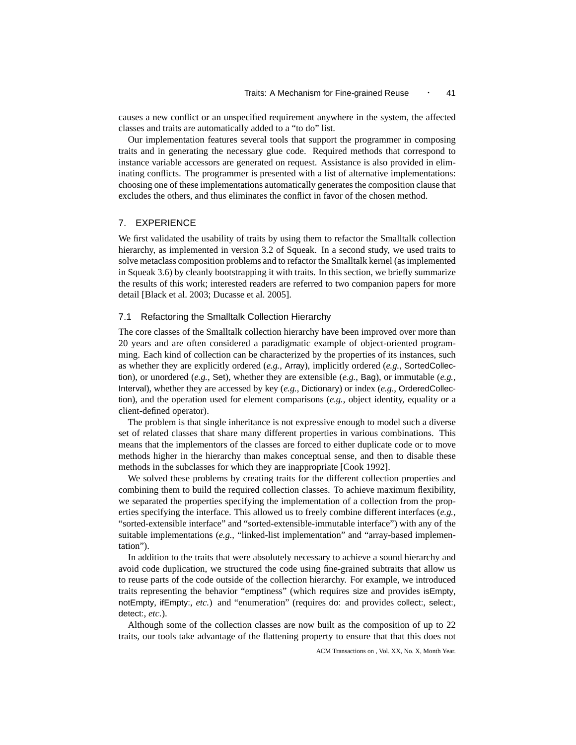causes a new conflict or an unspecified requirement anywhere in the system, the affected classes and traits are automatically added to a "to do" list.

Our implementation features several tools that support the programmer in composing traits and in generating the necessary glue code. Required methods that correspond to instance variable accessors are generated on request. Assistance is also provided in eliminating conflicts. The programmer is presented with a list of alternative implementations: choosing one of these implementations automatically generates the composition clause that excludes the others, and thus eliminates the conflict in favor of the chosen method.

## 7. EXPERIENCE

We first validated the usability of traits by using them to refactor the Smalltalk collection hierarchy, as implemented in version 3.2 of Squeak. In a second study, we used traits to solve metaclass composition problems and to refactor the Smalltalk kernel (as implemented in Squeak 3.6) by cleanly bootstrapping it with traits. In this section, we briefly summarize the results of this work; interested readers are referred to two companion papers for more detail [Black et al. 2003; Ducasse et al. 2005].

## 7.1 Refactoring the Smalltalk Collection Hierarchy

The core classes of the Smalltalk collection hierarchy have been improved over more than 20 years and are often considered a paradigmatic example of object-oriented programming. Each kind of collection can be characterized by the properties of its instances, such as whether they are explicitly ordered (*e.g.*, Array), implicitly ordered (*e.g.*, SortedCollection), or unordered (*e.g.*, Set), whether they are extensible (*e.g.*, Bag), or immutable (*e.g.*, Interval), whether they are accessed by key (*e.g.*, Dictionary) or index (*e.g.*, OrderedCollection), and the operation used for element comparisons (*e.g.*, object identity, equality or a client-defined operator).

The problem is that single inheritance is not expressive enough to model such a diverse set of related classes that share many different properties in various combinations. This means that the implementors of the classes are forced to either duplicate code or to move methods higher in the hierarchy than makes conceptual sense, and then to disable these methods in the subclasses for which they are inappropriate [Cook 1992].

We solved these problems by creating traits for the different collection properties and combining them to build the required collection classes. To achieve maximum flexibility, we separated the properties specifying the implementation of a collection from the properties specifying the interface. This allowed us to freely combine different interfaces (*e.g.*, "sorted-extensible interface" and "sorted-extensible-immutable interface") with any of the suitable implementations (*e.g.*, "linked-list implementation" and "array-based implementation").

In addition to the traits that were absolutely necessary to achieve a sound hierarchy and avoid code duplication, we structured the code using fine-grained subtraits that allow us to reuse parts of the code outside of the collection hierarchy. For example, we introduced traits representing the behavior "emptiness" (which requires size and provides isEmpty, notEmpty, ifEmpty:, *etc.*) and "enumeration" (requires do: and provides collect:, select:, detect:, *etc.*).

Although some of the collection classes are now built as the composition of up to 22 traits, our tools take advantage of the flattening property to ensure that that this does not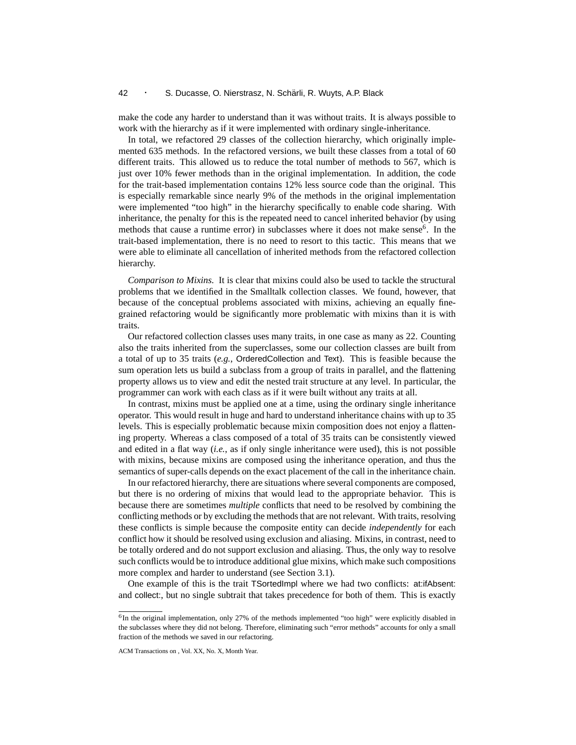## 42 · S. Ducasse, O. Nierstrasz, N. Schärli, R. Wuyts, A.P. Black

make the code any harder to understand than it was without traits. It is always possible to work with the hierarchy as if it were implemented with ordinary single-inheritance.

In total, we refactored 29 classes of the collection hierarchy, which originally implemented 635 methods. In the refactored versions, we built these classes from a total of 60 different traits. This allowed us to reduce the total number of methods to 567, which is just over 10% fewer methods than in the original implementation. In addition, the code for the trait-based implementation contains 12% less source code than the original. This is especially remarkable since nearly 9% of the methods in the original implementation were implemented "too high" in the hierarchy specifically to enable code sharing. With inheritance, the penalty for this is the repeated need to cancel inherited behavior (by using methods that cause a runtime error) in subclasses where it does not make sense<sup>6</sup>. In the trait-based implementation, there is no need to resort to this tactic. This means that we were able to eliminate all cancellation of inherited methods from the refactored collection hierarchy.

*Comparison to Mixins.* It is clear that mixins could also be used to tackle the structural problems that we identified in the Smalltalk collection classes. We found, however, that because of the conceptual problems associated with mixins, achieving an equally finegrained refactoring would be significantly more problematic with mixins than it is with traits.

Our refactored collection classes uses many traits, in one case as many as 22. Counting also the traits inherited from the superclasses, some our collection classes are built from a total of up to 35 traits (*e.g.*, OrderedCollection and Text). This is feasible because the sum operation lets us build a subclass from a group of traits in parallel, and the flattening property allows us to view and edit the nested trait structure at any level. In particular, the programmer can work with each class as if it were built without any traits at all.

In contrast, mixins must be applied one at a time, using the ordinary single inheritance operator. This would result in huge and hard to understand inheritance chains with up to 35 levels. This is especially problematic because mixin composition does not enjoy a flattening property. Whereas a class composed of a total of 35 traits can be consistently viewed and edited in a flat way (*i.e.*, as if only single inheritance were used), this is not possible with mixins, because mixins are composed using the inheritance operation, and thus the semantics of super-calls depends on the exact placement of the call in the inheritance chain.

In our refactored hierarchy, there are situations where several components are composed, but there is no ordering of mixins that would lead to the appropriate behavior. This is because there are sometimes *multiple* conflicts that need to be resolved by combining the conflicting methods or by excluding the methods that are not relevant. With traits, resolving these conflicts is simple because the composite entity can decide *independently* for each conflict how it should be resolved using exclusion and aliasing. Mixins, in contrast, need to be totally ordered and do not support exclusion and aliasing. Thus, the only way to resolve such conflicts would be to introduce additional glue mixins, which make such compositions more complex and harder to understand (see Section 3.1).

One example of this is the trait TSortedImpl where we had two conflicts: at:ifAbsent: and collect:, but no single subtrait that takes precedence for both of them. This is exactly

 ${}^{6}$ In the original implementation, only 27% of the methods implemented "too high" were explicitly disabled in the subclasses where they did not belong. Therefore, eliminating such "error methods" accounts for only a small fraction of the methods we saved in our refactoring.

ACM Transactions on , Vol. XX, No. X, Month Year.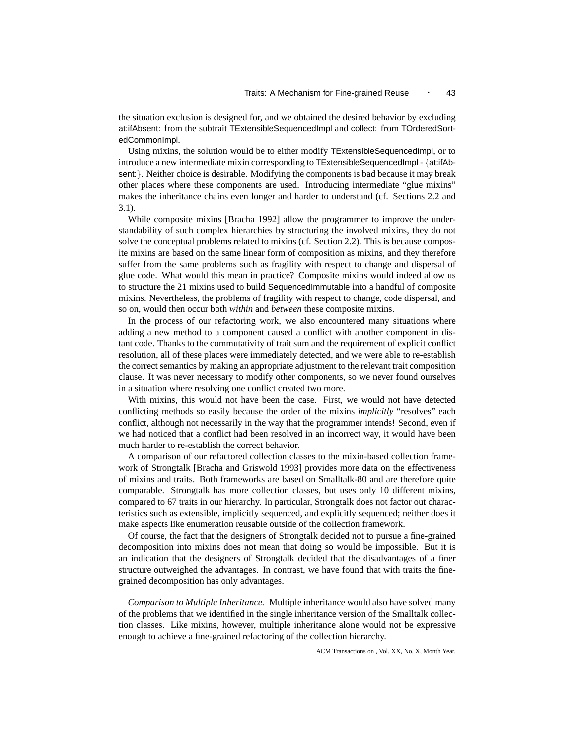the situation exclusion is designed for, and we obtained the desired behavior by excluding at:ifAbsent: from the subtrait TExtensibleSequencedImpl and collect: from TOrderedSortedCommonImpl.

Using mixins, the solution would be to either modify TExtensibleSequencedImpl, or to introduce a new intermediate mixin corresponding to TExtensibleSequencedImpl - {at:ifAbsent:}. Neither choice is desirable. Modifying the components is bad because it may break other places where these components are used. Introducing intermediate "glue mixins" makes the inheritance chains even longer and harder to understand (cf. Sections 2.2 and 3.1).

While composite mixins [Bracha 1992] allow the programmer to improve the understandability of such complex hierarchies by structuring the involved mixins, they do not solve the conceptual problems related to mixins (cf. Section 2.2). This is because composite mixins are based on the same linear form of composition as mixins, and they therefore suffer from the same problems such as fragility with respect to change and dispersal of glue code. What would this mean in practice? Composite mixins would indeed allow us to structure the 21 mixins used to build SequencedImmutable into a handful of composite mixins. Nevertheless, the problems of fragility with respect to change, code dispersal, and so on, would then occur both *within* and *between* these composite mixins.

In the process of our refactoring work, we also encountered many situations where adding a new method to a component caused a conflict with another component in distant code. Thanks to the commutativity of trait sum and the requirement of explicit conflict resolution, all of these places were immediately detected, and we were able to re-establish the correct semantics by making an appropriate adjustment to the relevant trait composition clause. It was never necessary to modify other components, so we never found ourselves in a situation where resolving one conflict created two more.

With mixins, this would not have been the case. First, we would not have detected conflicting methods so easily because the order of the mixins *implicitly* "resolves" each conflict, although not necessarily in the way that the programmer intends! Second, even if we had noticed that a conflict had been resolved in an incorrect way, it would have been much harder to re-establish the correct behavior.

A comparison of our refactored collection classes to the mixin-based collection framework of Strongtalk [Bracha and Griswold 1993] provides more data on the effectiveness of mixins and traits. Both frameworks are based on Smalltalk-80 and are therefore quite comparable. Strongtalk has more collection classes, but uses only 10 different mixins, compared to 67 traits in our hierarchy. In particular, Strongtalk does not factor out characteristics such as extensible, implicitly sequenced, and explicitly sequenced; neither does it make aspects like enumeration reusable outside of the collection framework.

Of course, the fact that the designers of Strongtalk decided not to pursue a fine-grained decomposition into mixins does not mean that doing so would be impossible. But it is an indication that the designers of Strongtalk decided that the disadvantages of a finer structure outweighed the advantages. In contrast, we have found that with traits the finegrained decomposition has only advantages.

*Comparison to Multiple Inheritance.* Multiple inheritance would also have solved many of the problems that we identified in the single inheritance version of the Smalltalk collection classes. Like mixins, however, multiple inheritance alone would not be expressive enough to achieve a fine-grained refactoring of the collection hierarchy.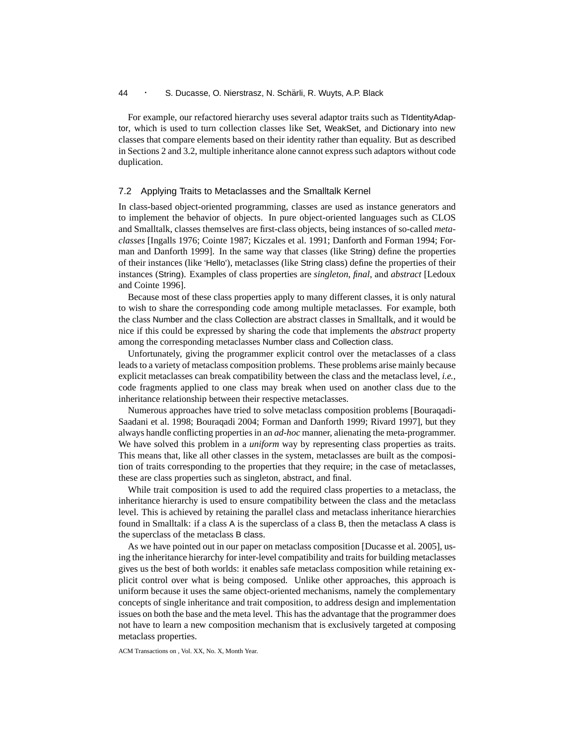## 44 · S. Ducasse, O. Nierstrasz, N. Schärli, R. Wuyts, A.P. Black

For example, our refactored hierarchy uses several adaptor traits such as TIdentityAdaptor, which is used to turn collection classes like Set, WeakSet, and Dictionary into new classes that compare elements based on their identity rather than equality. But as described in Sections 2 and 3.2, multiple inheritance alone cannot express such adaptors without code duplication.

## 7.2 Applying Traits to Metaclasses and the Smalltalk Kernel

In class-based object-oriented programming, classes are used as instance generators and to implement the behavior of objects. In pure object-oriented languages such as CLOS and Smalltalk, classes themselves are first-class objects, being instances of so-called *metaclasses* [Ingalls 1976; Cointe 1987; Kiczales et al. 1991; Danforth and Forman 1994; Forman and Danforth 1999]. In the same way that classes (like String) define the properties of their instances (like 'Hello'), metaclasses (like String class) define the properties of their instances (String). Examples of class properties are *singleton*, *final*, and *abstract* [Ledoux and Cointe 1996].

Because most of these class properties apply to many different classes, it is only natural to wish to share the corresponding code among multiple metaclasses. For example, both the class Number and the class Collection are abstract classes in Smalltalk, and it would be nice if this could be expressed by sharing the code that implements the *abstract* property among the corresponding metaclasses Number class and Collection class.

Unfortunately, giving the programmer explicit control over the metaclasses of a class leads to a variety of metaclass composition problems. These problems arise mainly because explicit metaclasses can break compatibility between the class and the metaclass level, *i.e.*, code fragments applied to one class may break when used on another class due to the inheritance relationship between their respective metaclasses.

Numerous approaches have tried to solve metaclass composition problems [Bouraqadi-Saadani et al. 1998; Bouraqadi 2004; Forman and Danforth 1999; Rivard 1997], but they always handle conflicting properties in an *ad-hoc* manner, alienating the meta-programmer. We have solved this problem in a *uniform* way by representing class properties as traits. This means that, like all other classes in the system, metaclasses are built as the composition of traits corresponding to the properties that they require; in the case of metaclasses, these are class properties such as singleton, abstract, and final.

While trait composition is used to add the required class properties to a metaclass, the inheritance hierarchy is used to ensure compatibility between the class and the metaclass level. This is achieved by retaining the parallel class and metaclass inheritance hierarchies found in Smalltalk: if a class A is the superclass of a class B, then the metaclass A class is the superclass of the metaclass B class.

As we have pointed out in our paper on metaclass composition [Ducasse et al. 2005], using the inheritance hierarchy for inter-level compatibility and traits for building metaclasses gives us the best of both worlds: it enables safe metaclass composition while retaining explicit control over what is being composed. Unlike other approaches, this approach is uniform because it uses the same object-oriented mechanisms, namely the complementary concepts of single inheritance and trait composition, to address design and implementation issues on both the base and the meta level. This has the advantage that the programmer does not have to learn a new composition mechanism that is exclusively targeted at composing metaclass properties.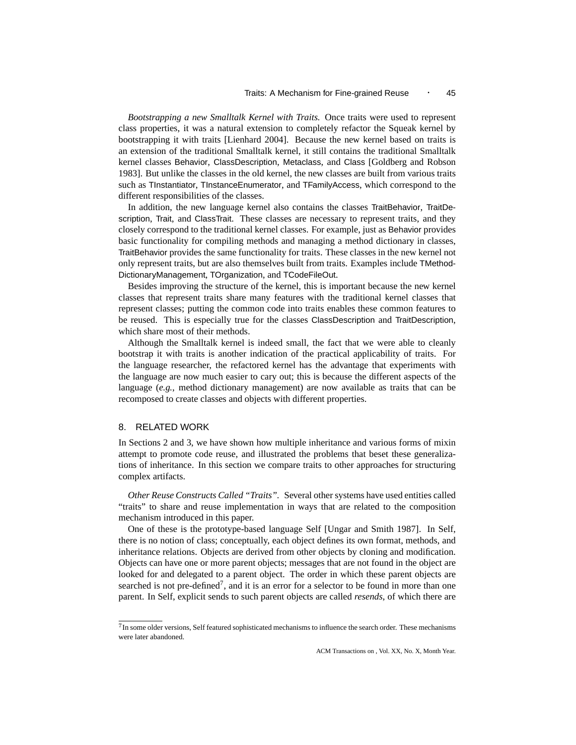*Bootstrapping a new Smalltalk Kernel with Traits.* Once traits were used to represent class properties, it was a natural extension to completely refactor the Squeak kernel by bootstrapping it with traits [Lienhard 2004]. Because the new kernel based on traits is an extension of the traditional Smalltalk kernel, it still contains the traditional Smalltalk kernel classes Behavior, ClassDescription, Metaclass, and Class [Goldberg and Robson 1983]. But unlike the classes in the old kernel, the new classes are built from various traits such as TInstantiator, TInstanceEnumerator, and TFamilyAccess, which correspond to the different responsibilities of the classes.

In addition, the new language kernel also contains the classes TraitBehavior, TraitDescription, Trait, and ClassTrait. These classes are necessary to represent traits, and they closely correspond to the traditional kernel classes. For example, just as Behavior provides basic functionality for compiling methods and managing a method dictionary in classes, TraitBehavior provides the same functionality for traits. These classes in the new kernel not only represent traits, but are also themselves built from traits. Examples include TMethod-DictionaryManagement, TOrganization, and TCodeFileOut.

Besides improving the structure of the kernel, this is important because the new kernel classes that represent traits share many features with the traditional kernel classes that represent classes; putting the common code into traits enables these common features to be reused. This is especially true for the classes ClassDescription and TraitDescription, which share most of their methods.

Although the Smalltalk kernel is indeed small, the fact that we were able to cleanly bootstrap it with traits is another indication of the practical applicability of traits. For the language researcher, the refactored kernel has the advantage that experiments with the language are now much easier to cary out; this is because the different aspects of the language (*e.g.*, method dictionary management) are now available as traits that can be recomposed to create classes and objects with different properties.

### 8. RELATED WORK

In Sections 2 and 3, we have shown how multiple inheritance and various forms of mixin attempt to promote code reuse, and illustrated the problems that beset these generalizations of inheritance. In this section we compare traits to other approaches for structuring complex artifacts.

*Other Reuse Constructs Called "Traits".* Several other systems have used entities called "traits" to share and reuse implementation in ways that are related to the composition mechanism introduced in this paper.

One of these is the prototype-based language Self [Ungar and Smith 1987]. In Self, there is no notion of class; conceptually, each object defines its own format, methods, and inheritance relations. Objects are derived from other objects by cloning and modification. Objects can have one or more parent objects; messages that are not found in the object are looked for and delegated to a parent object. The order in which these parent objects are searched is not pre-defined<sup>7</sup>, and it is an error for a selector to be found in more than one parent. In Self, explicit sends to such parent objects are called *resends*, of which there are

<sup>7</sup> In some older versions, Self featured sophisticated mechanisms to influence the search order. These mechanisms were later abandoned.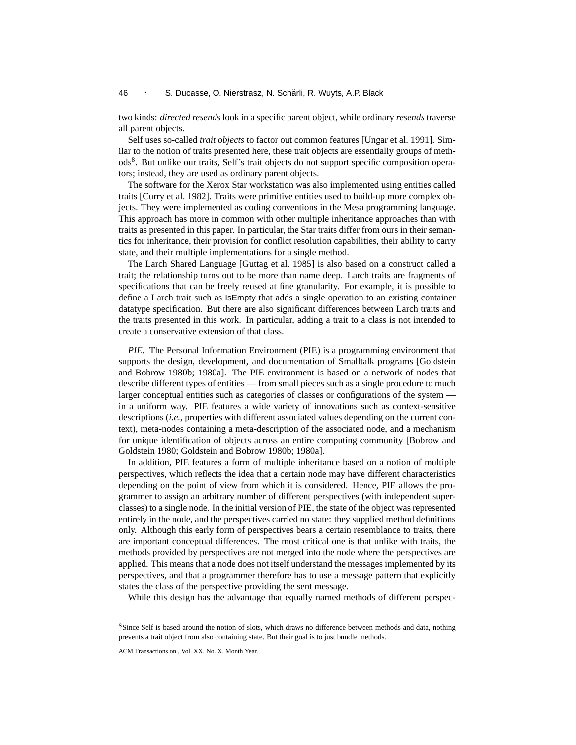two kinds: *directed resends* look in a specific parent object, while ordinary *resends* traverse all parent objects.

Self uses so-called *trait objects* to factor out common features [Ungar et al. 1991]. Similar to the notion of traits presented here, these trait objects are essentially groups of methods<sup>8</sup>. But unlike our traits, Self's trait objects do not support specific composition operators; instead, they are used as ordinary parent objects.

The software for the Xerox Star workstation was also implemented using entities called traits [Curry et al. 1982]. Traits were primitive entities used to build-up more complex objects. They were implemented as coding conventions in the Mesa programming language. This approach has more in common with other multiple inheritance approaches than with traits as presented in this paper. In particular, the Star traits differ from ours in their semantics for inheritance, their provision for conflict resolution capabilities, their ability to carry state, and their multiple implementations for a single method.

The Larch Shared Language [Guttag et al. 1985] is also based on a construct called a trait; the relationship turns out to be more than name deep. Larch traits are fragments of specifications that can be freely reused at fine granularity. For example, it is possible to define a Larch trait such as IsEmpty that adds a single operation to an existing container datatype specification. But there are also significant differences between Larch traits and the traits presented in this work. In particular, adding a trait to a class is not intended to create a conservative extension of that class.

*PIE.* The Personal Information Environment (PIE) is a programming environment that supports the design, development, and documentation of Smalltalk programs [Goldstein and Bobrow 1980b; 1980a]. The PIE environment is based on a network of nodes that describe different types of entities — from small pieces such as a single procedure to much larger conceptual entities such as categories of classes or configurations of the system in a uniform way. PIE features a wide variety of innovations such as context-sensitive descriptions (*i.e.*, properties with different associated values depending on the current context), meta-nodes containing a meta-description of the associated node, and a mechanism for unique identification of objects across an entire computing community [Bobrow and Goldstein 1980; Goldstein and Bobrow 1980b; 1980a].

In addition, PIE features a form of multiple inheritance based on a notion of multiple perspectives, which reflects the idea that a certain node may have different characteristics depending on the point of view from which it is considered. Hence, PIE allows the programmer to assign an arbitrary number of different perspectives (with independent superclasses) to a single node. In the initial version of PIE, the state of the object was represented entirely in the node, and the perspectives carried no state: they supplied method definitions only. Although this early form of perspectives bears a certain resemblance to traits, there are important conceptual differences. The most critical one is that unlike with traits, the methods provided by perspectives are not merged into the node where the perspectives are applied. This means that a node does not itself understand the messages implemented by its perspectives, and that a programmer therefore has to use a message pattern that explicitly states the class of the perspective providing the sent message.

While this design has the advantage that equally named methods of different perspec-

<sup>&</sup>lt;sup>8</sup>Since Self is based around the notion of slots, which draws no difference between methods and data, nothing prevents a trait object from also containing state. But their goal is to just bundle methods.

ACM Transactions on , Vol. XX, No. X, Month Year.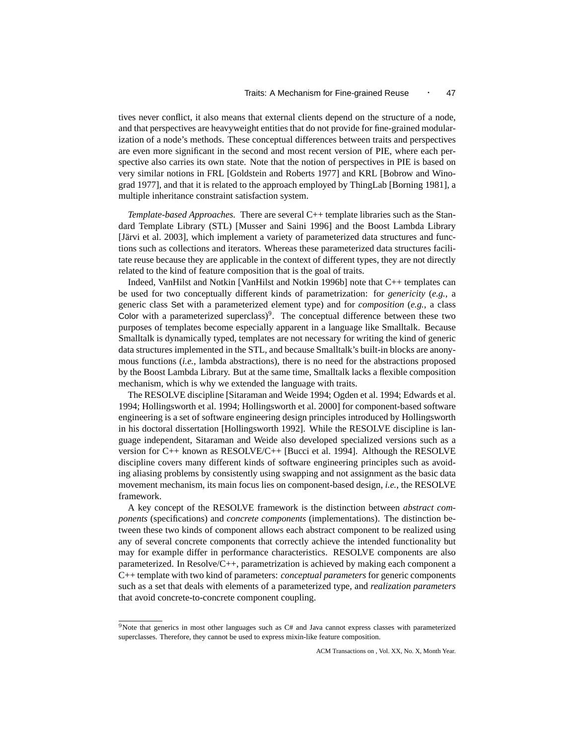tives never conflict, it also means that external clients depend on the structure of a node, and that perspectives are heavyweight entities that do not provide for fine-grained modularization of a node's methods. These conceptual differences between traits and perspectives are even more significant in the second and most recent version of PIE, where each perspective also carries its own state. Note that the notion of perspectives in PIE is based on very similar notions in FRL [Goldstein and Roberts 1977] and KRL [Bobrow and Winograd 1977], and that it is related to the approach employed by ThingLab [Borning 1981], a multiple inheritance constraint satisfaction system.

*Template-based Approaches.* There are several C++ template libraries such as the Standard Template Library (STL) [Musser and Saini 1996] and the Boost Lambda Library [Järvi et al. 2003], which implement a variety of parameterized data structures and functions such as collections and iterators. Whereas these parameterized data structures facilitate reuse because they are applicable in the context of different types, they are not directly related to the kind of feature composition that is the goal of traits.

Indeed, VanHilst and Notkin [VanHilst and Notkin 1996b] note that C++ templates can be used for two conceptually different kinds of parametrization: for *genericity* (*e.g.*, a generic class Set with a parameterized element type) and for *composition* (*e.g.*, a class Color with a parameterized superclass)<sup>9</sup>. The conceptual difference between these two purposes of templates become especially apparent in a language like Smalltalk. Because Smalltalk is dynamically typed, templates are not necessary for writing the kind of generic data structures implemented in the STL, and because Smalltalk's built-in blocks are anonymous functions (*i.e.*, lambda abstractions), there is no need for the abstractions proposed by the Boost Lambda Library. But at the same time, Smalltalk lacks a flexible composition mechanism, which is why we extended the language with traits.

The RESOLVE discipline [Sitaraman and Weide 1994; Ogden et al. 1994; Edwards et al. 1994; Hollingsworth et al. 1994; Hollingsworth et al. 2000] for component-based software engineering is a set of software engineering design principles introduced by Hollingsworth in his doctoral dissertation [Hollingsworth 1992]. While the RESOLVE discipline is language independent, Sitaraman and Weide also developed specialized versions such as a version for C++ known as RESOLVE/C++ [Bucci et al. 1994]. Although the RESOLVE discipline covers many different kinds of software engineering principles such as avoiding aliasing problems by consistently using swapping and not assignment as the basic data movement mechanism, its main focus lies on component-based design, *i.e.*, the RESOLVE framework.

A key concept of the RESOLVE framework is the distinction between *abstract components* (specifications) and *concrete components* (implementations). The distinction between these two kinds of component allows each abstract component to be realized using any of several concrete components that correctly achieve the intended functionality but may for example differ in performance characteristics. RESOLVE components are also parameterized. In Resolve/C++, parametrization is achieved by making each component a C++ template with two kind of parameters: *conceptual parameters* for generic components such as a set that deals with elements of a parameterized type, and *realization parameters* that avoid concrete-to-concrete component coupling.

<sup>9</sup>Note that generics in most other languages such as C# and Java cannot express classes with parameterized superclasses. Therefore, they cannot be used to express mixin-like feature composition.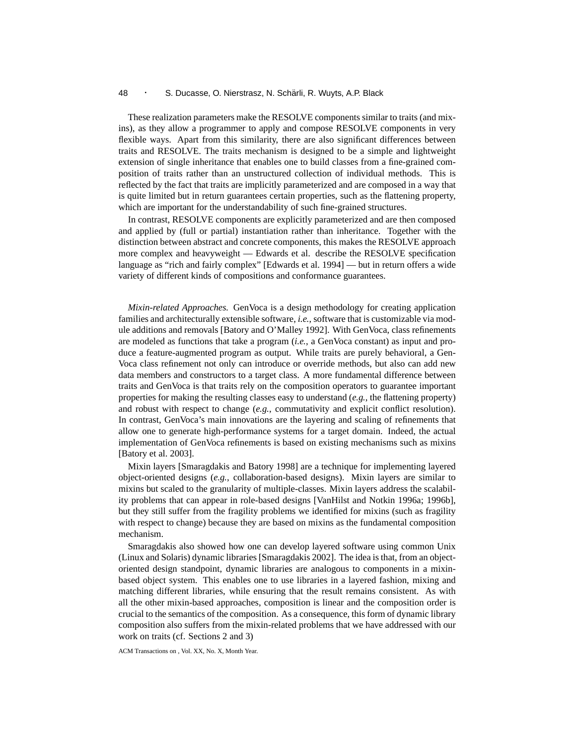## 48 · S. Ducasse, O. Nierstrasz, N. Schärli, R. Wuyts, A.P. Black

These realization parameters make the RESOLVE components similar to traits (and mixins), as they allow a programmer to apply and compose RESOLVE components in very flexible ways. Apart from this similarity, there are also significant differences between traits and RESOLVE. The traits mechanism is designed to be a simple and lightweight extension of single inheritance that enables one to build classes from a fine-grained composition of traits rather than an unstructured collection of individual methods. This is reflected by the fact that traits are implicitly parameterized and are composed in a way that is quite limited but in return guarantees certain properties, such as the flattening property, which are important for the understandability of such fine-grained structures.

In contrast, RESOLVE components are explicitly parameterized and are then composed and applied by (full or partial) instantiation rather than inheritance. Together with the distinction between abstract and concrete components, this makes the RESOLVE approach more complex and heavyweight — Edwards et al. describe the RESOLVE specification language as "rich and fairly complex" [Edwards et al. 1994] — but in return offers a wide variety of different kinds of compositions and conformance guarantees.

*Mixin-related Approaches.* GenVoca is a design methodology for creating application families and architecturally extensible software, *i.e.*, software that is customizable via module additions and removals [Batory and O'Malley 1992]. With GenVoca, class refinements are modeled as functions that take a program (*i.e.*, a GenVoca constant) as input and produce a feature-augmented program as output. While traits are purely behavioral, a Gen-Voca class refinement not only can introduce or override methods, but also can add new data members and constructors to a target class. A more fundamental difference between traits and GenVoca is that traits rely on the composition operators to guarantee important properties for making the resulting classes easy to understand (*e.g.*, the flattening property) and robust with respect to change (*e.g.*, commutativity and explicit conflict resolution). In contrast, GenVoca's main innovations are the layering and scaling of refinements that allow one to generate high-performance systems for a target domain. Indeed, the actual implementation of GenVoca refinements is based on existing mechanisms such as mixins [Batory et al. 2003].

Mixin layers [Smaragdakis and Batory 1998] are a technique for implementing layered object-oriented designs (*e.g.*, collaboration-based designs). Mixin layers are similar to mixins but scaled to the granularity of multiple-classes. Mixin layers address the scalability problems that can appear in role-based designs [VanHilst and Notkin 1996a; 1996b], but they still suffer from the fragility problems we identified for mixins (such as fragility with respect to change) because they are based on mixins as the fundamental composition mechanism.

Smaragdakis also showed how one can develop layered software using common Unix (Linux and Solaris) dynamic libraries [Smaragdakis 2002]. The idea is that, from an objectoriented design standpoint, dynamic libraries are analogous to components in a mixinbased object system. This enables one to use libraries in a layered fashion, mixing and matching different libraries, while ensuring that the result remains consistent. As with all the other mixin-based approaches, composition is linear and the composition order is crucial to the semantics of the composition. As a consequence, this form of dynamic library composition also suffers from the mixin-related problems that we have addressed with our work on traits (cf. Sections 2 and 3)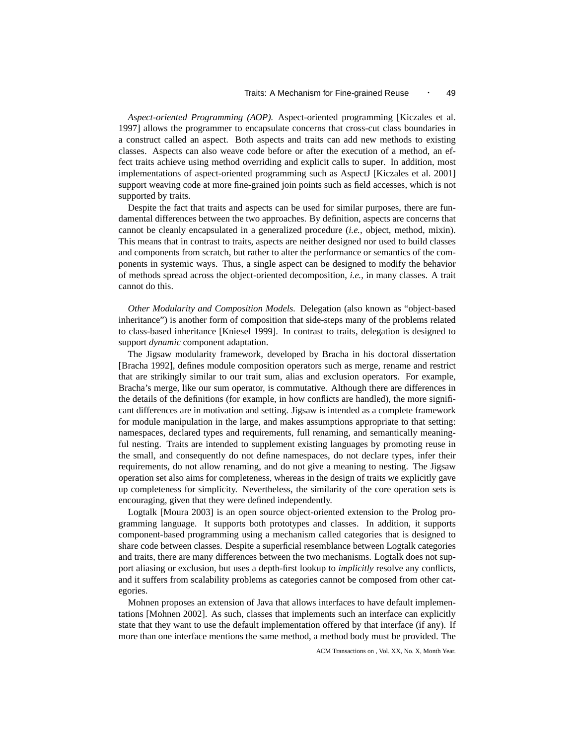*Aspect-oriented Programming (AOP).* Aspect-oriented programming [Kiczales et al. 1997] allows the programmer to encapsulate concerns that cross-cut class boundaries in a construct called an aspect. Both aspects and traits can add new methods to existing classes. Aspects can also weave code before or after the execution of a method, an effect traits achieve using method overriding and explicit calls to super. In addition, most implementations of aspect-oriented programming such as AspectJ [Kiczales et al. 2001] support weaving code at more fine-grained join points such as field accesses, which is not supported by traits.

Despite the fact that traits and aspects can be used for similar purposes, there are fundamental differences between the two approaches. By definition, aspects are concerns that cannot be cleanly encapsulated in a generalized procedure (*i.e.*, object, method, mixin). This means that in contrast to traits, aspects are neither designed nor used to build classes and components from scratch, but rather to alter the performance or semantics of the components in systemic ways. Thus, a single aspect can be designed to modify the behavior of methods spread across the object-oriented decomposition, *i.e.*, in many classes. A trait cannot do this.

*Other Modularity and Composition Models.* Delegation (also known as "object-based inheritance") is another form of composition that side-steps many of the problems related to class-based inheritance [Kniesel 1999]. In contrast to traits, delegation is designed to support *dynamic* component adaptation.

The Jigsaw modularity framework, developed by Bracha in his doctoral dissertation [Bracha 1992], defines module composition operators such as merge, rename and restrict that are strikingly similar to our trait sum, alias and exclusion operators. For example, Bracha's merge, like our sum operator, is commutative. Although there are differences in the details of the definitions (for example, in how conflicts are handled), the more significant differences are in motivation and setting. Jigsaw is intended as a complete framework for module manipulation in the large, and makes assumptions appropriate to that setting: namespaces, declared types and requirements, full renaming, and semantically meaningful nesting. Traits are intended to supplement existing languages by promoting reuse in the small, and consequently do not define namespaces, do not declare types, infer their requirements, do not allow renaming, and do not give a meaning to nesting. The Jigsaw operation set also aims for completeness, whereas in the design of traits we explicitly gave up completeness for simplicity. Nevertheless, the similarity of the core operation sets is encouraging, given that they were defined independently.

Logtalk [Moura 2003] is an open source object-oriented extension to the Prolog programming language. It supports both prototypes and classes. In addition, it supports component-based programming using a mechanism called categories that is designed to share code between classes. Despite a superficial resemblance between Logtalk categories and traits, there are many differences between the two mechanisms. Logtalk does not support aliasing or exclusion, but uses a depth-first lookup to *implicitly* resolve any conflicts, and it suffers from scalability problems as categories cannot be composed from other categories.

Mohnen proposes an extension of Java that allows interfaces to have default implementations [Mohnen 2002]. As such, classes that implements such an interface can explicitly state that they want to use the default implementation offered by that interface (if any). If more than one interface mentions the same method, a method body must be provided. The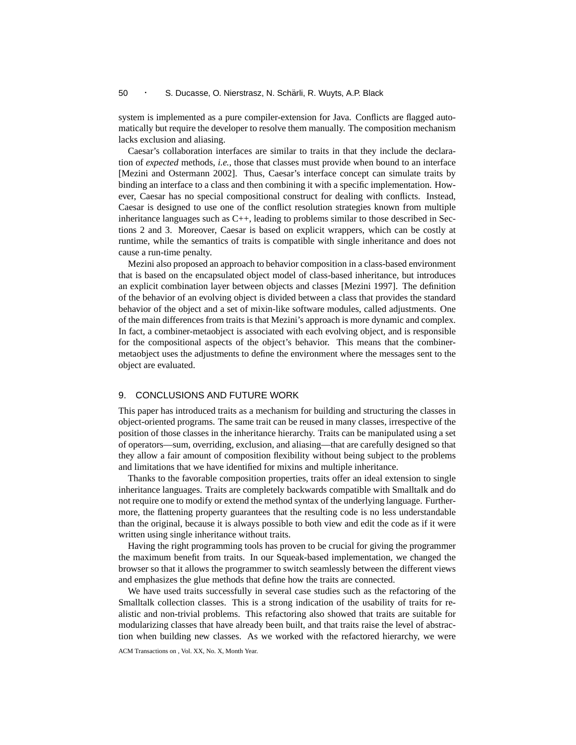system is implemented as a pure compiler-extension for Java. Conflicts are flagged automatically but require the developer to resolve them manually. The composition mechanism lacks exclusion and aliasing.

Caesar's collaboration interfaces are similar to traits in that they include the declaration of *expected* methods, *i.e.*, those that classes must provide when bound to an interface [Mezini and Ostermann 2002]. Thus, Caesar's interface concept can simulate traits by binding an interface to a class and then combining it with a specific implementation. However, Caesar has no special compositional construct for dealing with conflicts. Instead, Caesar is designed to use one of the conflict resolution strategies known from multiple inheritance languages such as  $C_{++}$ , leading to problems similar to those described in Sections 2 and 3. Moreover, Caesar is based on explicit wrappers, which can be costly at runtime, while the semantics of traits is compatible with single inheritance and does not cause a run-time penalty.

Mezini also proposed an approach to behavior composition in a class-based environment that is based on the encapsulated object model of class-based inheritance, but introduces an explicit combination layer between objects and classes [Mezini 1997]. The definition of the behavior of an evolving object is divided between a class that provides the standard behavior of the object and a set of mixin-like software modules, called adjustments. One of the main differences from traits is that Mezini's approach is more dynamic and complex. In fact, a combiner-metaobject is associated with each evolving object, and is responsible for the compositional aspects of the object's behavior. This means that the combinermetaobject uses the adjustments to define the environment where the messages sent to the object are evaluated.

## 9. CONCLUSIONS AND FUTURE WORK

This paper has introduced traits as a mechanism for building and structuring the classes in object-oriented programs. The same trait can be reused in many classes, irrespective of the position of those classes in the inheritance hierarchy. Traits can be manipulated using a set of operators—sum, overriding, exclusion, and aliasing—that are carefully designed so that they allow a fair amount of composition flexibility without being subject to the problems and limitations that we have identified for mixins and multiple inheritance.

Thanks to the favorable composition properties, traits offer an ideal extension to single inheritance languages. Traits are completely backwards compatible with Smalltalk and do not require one to modify or extend the method syntax of the underlying language. Furthermore, the flattening property guarantees that the resulting code is no less understandable than the original, because it is always possible to both view and edit the code as if it were written using single inheritance without traits.

Having the right programming tools has proven to be crucial for giving the programmer the maximum benefit from traits. In our Squeak-based implementation, we changed the browser so that it allows the programmer to switch seamlessly between the different views and emphasizes the glue methods that define how the traits are connected.

We have used traits successfully in several case studies such as the refactoring of the Smalltalk collection classes. This is a strong indication of the usability of traits for realistic and non-trivial problems. This refactoring also showed that traits are suitable for modularizing classes that have already been built, and that traits raise the level of abstraction when building new classes. As we worked with the refactored hierarchy, we were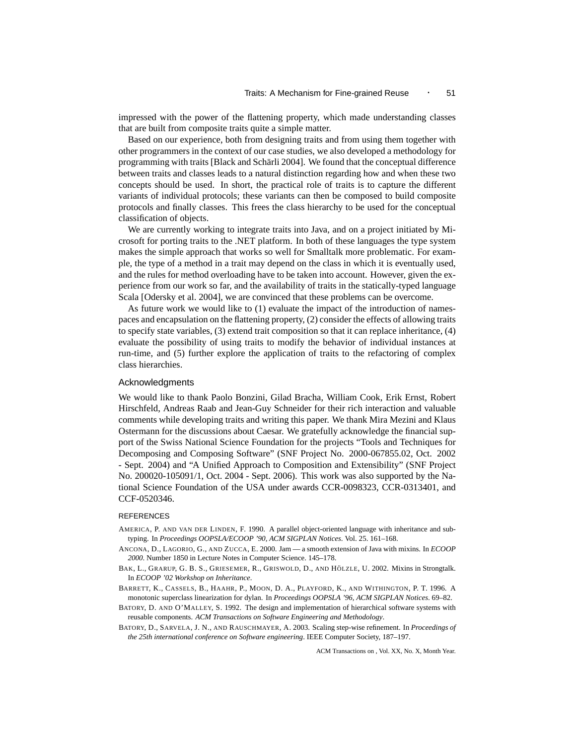impressed with the power of the flattening property, which made understanding classes that are built from composite traits quite a simple matter.

Based on our experience, both from designing traits and from using them together with other programmers in the context of our case studies, we also developed a methodology for programming with traits [Black and Schärli 2004]. We found that the conceptual difference between traits and classes leads to a natural distinction regarding how and when these two concepts should be used. In short, the practical role of traits is to capture the different variants of individual protocols; these variants can then be composed to build composite protocols and finally classes. This frees the class hierarchy to be used for the conceptual classification of objects.

We are currently working to integrate traits into Java, and on a project initiated by Microsoft for porting traits to the .NET platform. In both of these languages the type system makes the simple approach that works so well for Smalltalk more problematic. For example, the type of a method in a trait may depend on the class in which it is eventually used, and the rules for method overloading have to be taken into account. However, given the experience from our work so far, and the availability of traits in the statically-typed language Scala [Odersky et al. 2004], we are convinced that these problems can be overcome.

As future work we would like to (1) evaluate the impact of the introduction of namespaces and encapsulation on the flattening property, (2) consider the effects of allowing traits to specify state variables, (3) extend trait composition so that it can replace inheritance, (4) evaluate the possibility of using traits to modify the behavior of individual instances at run-time, and (5) further explore the application of traits to the refactoring of complex class hierarchies.

## Acknowledgments

We would like to thank Paolo Bonzini, Gilad Bracha, William Cook, Erik Ernst, Robert Hirschfeld, Andreas Raab and Jean-Guy Schneider for their rich interaction and valuable comments while developing traits and writing this paper. We thank Mira Mezini and Klaus Ostermann for the discussions about Caesar. We gratefully acknowledge the financial support of the Swiss National Science Foundation for the projects "Tools and Techniques for Decomposing and Composing Software" (SNF Project No. 2000-067855.02, Oct. 2002 - Sept. 2004) and "A Unified Approach to Composition and Extensibility" (SNF Project No. 200020-105091/1, Oct. 2004 - Sept. 2006). This work was also supported by the National Science Foundation of the USA under awards CCR-0098323, CCR-0313401, and CCF-0520346.

#### REFERENCES

- AMERICA, P. AND VAN DER LINDEN, F. 1990. A parallel object-oriented language with inheritance and subtyping. In *Proceedings OOPSLA/ECOOP '90, ACM SIGPLAN Notices*. Vol. 25. 161–168.
- ANCONA, D., LAGORIO, G., AND ZUCCA, E. 2000. Jam a smooth extension of Java with mixins. In *ECOOP 2000*. Number 1850 in Lecture Notes in Computer Science. 145–178.
- BAK, L., GRARUP, G. B. S., GRIESEMER, R., GRISWOLD, D., AND HÖLZLE, U. 2002. Mixins in Strongtalk. In *ECOOP '02 Workshop on Inheritance*.
- BARRETT, K., CASSELS, B., HAAHR, P., MOON, D. A., PLAYFORD, K., AND WITHINGTON, P. T. 1996. A monotonic superclass linearization for dylan. In *Proceedings OOPSLA '96, ACM SIGPLAN Notices*. 69–82.
- BATORY, D. AND O'MALLEY, S. 1992. The design and implementation of hierarchical software systems with reusable components. *ACM Transactions on Software Engineering and Methodology*.
- BATORY, D., SARVELA, J. N., AND RAUSCHMAYER, A. 2003. Scaling step-wise refinement. In *Proceedings of the 25th international conference on Software engineering*. IEEE Computer Society, 187–197.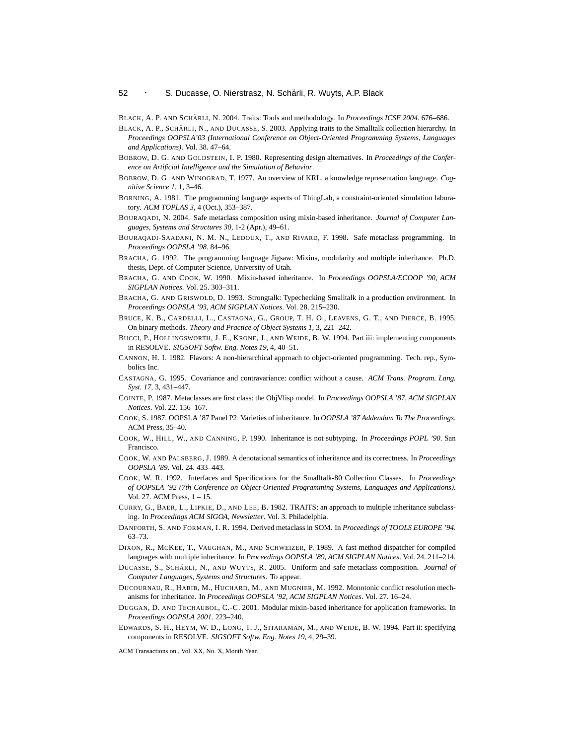BLACK, A. P. AND SCHÄRLI, N. 2004. Traits: Tools and methodology. In *Proceedings ICSE 2004*. 676–686.

- BLACK, A. P., SCHÄRLI, N., AND DUCASSE, S. 2003. Applying traits to the Smalltalk collection hierarchy. In *Proceedings OOPSLA'03 (International Conference on Object-Oriented Programming Systems, Languages and Applications)*. Vol. 38. 47–64.
- BOBROW, D. G. AND GOLDSTEIN, I. P. 1980. Representing design alternatives. In *Proceedings of the Conference on Artificial Intelligence and the Simulation of Behavior*.
- BOBROW, D. G. AND WINOGRAD, T. 1977. An overview of KRL, a knowledge representation language. *Cognitive Science 1,* 1, 3–46.
- BORNING, A. 1981. The programming language aspects of ThingLab, a constraint-oriented simulation laboratory. *ACM TOPLAS 3,* 4 (Oct.), 353–387.
- BOURAQADI, N. 2004. Safe metaclass composition using mixin-based inheritance. *Journal of Computer Languages, Systems and Structures 30,* 1-2 (Apr.), 49–61.
- BOURAQADI-SAADANI, N. M. N., LEDOUX, T., AND RIVARD, F. 1998. Safe metaclass programming. In *Proceedings OOPSLA '98*. 84–96.
- BRACHA, G. 1992. The programming language Jigsaw: Mixins, modularity and multiple inheritance. Ph.D. thesis, Dept. of Computer Science, University of Utah.
- BRACHA, G. AND COOK, W. 1990. Mixin-based inheritance. In *Proceedings OOPSLA/ECOOP '90, ACM SIGPLAN Notices*. Vol. 25. 303–311.
- BRACHA, G. AND GRISWOLD, D. 1993. Strongtalk: Typechecking Smalltalk in a production environment. In *Proceedings OOPSLA '93, ACM SIGPLAN Notices*. Vol. 28. 215–230.
- BRUCE, K. B., CARDELLI, L., CASTAGNA, G., GROUP, T. H. O., LEAVENS, G. T., AND PIERCE, B. 1995. On binary methods. *Theory and Practice of Object Systems 1,* 3, 221–242.
- BUCCI, P., HOLLINGSWORTH, J. E., KRONE, J., AND WEIDE, B. W. 1994. Part iii: implementing components in RESOLVE. *SIGSOFT Softw. Eng. Notes 19,* 4, 40–51.
- CANNON, H. I. 1982. Flavors: A non-hierarchical approach to object-oriented programming. Tech. rep., Symbolics Inc.
- CASTAGNA, G. 1995. Covariance and contravariance: conflict without a cause. *ACM Trans. Program. Lang. Syst. 17,* 3, 431–447.
- COINTE, P. 1987. Metaclasses are first class: the ObjVlisp model. In *Proceedings OOPSLA '87, ACM SIGPLAN Notices*. Vol. 22. 156–167.
- COOK, S. 1987. OOPSLA '87 Panel P2: Varieties of inheritance. In *OOPSLA '87 Addendum To The Proceedings*. ACM Press, 35–40.
- COOK, W., HILL, W., AND CANNING, P. 1990. Inheritance is not subtyping. In *Proceedings POPL '90*. San Francisco.
- COOK, W. AND PALSBERG, J. 1989. A denotational semantics of inheritance and its correctness. In *Proceedings OOPSLA '89*. Vol. 24. 433–443.
- COOK, W. R. 1992. Interfaces and Specifications for the Smalltalk-80 Collection Classes. In *Proceedings of OOPSLA '92 (7th Conference on Object-Oriented Programming Systems, Languages and Applications)*. Vol. 27. ACM Press, 1 – 15.
- CURRY, G., BAER, L., LIPKIE, D., AND LEE, B. 1982. TRAITS: an approach to multiple inheritance subclassing. In *Proceedings ACM SIGOA, Newsletter*. Vol. 3. Philadelphia.
- DANFORTH, S. AND FORMAN, I. R. 1994. Derived metaclass in SOM. In *Proceedings of TOOLS EUROPE '94*. 63–73.
- DIXON, R., MCKEE, T., VAUGHAN, M., AND SCHWEIZER, P. 1989. A fast method dispatcher for compiled languages with multiple inheritance. In *Proceedings OOPSLA '89, ACM SIGPLAN Notices*. Vol. 24. 211–214.
- DUCASSE, S., SCHÄRLI, N., AND WUYTS, R. 2005. Uniform and safe metaclass composition. *Journal of Computer Languages, Systems and Structures*. To appear.
- DUCOURNAU, R., HABIB, M., HUCHARD, M., AND MUGNIER, M. 1992. Monotonic conflict resolution mechanisms for inheritance. In *Proceedings OOPSLA '92, ACM SIGPLAN Notices*. Vol. 27. 16–24.
- DUGGAN, D. AND TECHAUBOL, C.-C. 2001. Modular mixin-based inheritance for application frameworks. In *Proceedings OOPSLA 2001*. 223–240.
- EDWARDS, S. H., HEYM, W. D., LONG, T. J., SITARAMAN, M., AND WEIDE, B. W. 1994. Part ii: specifying components in RESOLVE. *SIGSOFT Softw. Eng. Notes 19,* 4, 29–39.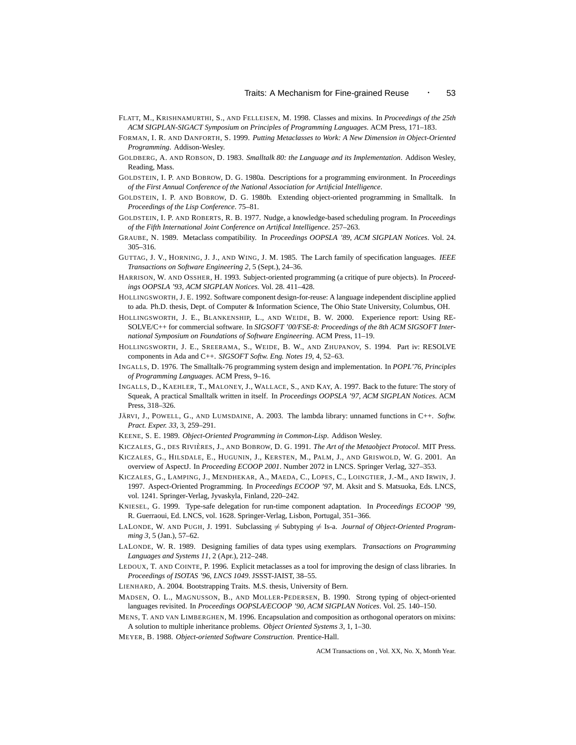- FLATT, M., KRISHNAMURTHI, S., AND FELLEISEN, M. 1998. Classes and mixins. In *Proceedings of the 25th ACM SIGPLAN-SIGACT Symposium on Principles of Programming Languages*. ACM Press, 171–183.
- FORMAN, I. R. AND DANFORTH, S. 1999. *Putting Metaclasses to Work: A New Dimension in Object-Oriented Programming*. Addison-Wesley.
- GOLDBERG, A. AND ROBSON, D. 1983. *Smalltalk 80: the Language and its Implementation*. Addison Wesley, Reading, Mass.
- GOLDSTEIN, I. P. AND BOBROW, D. G. 1980a. Descriptions for a programming environment. In *Proceedings of the First Annual Conference of the National Association for Artificial Intelligence*.
- GOLDSTEIN, I. P. AND BOBROW, D. G. 1980b. Extending object-oriented programming in Smalltalk. In *Proceedings of the Lisp Conference*. 75–81.
- GOLDSTEIN, I. P. AND ROBERTS, R. B. 1977. Nudge, a knowledge-based scheduling program. In *Proceedings of the Fifth International Joint Conference on Artifical Intelligence*. 257–263.
- GRAUBE, N. 1989. Metaclass compatibility. In *Proceedings OOPSLA '89, ACM SIGPLAN Notices*. Vol. 24. 305–316.
- GUTTAG, J. V., HORNING, J. J., AND WING, J. M. 1985. The Larch family of specification languages. *IEEE Transactions on Software Engineering 2,* 5 (Sept.), 24–36.
- HARRISON, W. AND OSSHER, H. 1993. Subject-oriented programming (a critique of pure objects). In *Proceedings OOPSLA '93, ACM SIGPLAN Notices*. Vol. 28. 411–428.
- HOLLINGSWORTH, J. E. 1992. Software component design-for-reuse: A language independent discipline applied to ada. Ph.D. thesis, Dept. of Computer & Information Science, The Ohio State University, Columbus, OH.
- HOLLINGSWORTH, J. E., BLANKENSHIP, L., AND WEIDE, B. W. 2000. Experience report: Using RE-SOLVE/C++ for commercial software. In *SIGSOFT '00/FSE-8: Proceedings of the 8th ACM SIGSOFT International Symposium on Foundations of Software Engineering*. ACM Press, 11–19.
- HOLLINGSWORTH, J. E., SREERAMA, S., WEIDE, B. W., AND ZHUPANOV, S. 1994. Part iv: RESOLVE components in Ada and C++. *SIGSOFT Softw. Eng. Notes 19,* 4, 52–63.
- INGALLS, D. 1976. The Smalltalk-76 programming system design and implementation. In *POPL'76, Principles of Programming Languages*. ACM Press, 9–16.
- INGALLS, D., KAEHLER, T., MALONEY, J., WALLACE, S., AND KAY, A. 1997. Back to the future: The story of Squeak, A practical Smalltalk written in itself. In *Proceedings OOPSLA '97, ACM SIGPLAN Notices*. ACM Press, 318–326.
- JÄRVI, J., POWELL, G., AND LUMSDAINE, A. 2003. The lambda library: unnamed functions in C++. *Softw. Pract. Exper. 33,* 3, 259–291.
- KEENE, S. E. 1989. *Object-Oriented Programming in Common-Lisp*. Addison Wesley.
- KICZALES, G., DES RIVIÈRES, J., AND BOBROW, D. G. 1991. *The Art of the Metaobject Protocol*. MIT Press. KICZALES, G., HILSDALE, E., HUGUNIN, J., KERSTEN, M., PALM, J., AND GRISWOLD, W. G. 2001. An
- overview of AspectJ. In *Proceeding ECOOP 2001*. Number 2072 in LNCS. Springer Verlag, 327–353.
- KICZALES, G., LAMPING, J., MENDHEKAR, A., MAEDA, C., LOPES, C., LOINGTIER, J.-M., AND IRWIN, J. 1997. Aspect-Oriented Programming. In *Proceedings ECOOP '97*, M. Aksit and S. Matsuoka, Eds. LNCS, vol. 1241. Springer-Verlag, Jyvaskyla, Finland, 220–242.
- KNIESEL, G. 1999. Type-safe delegation for run-time component adaptation. In *Proceedings ECOOP '99*, R. Guerraoui, Ed. LNCS, vol. 1628. Springer-Verlag, Lisbon, Portugal, 351–366.
- LALONDE, W. AND PUGH, J. 1991. Subclassing  $\neq$  Subtyping  $\neq$  Is-a. *Journal of Object-Oriented Programming 3,* 5 (Jan.), 57–62.
- LALONDE, W. R. 1989. Designing families of data types using exemplars. *Transactions on Programming Languages and Systems 11,* 2 (Apr.), 212–248.
- LEDOUX, T. AND COINTE, P. 1996. Explicit metaclasses as a tool for improving the design of class libraries. In *Proceedings of ISOTAS '96, LNCS 1049*. JSSST-JAIST, 38–55.
- LIENHARD, A. 2004. Bootstrapping Traits. M.S. thesis, University of Bern.
- MADSEN, O. L., MAGNUSSON, B., AND MOLLER-PEDERSEN, B. 1990. Strong typing of object-oriented languages revisited. In *Proceedings OOPSLA/ECOOP '90, ACM SIGPLAN Notices*. Vol. 25. 140–150.
- MENS, T. AND VAN LIMBERGHEN, M. 1996. Encapsulation and composition as orthogonal operators on mixins: A solution to multiple inheritance problems. *Object Oriented Systems 3,* 1, 1–30.
- MEYER, B. 1988. *Object-oriented Software Construction*. Prentice-Hall.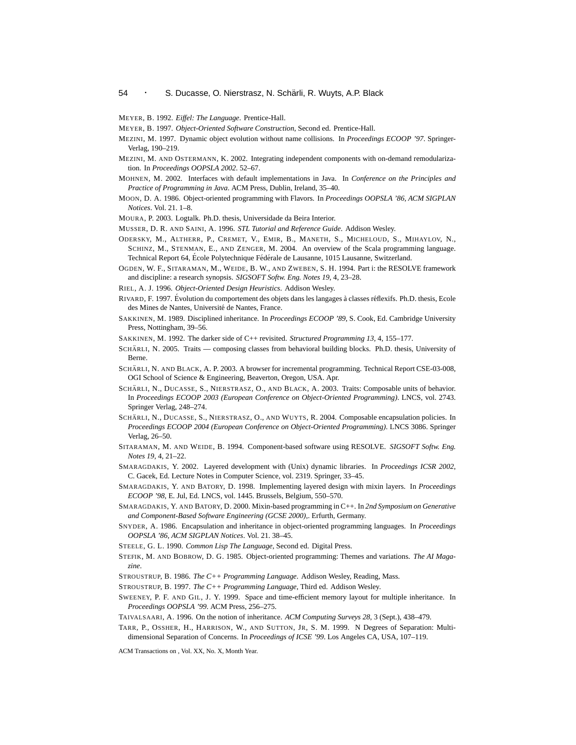MEYER, B. 1992. *Eiffel: The Language*. Prentice-Hall.

- MEYER, B. 1997. *Object-Oriented Software Construction*, Second ed. Prentice-Hall.
- MEZINI, M. 1997. Dynamic object evolution without name collisions. In *Proceedings ECOOP '97*. Springer-Verlag, 190–219.
- MEZINI, M. AND OSTERMANN, K. 2002. Integrating independent components with on-demand remodularization. In *Proceedings OOPSLA 2002*. 52–67.
- MOHNEN, M. 2002. Interfaces with default implementations in Java. In *Conference on the Principles and Practice of Programming in Java*. ACM Press, Dublin, Ireland, 35–40.
- MOON, D. A. 1986. Object-oriented programming with Flavors. In *Proceedings OOPSLA '86, ACM SIGPLAN Notices*. Vol. 21. 1–8.

MOURA, P. 2003. Logtalk. Ph.D. thesis, Universidade da Beira Interior.

- MUSSER, D. R. AND SAINI, A. 1996. *STL Tutorial and Reference Guide*. Addison Wesley.
- ODERSKY, M., ALTHERR, P., CREMET, V., EMIR, B., MANETH, S., MICHELOUD, S., MIHAYLOV, N., SCHINZ, M., STENMAN, E., AND ZENGER, M. 2004. An overview of the Scala programming language. Technical Report 64, École Polytechnique Fédérale de Lausanne, 1015 Lausanne, Switzerland.

OGDEN, W. F., SITARAMAN, M., WEIDE, B. W., AND ZWEBEN, S. H. 1994. Part i: the RESOLVE framework and discipline: a research synopsis. *SIGSOFT Softw. Eng. Notes 19,* 4, 23–28.

- RIEL, A. J. 1996. *Object-Oriented Design Heuristics*. Addison Wesley.
- RIVARD, F. 1997. Évolution du comportement des objets dans les langages à classes réflexifs. Ph.D. thesis, Ecole des Mines de Nantes, Université de Nantes, France.
- SAKKINEN, M. 1989. Disciplined inheritance. In *Proceedings ECOOP '89*, S. Cook, Ed. Cambridge University Press, Nottingham, 39–56.
- SAKKINEN, M. 1992. The darker side of C++ revisited. *Structured Programming 13,* 4, 155–177.
- SCHÄRLI, N. 2005. Traits composing classes from behavioral building blocks. Ph.D. thesis, University of Berne.
- SCHÄRLI, N. AND BLACK, A. P. 2003. A browser for incremental programming. Technical Report CSE-03-008, OGI School of Science & Engineering, Beaverton, Oregon, USA. Apr.
- SCHÄRLI, N., DUCASSE, S., NIERSTRASZ, O., AND BLACK, A. 2003. Traits: Composable units of behavior. In *Proceedings ECOOP 2003 (European Conference on Object-Oriented Programming)*. LNCS, vol. 2743. Springer Verlag, 248–274.
- SCHÄRLI, N., DUCASSE, S., NIERSTRASZ, O., AND WUYTS, R. 2004. Composable encapsulation policies. In *Proceedings ECOOP 2004 (European Conference on Object-Oriented Programming)*. LNCS 3086. Springer Verlag, 26–50.
- SITARAMAN, M. AND WEIDE, B. 1994. Component-based software using RESOLVE. *SIGSOFT Softw. Eng. Notes 19,* 4, 21–22.
- SMARAGDAKIS, Y. 2002. Layered development with (Unix) dynamic libraries. In *Proceedings ICSR 2002*, C. Gacek, Ed. Lecture Notes in Computer Science, vol. 2319. Springer, 33–45.
- SMARAGDAKIS, Y. AND BATORY, D. 1998. Implementing layered design with mixin layers. In *Proceedings ECOOP '98*, E. Jul, Ed. LNCS, vol. 1445. Brussels, Belgium, 550–570.
- SMARAGDAKIS, Y. AND BATORY, D. 2000. Mixin-based programming in C++. In *2nd Symposium on Generative and Component-Based Software Engineering (GCSE 2000),*. Erfurth, Germany.
- SNYDER, A. 1986. Encapsulation and inheritance in object-oriented programming languages. In *Proceedings OOPSLA '86, ACM SIGPLAN Notices*. Vol. 21. 38–45.
- STEELE, G. L. 1990. *Common Lisp The Language*, Second ed. Digital Press.
- STEFIK, M. AND BOBROW, D. G. 1985. Object-oriented programming: Themes and variations. *The AI Magazine*.
- STROUSTRUP, B. 1986. *The C++ Programming Language*. Addison Wesley, Reading, Mass.
- STROUSTRUP, B. 1997. *The C++ Programming Language*, Third ed. Addison Wesley.
- SWEENEY, P. F. AND GIL, J. Y. 1999. Space and time-efficient memory layout for multiple inheritance. In *Proceedings OOPSLA '99*. ACM Press, 256–275.

TAIVALSAARI, A. 1996. On the notion of inheritance. *ACM Computing Surveys 28,* 3 (Sept.), 438–479.

TARR, P., OSSHER, H., HARRISON, W., AND SUTTON, JR, S. M. 1999. N Degrees of Separation: Multidimensional Separation of Concerns. In *Proceedings of ICSE '99*. Los Angeles CA, USA, 107–119.